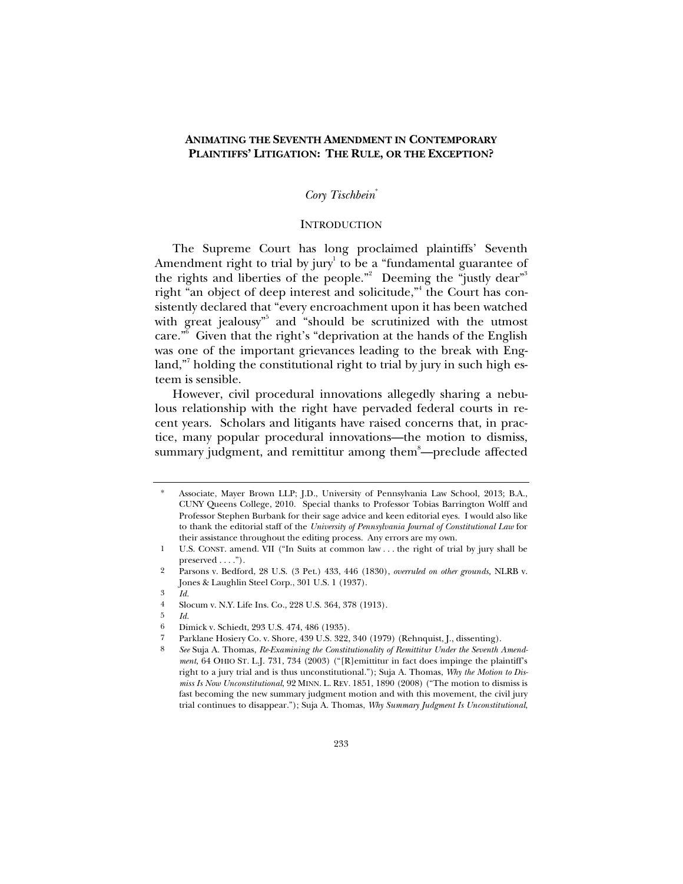# **ANIMATING THE SEVENTH AMENDMENT IN CONTEMPORARY PLAINTIFFS' LITIGATION: THE RULE, OR THE EXCEPTION?**

### *Cory Tischbein*\*

#### **INTRODUCTION**

The Supreme Court has long proclaimed plaintiffs' Seventh Amendment right to trial by jury $^1$  to be a "fundamental guarantee of the rights and liberties of the people." Deeming the "justly dear" right "an object of deep interest and solicitude," the Court has consistently declared that "every encroachment upon it has been watched with great jealousy<sup>35</sup> and "should be scrutinized with the utmost care."6 Given that the right's "deprivation at the hands of the English was one of the important grievances leading to the break with England,"<sup>7</sup> holding the constitutional right to trial by jury in such high esteem is sensible.

However, civil procedural innovations allegedly sharing a nebulous relationship with the right have pervaded federal courts in recent years. Scholars and litigants have raised concerns that, in practice, many popular procedural innovations—the motion to dismiss, summary judgment, and remittitur among them<sup>8</sup>—preclude affected

3 *Id.*

5 *Id.*

<sup>\*</sup> Associate, Mayer Brown LLP; J.D., University of Pennsylvania Law School, 2013; B.A., CUNY Queens College, 2010. Special thanks to Professor Tobias Barrington Wolff and Professor Stephen Burbank for their sage advice and keen editorial eyes. I would also like to thank the editorial staff of the *University of Pennsylvania Journal of Constitutional Law* for their assistance throughout the editing process. Any errors are my own.

<sup>1</sup> U.S. CONST. amend. VII ("In Suits at common law . . . the right of trial by jury shall be preserved  $\dots$ ").

<sup>2</sup> Parsons v. Bedford, 28 U.S. (3 Pet.) 433, 446 (1830), *overruled on other grounds,* NLRB v. Jones & Laughlin Steel Corp., 301 U.S. 1 (1937).

<sup>4</sup> Slocum v. N.Y. Life Ins. Co., 228 U.S. 364, 378 (1913).

<sup>6</sup> Dimick v. Schiedt, 293 U.S. 474, 486 (1935).

<sup>7</sup> Parklane Hosiery Co. v. Shore, 439 U.S. 322, 340 (1979) (Rehnquist, J., dissenting).

<sup>8</sup> *See* Suja A. Thomas, *Re-Examining the Constitutionality of Remittitur Under the Seventh Amendment*, 64 OHIO ST. L.J. 731, 734 (2003) ("[R]emittitur in fact does impinge the plaintiff's right to a jury trial and is thus unconstitutional."); Suja A. Thomas, *Why the Motion to Dismiss Is Now Unconstitutional*, 92 MINN. L. REV. 1851, 1890 (2008) ("The motion to dismiss is fast becoming the new summary judgment motion and with this movement, the civil jury trial continues to disappear."); Suja A. Thomas, *Why Summary Judgment Is Unconstitutional*,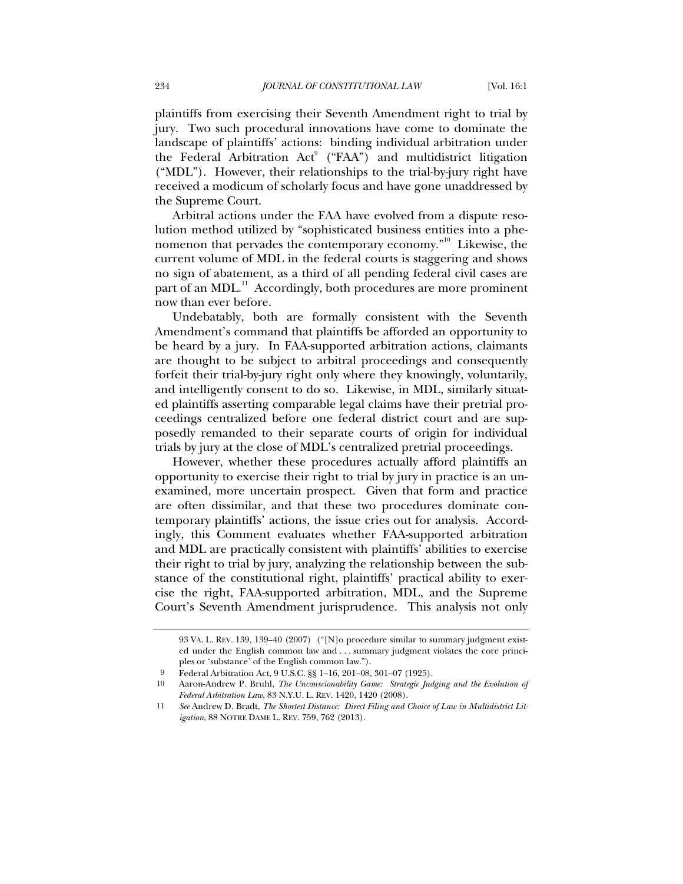plaintiffs from exercising their Seventh Amendment right to trial by jury. Two such procedural innovations have come to dominate the landscape of plaintiffs' actions: binding individual arbitration under the Federal Arbitration  $Act^9$  ("FAA") and multidistrict litigation ("MDL"). However, their relationships to the trial-by-jury right have received a modicum of scholarly focus and have gone unaddressed by the Supreme Court.

Arbitral actions under the FAA have evolved from a dispute resolution method utilized by "sophisticated business entities into a phenomenon that pervades the contemporary economy."<sup>10</sup> Likewise, the current volume of MDL in the federal courts is staggering and shows no sign of abatement, as a third of all pending federal civil cases are part of an MDL.<sup>11</sup> Accordingly, both procedures are more prominent now than ever before.

Undebatably, both are formally consistent with the Seventh Amendment's command that plaintiffs be afforded an opportunity to be heard by a jury. In FAA-supported arbitration actions, claimants are thought to be subject to arbitral proceedings and consequently forfeit their trial-by-jury right only where they knowingly, voluntarily, and intelligently consent to do so. Likewise, in MDL, similarly situated plaintiffs asserting comparable legal claims have their pretrial proceedings centralized before one federal district court and are supposedly remanded to their separate courts of origin for individual trials by jury at the close of MDL's centralized pretrial proceedings.

However, whether these procedures actually afford plaintiffs an opportunity to exercise their right to trial by jury in practice is an unexamined, more uncertain prospect. Given that form and practice are often dissimilar, and that these two procedures dominate contemporary plaintiffs' actions, the issue cries out for analysis. Accordingly, this Comment evaluates whether FAA-supported arbitration and MDL are practically consistent with plaintiffs' abilities to exercise their right to trial by jury, analyzing the relationship between the substance of the constitutional right, plaintiffs' practical ability to exercise the right, FAA-supported arbitration, MDL, and the Supreme Court's Seventh Amendment jurisprudence. This analysis not only

<sup>93</sup> VA. L. REV. 139, 139–40 (2007) ("[N]o procedure similar to summary judgment existed under the English common law and . . . summary judgment violates the core principles or 'substance' of the English common law.").

<sup>9</sup> Federal Arbitration Act, 9 U.S.C. §§ 1–16, 201–08, 301–07 (1925).

<sup>10</sup> Aaron-Andrew P. Bruhl, *The Unconscionability Game: Strategic Judging and the Evolution of Federal Arbitration Law*, 83 N.Y.U. L. REV. 1420, 1420 (2008).

<sup>11</sup> *See* Andrew D. Bradt, *The Shortest Distance: Direct Filing and Choice of Law in Multidistrict Litigation*, 88 NOTRE DAME L. REV. 759, 762 (2013).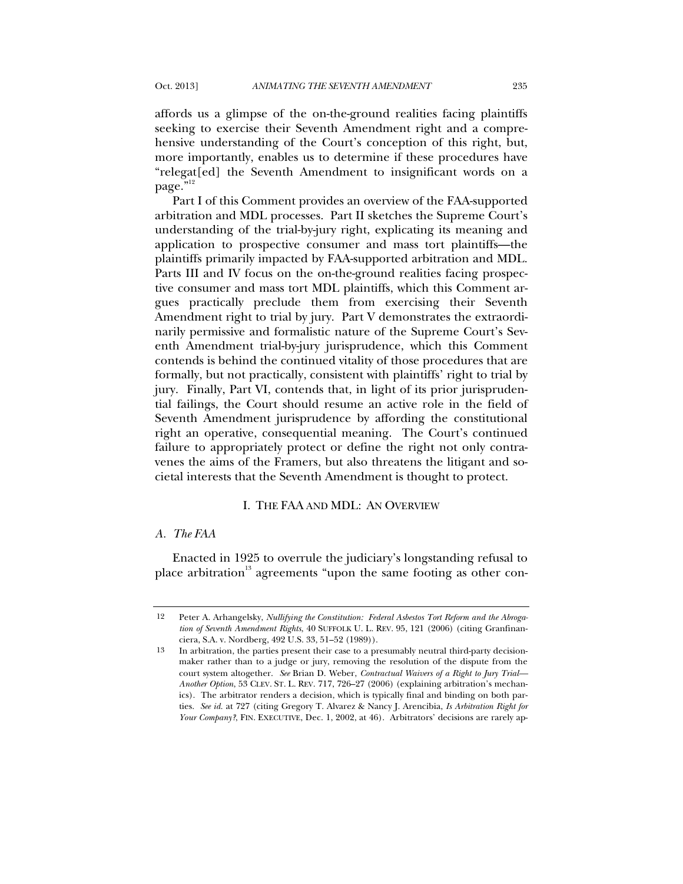affords us a glimpse of the on-the-ground realities facing plaintiffs seeking to exercise their Seventh Amendment right and a comprehensive understanding of the Court's conception of this right, but, more importantly, enables us to determine if these procedures have "relegat[ed] the Seventh Amendment to insignificant words on a page."<sup>12</sup>

Part I of this Comment provides an overview of the FAA-supported arbitration and MDL processes. Part II sketches the Supreme Court's understanding of the trial-by-jury right, explicating its meaning and application to prospective consumer and mass tort plaintiffs—the plaintiffs primarily impacted by FAA-supported arbitration and MDL. Parts III and IV focus on the on-the-ground realities facing prospective consumer and mass tort MDL plaintiffs, which this Comment argues practically preclude them from exercising their Seventh Amendment right to trial by jury. Part V demonstrates the extraordinarily permissive and formalistic nature of the Supreme Court's Seventh Amendment trial-by-jury jurisprudence, which this Comment contends is behind the continued vitality of those procedures that are formally, but not practically, consistent with plaintiffs' right to trial by jury. Finally, Part VI, contends that, in light of its prior jurisprudential failings, the Court should resume an active role in the field of Seventh Amendment jurisprudence by affording the constitutional right an operative, consequential meaning. The Court's continued failure to appropriately protect or define the right not only contravenes the aims of the Framers, but also threatens the litigant and societal interests that the Seventh Amendment is thought to protect.

### I. THE FAA AND MDL: AN OVERVIEW

#### *A. The FAA*

Enacted in 1925 to overrule the judiciary's longstanding refusal to place arbitration<sup>13</sup> agreements "upon the same footing as other con-

<sup>12</sup> Peter A. Arhangelsky, *Nullifying the Constitution: Federal Asbestos Tort Reform and the Abrogation of Seventh Amendment Rights*, 40 SUFFOLK U. L. REV. 95, 121 (2006) (citing Granfinanciera, S.A. v. Nordberg, 492 U.S. 33, 51–52 (1989)).

<sup>13</sup> In arbitration, the parties present their case to a presumably neutral third-party decisionmaker rather than to a judge or jury, removing the resolution of the dispute from the court system altogether. *See* Brian D. Weber, *Contractual Waivers of a Right to Jury Trial— Another Option*, 53 CLEV. ST. L. REV. 717, 726–27 (2006) (explaining arbitration's mechanics). The arbitrator renders a decision, which is typically final and binding on both parties. *See id.* at 727 (citing Gregory T. Alvarez & Nancy J. Arencibia, *Is Arbitration Right for Your Company?*, FIN. EXECUTIVE, Dec. 1, 2002, at 46). Arbitrators' decisions are rarely ap-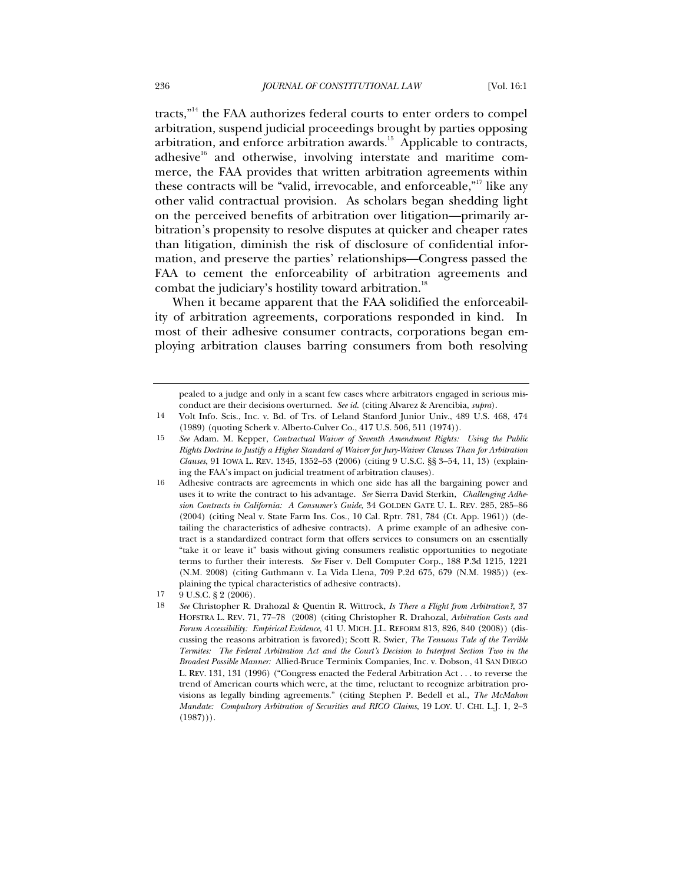tracts,"<sup>14</sup> the FAA authorizes federal courts to enter orders to compel arbitration, suspend judicial proceedings brought by parties opposing arbitration, and enforce arbitration awards.<sup>15</sup> Applicable to contracts, adhesive $16$  and otherwise, involving interstate and maritime commerce, the FAA provides that written arbitration agreements within these contracts will be "valid, irrevocable, and enforceable,"<sup>17</sup> like any other valid contractual provision. As scholars began shedding light on the perceived benefits of arbitration over litigation—primarily arbitration's propensity to resolve disputes at quicker and cheaper rates than litigation, diminish the risk of disclosure of confidential information, and preserve the parties' relationships—Congress passed the FAA to cement the enforceability of arbitration agreements and combat the judiciary's hostility toward arbitration.<sup>18</sup>

When it became apparent that the FAA solidified the enforceability of arbitration agreements, corporations responded in kind. In most of their adhesive consumer contracts, corporations began employing arbitration clauses barring consumers from both resolving

pealed to a judge and only in a scant few cases where arbitrators engaged in serious misconduct are their decisions overturned. *See id.* (citing Alvarez & Arencibia, *supra*).

<sup>14</sup> Volt Info. Scis., Inc. v. Bd. of Trs. of Leland Stanford Junior Univ., 489 U.S. 468, 474 (1989) (quoting Scherk v. Alberto-Culver Co., 417 U.S. 506, 511 (1974)).

<sup>15</sup> *See* Adam. M. Kepper, *Contractual Waiver of Seventh Amendment Rights: Using the Public Rights Doctrine to Justify a Higher Standard of Waiver for Jury-Waiver Clauses Than for Arbitration Clauses*, 91 IOWA L. REV. 1345, 1352–53 (2006) (citing 9 U.S.C. §§ 3–54, 11, 13) (explaining the FAA's impact on judicial treatment of arbitration clauses).

<sup>16</sup> Adhesive contracts are agreements in which one side has all the bargaining power and uses it to write the contract to his advantage. *See* Sierra David Sterkin, *Challenging Adhesion Contracts in California: A Consumer's Guide*, 34 GOLDEN GATE U. L. REV. 285, 285–86 (2004) (citing Neal v. State Farm Ins. Cos., 10 Cal. Rptr. 781, 784 (Ct. App. 1961)) (detailing the characteristics of adhesive contracts). A prime example of an adhesive contract is a standardized contract form that offers services to consumers on an essentially "take it or leave it" basis without giving consumers realistic opportunities to negotiate terms to further their interests. *See* Fiser v. Dell Computer Corp., 188 P.3d 1215, 1221 (N.M. 2008) (citing Guthmann v. La Vida Llena, 709 P.2d 675, 679 (N.M. 1985)) (explaining the typical characteristics of adhesive contracts).

<sup>17 9</sup> U.S.C. § 2 (2006).

<sup>18</sup> *See* Christopher R. Drahozal & Quentin R. Wittrock, *Is There a Flight from Arbitration?*, 37 HOFSTRA L. REV. 71, 77–78 (2008) (citing Christopher R. Drahozal, *Arbitration Costs and Forum Accessibility: Empirical Evidence*, 41 U. MICH. J.L. REFORM 813, 826, 840 (2008)) (discussing the reasons arbitration is favored); Scott R. Swier, *The Tenuous Tale of the Terrible Termites: The Federal Arbitration Act and the Court's Decision to Interpret Section Two in the Broadest Possible Manner:* Allied-Bruce Terminix Companies, Inc. v. Dobson, 41 SAN DIEGO L. REV. 131, 131 (1996) ("Congress enacted the Federal Arbitration Act . . . to reverse the trend of American courts which were, at the time, reluctant to recognize arbitration provisions as legally binding agreements." (citing Stephen P. Bedell et al., *The McMahon Mandate: Compulsory Arbitration of Securities and RICO Claims*, 19 LOY. U. CHI. L.J. 1, 2–3  $(1987))$ .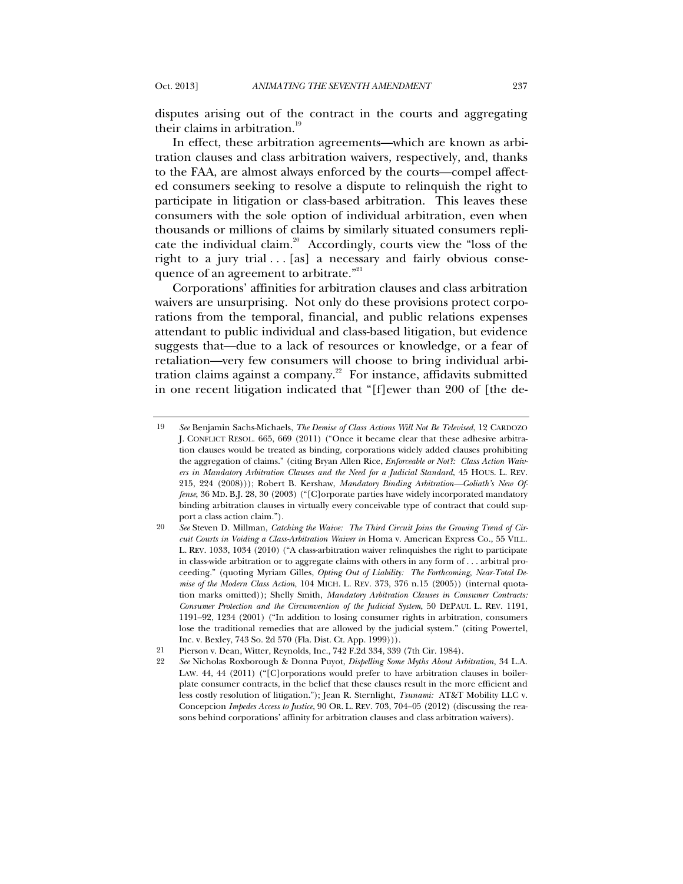disputes arising out of the contract in the courts and aggregating their claims in arbitration.<sup>19</sup>

In effect, these arbitration agreements—which are known as arbitration clauses and class arbitration waivers, respectively, and, thanks to the FAA, are almost always enforced by the courts—compel affected consumers seeking to resolve a dispute to relinquish the right to participate in litigation or class-based arbitration. This leaves these consumers with the sole option of individual arbitration, even when thousands or millions of claims by similarly situated consumers replicate the individual claim.<sup>20</sup> Accordingly, courts view the "loss of the right to a jury trial  $\ldots$  [as] a necessary and fairly obvious consequence of an agreement to arbitrate."<sup>21</sup>

Corporations' affinities for arbitration clauses and class arbitration waivers are unsurprising. Not only do these provisions protect corporations from the temporal, financial, and public relations expenses attendant to public individual and class-based litigation, but evidence suggests that—due to a lack of resources or knowledge, or a fear of retaliation—very few consumers will choose to bring individual arbitration claims against a company.<sup>22</sup> For instance, affidavits submitted in one recent litigation indicated that "[f]ewer than 200 of [the de-

<sup>19</sup> *See* Benjamin Sachs-Michaels, *The Demise of Class Actions Will Not Be Televised*, 12 CARDOZO J. CONFLICT RESOL. 665, 669 (2011) ("Once it became clear that these adhesive arbitration clauses would be treated as binding, corporations widely added clauses prohibiting the aggregation of claims." (citing Bryan Allen Rice, *Enforceable or Not?: Class Action Waivers in Mandatory Arbitration Clauses and the Need for a Judicial Standard*, 45 HOUS. L. REV. 215, 224 (2008))); Robert B. Kershaw, *Mandatory Binding Arbitration—Goliath's New Offense*, 36 MD. B.J. 28, 30 (2003) ("[C]orporate parties have widely incorporated mandatory binding arbitration clauses in virtually every conceivable type of contract that could support a class action claim.").

<sup>20</sup> *See* Steven D. Millman, *Catching the Waive: The Third Circuit Joins the Growing Trend of Circuit Courts in Voiding a Class-Arbitration Waiver in* Homa v. American Express Co., 55 VILL. L. REV. 1033, 1034 (2010) ("A class-arbitration waiver relinquishes the right to participate in class-wide arbitration or to aggregate claims with others in any form of . . . arbitral proceeding." (quoting Myriam Gilles, *Opting Out of Liability: The Forthcoming, Near-Total Demise of the Modern Class Action*, 104 MICH. L. REV. 373, 376 n.15 (2005)) (internal quotation marks omitted)); Shelly Smith, *Mandatory Arbitration Clauses in Consumer Contracts: Consumer Protection and the Circumvention of the Judicial System*, 50 DEPAUL L. REV. 1191, 1191–92, 1234 (2001) ("In addition to losing consumer rights in arbitration, consumers lose the traditional remedies that are allowed by the judicial system." (citing Powertel, Inc. v. Bexley, 743 So. 2d 570 (Fla. Dist. Ct. App. 1999))).

<sup>21</sup> Pierson v. Dean, Witter, Reynolds, Inc., 742 F.2d 334, 339 (7th Cir. 1984).

<sup>22</sup> *See* Nicholas Roxborough & Donna Puyot, *Dispelling Some Myths About Arbitration*, 34 L.A. LAW. 44, 44 (2011) ("[C]orporations would prefer to have arbitration clauses in boilerplate consumer contracts, in the belief that these clauses result in the more efficient and less costly resolution of litigation."); Jean R. Sternlight, *Tsunami:* AT&T Mobility LLC v. Concepcion *Impedes Access to Justice*, 90 OR. L. REV. 703, 704–05 (2012) (discussing the reasons behind corporations' affinity for arbitration clauses and class arbitration waivers).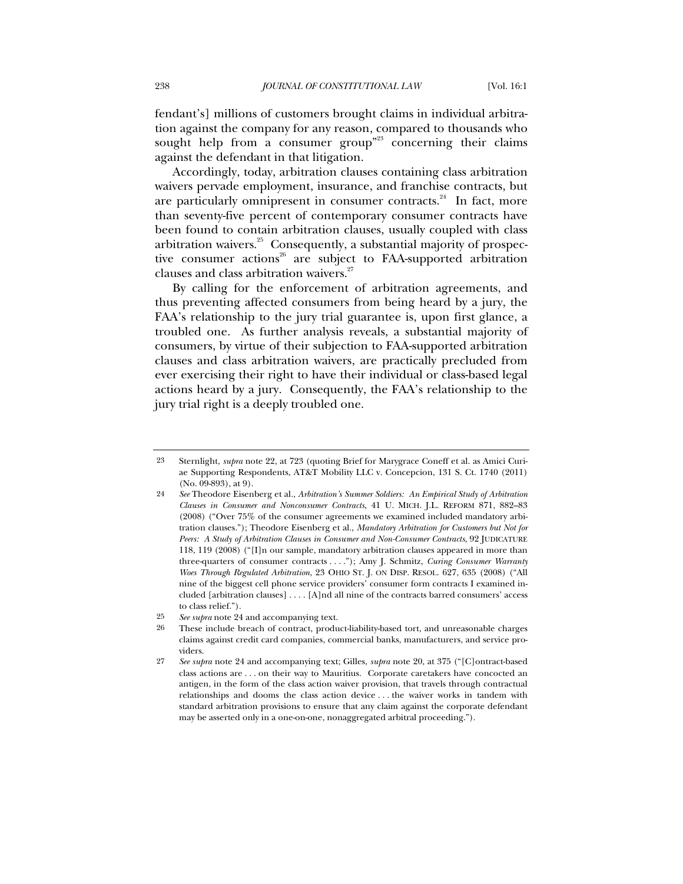fendant's] millions of customers brought claims in individual arbitration against the company for any reason, compared to thousands who sought help from a consumer group<sup>"23</sup> concerning their claims against the defendant in that litigation.

Accordingly, today, arbitration clauses containing class arbitration waivers pervade employment, insurance, and franchise contracts, but are particularly omnipresent in consumer contracts.<sup>24</sup> In fact, more than seventy-five percent of contemporary consumer contracts have been found to contain arbitration clauses, usually coupled with class arbitration waivers.<sup>25</sup> Consequently, a substantial majority of prospective consumer actions<sup>26</sup> are subject to FAA-supported arbitration clauses and class arbitration waivers.<sup>27</sup>

By calling for the enforcement of arbitration agreements, and thus preventing affected consumers from being heard by a jury, the FAA's relationship to the jury trial guarantee is, upon first glance, a troubled one. As further analysis reveals, a substantial majority of consumers, by virtue of their subjection to FAA-supported arbitration clauses and class arbitration waivers, are practically precluded from ever exercising their right to have their individual or class-based legal actions heard by a jury. Consequently, the FAA's relationship to the jury trial right is a deeply troubled one.

<sup>23</sup> Sternlight, *supra* note 22, at 723 (quoting Brief for Marygrace Coneff et al. as Amici Curiae Supporting Respondents, AT&T Mobility LLC v. Concepcion, 131 S. Ct. 1740 (2011) (No. 09-893), at 9).

<sup>24</sup> *See* Theodore Eisenberg et al., *Arbitration's Summer Soldiers: An Empirical Study of Arbitration Clauses in Consumer and Nonconsumer Contracts*, 41 U. MICH. J.L. REFORM 871, 882–83 (2008) ("Over 75% of the consumer agreements we examined included mandatory arbitration clauses."); Theodore Eisenberg et al., *Mandatory Arbitration for Customers but Not for Peers: A Study of Arbitration Clauses in Consumer and Non-Consumer Contracts*, 92 JUDICATURE 118, 119 (2008) ("[I]n our sample, mandatory arbitration clauses appeared in more than three-quarters of consumer contracts . . . ."); Amy J. Schmitz, *Curing Consumer Warranty Woes Through Regulated Arbitration*, 23 OHIO ST. J. ON DISP. RESOL. 627, 635 (2008) ("All nine of the biggest cell phone service providers' consumer form contracts I examined included [arbitration clauses] . . . . [A]nd all nine of the contracts barred consumers' access to class relief.").

<sup>25</sup> *See supra* note 24 and accompanying text.

<sup>26</sup> These include breach of contract, product-liability-based tort, and unreasonable charges claims against credit card companies, commercial banks, manufacturers, and service providers.

<sup>27</sup> *See supra* note 24 and accompanying text; Gilles, *supra* note 20, at 375 ("[C]ontract-based class actions are . . . on their way to Mauritius. Corporate caretakers have concocted an antigen, in the form of the class action waiver provision, that travels through contractual relationships and dooms the class action device . . . the waiver works in tandem with standard arbitration provisions to ensure that any claim against the corporate defendant may be asserted only in a one-on-one, nonaggregated arbitral proceeding.").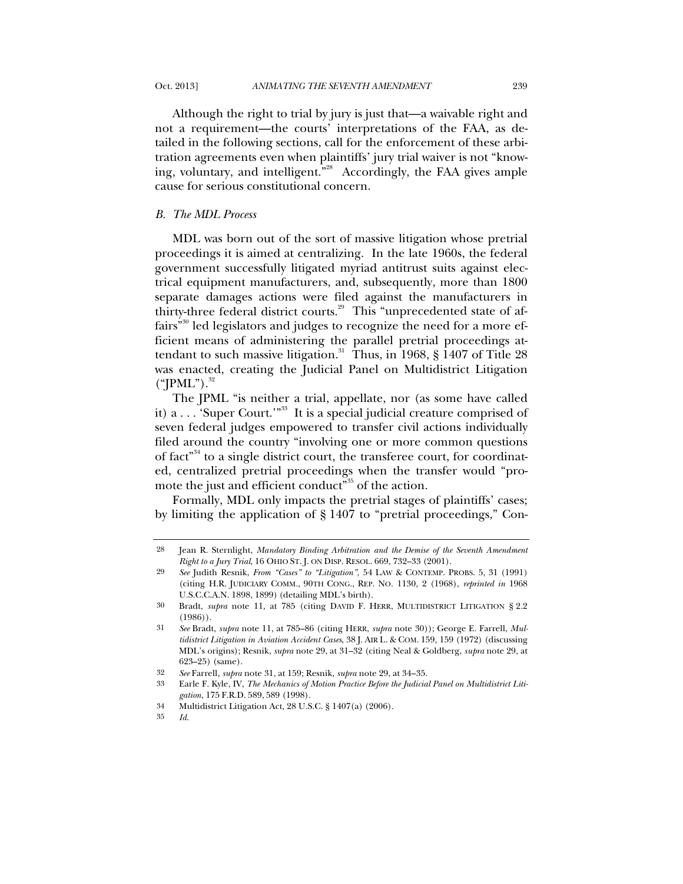Although the right to trial by jury is just that—a waivable right and not a requirement—the courts' interpretations of the FAA, as detailed in the following sections, call for the enforcement of these arbitration agreements even when plaintiffs' jury trial waiver is not "knowing, voluntary, and intelligent."<sup>28</sup> Accordingly, the FAA gives ample cause for serious constitutional concern.

### *B. The MDL Process*

MDL was born out of the sort of massive litigation whose pretrial proceedings it is aimed at centralizing. In the late 1960s, the federal government successfully litigated myriad antitrust suits against electrical equipment manufacturers, and, subsequently, more than 1800 separate damages actions were filed against the manufacturers in thirty-three federal district courts.<sup>29</sup> This "unprecedented state of affairs<sup>"30</sup> led legislators and judges to recognize the need for a more efficient means of administering the parallel pretrial proceedings attendant to such massive litigation.<sup>31</sup> Thus, in 1968,  $\S$  1407 of Title 28 was enacted, creating the Judicial Panel on Multidistrict Litigation  $("|PML")$ .<sup>32</sup>

The JPML "is neither a trial, appellate, nor (as some have called it)  $a \ldots$  'Super Court.'"<sup>33</sup> It is a special judicial creature comprised of seven federal judges empowered to transfer civil actions individually filed around the country "involving one or more common questions of fact<sup>34</sup> to a single district court, the transferee court, for coordinated, centralized pretrial proceedings when the transfer would "promote the just and efficient conduct<sup>"35</sup> of the action.

Formally, MDL only impacts the pretrial stages of plaintiffs' cases; by limiting the application of § 1407 to "pretrial proceedings," Con-

<sup>28</sup> Jean R. Sternlight, *Mandatory Binding Arbitration and the Demise of the Seventh Amendment Right to a Jury Trial*, 16 OHIO ST. J. ON DISP. RESOL. 669, 732–33 (2001).

<sup>29</sup> *See* Judith Resnik, *From "Cases" to "Litigation"*, 54 LAW & CONTEMP. PROBS. 5, 31 (1991) (citing H.R. JUDICIARY COMM., 90TH CONG., REP. NO. 1130, 2 (1968), *reprinted in* 1968 U.S.C.C.A.N. 1898, 1899) (detailing MDL's birth).

<sup>30</sup> Bradt, *supra* note 11, at 785 (citing DAVID F. HERR, MULTIDISTRICT LITIGATION § 2.2 (1986)).

<sup>31</sup> *See* Bradt, *supra* note 11, at 785–86 (citing HERR, *supra* note 30)); George E. Farrell, *Multidistrict Litigation in Aviation Accident Cases*, 38 J. AIR L. & COM. 159, 159 (1972) (discussing MDL's origins); Resnik, *supra* note 29, at 31–32 (citing Neal & Goldberg, *supra* note 29, at 623–25) (same).

<sup>32</sup> *See* Farrell, *supra* note 31, at 159; Resnik, *supra* note 29, at 34–35.

<sup>33</sup> Earle F. Kyle, IV, *The Mechanics of Motion Practice Before the Judicial Panel on Multidistrict Litigation*, 175 F.R.D. 589, 589 (1998).

<sup>34</sup> Multidistrict Litigation Act, 28 U.S.C. § 1407(a) (2006).

<sup>35</sup> *Id*.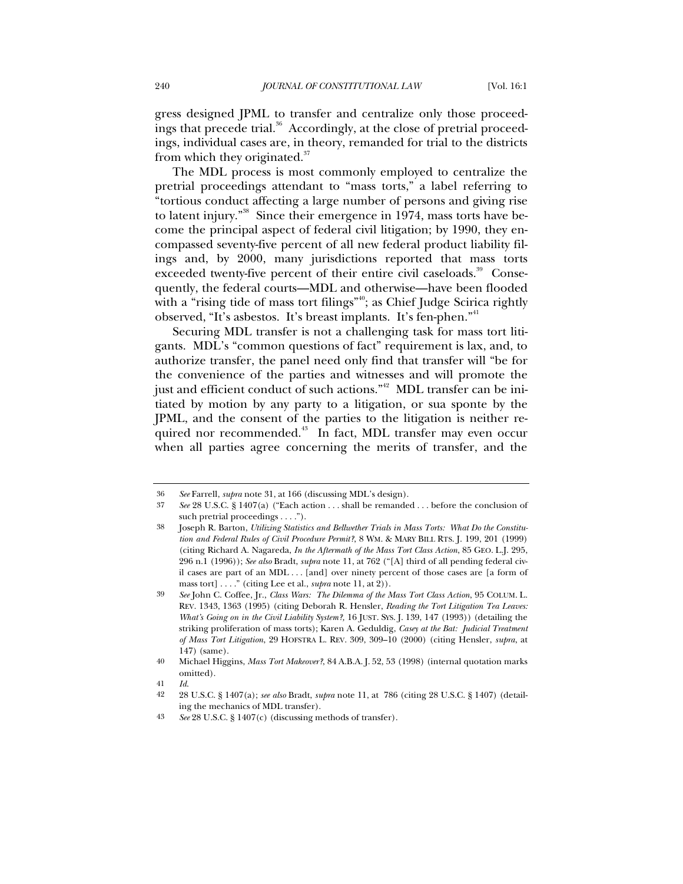gress designed JPML to transfer and centralize only those proceedings that precede trial.<sup>36</sup> Accordingly, at the close of pretrial proceedings, individual cases are, in theory, remanded for trial to the districts from which they originated. $37$ 

The MDL process is most commonly employed to centralize the pretrial proceedings attendant to "mass torts," a label referring to "tortious conduct affecting a large number of persons and giving rise to latent injury."<sup>38</sup> Since their emergence in 1974, mass torts have become the principal aspect of federal civil litigation; by 1990, they encompassed seventy-five percent of all new federal product liability filings and, by 2000, many jurisdictions reported that mass torts exceeded twenty-five percent of their entire civil caseloads.<sup>39</sup> Consequently, the federal courts—MDL and otherwise—have been flooded with a "rising tide of mass tort filings"<sup>40</sup>; as Chief Judge Scirica rightly observed, "It's asbestos. It's breast implants. It's fen-phen."<sup>41</sup>

Securing MDL transfer is not a challenging task for mass tort litigants. MDL's "common questions of fact" requirement is lax, and, to authorize transfer, the panel need only find that transfer will "be for the convenience of the parties and witnesses and will promote the just and efficient conduct of such actions."<sup>42</sup> MDL transfer can be initiated by motion by any party to a litigation, or sua sponte by the JPML, and the consent of the parties to the litigation is neither required nor recommended.<sup>43</sup> In fact, MDL transfer may even occur when all parties agree concerning the merits of transfer, and the

<sup>36</sup> *See* Farrell, *supra* note 31, at 166 (discussing MDL's design).

<sup>37</sup> *See* 28 U.S.C. § 1407(a) ("Each action . . . shall be remanded . . . before the conclusion of such pretrial proceedings . . . .").

<sup>38</sup> Joseph R. Barton, *Utilizing Statistics and Bellwether Trials in Mass Torts: What Do the Constitution and Federal Rules of Civil Procedure Permit?*, 8 WM. & MARY BILL RTS. J. 199, 201 (1999) (citing Richard A. Nagareda, *In the Aftermath of the Mass Tort Class Action*, 85 GEO. L.J. 295, 296 n.1 (1996)); *See also* Bradt, *supra* note 11, at 762 ("[A] third of all pending federal civil cases are part of an MDL . . . [and] over ninety percent of those cases are [a form of mass tort] . . . ." (citing Lee et al., *supra* note 11, at 2)).

<sup>39</sup> *See* John C. Coffee, Jr., *Class Wars: The Dilemma of the Mass Tort Class Action*, 95 COLUM. L. REV. 1343, 1363 (1995) (citing Deborah R. Hensler, *Reading the Tort Litigation Tea Leaves: What's Going on in the Civil Liability System?,* 16 JUST. SYS. J. 139, 147 (1993)) (detailing the striking proliferation of mass torts); Karen A. Geduldig, *Casey at the Bat: Judicial Treatment of Mass Tort Litigation*, 29 HOFSTRA L. REV. 309, 309–10 (2000) (citing Hensler, *supra*, at 147) (same).

<sup>40</sup> Michael Higgins, *Mass Tort Makeover?*, 84 A.B.A. J. 52, 53 (1998) (internal quotation marks omitted).

<sup>41</sup> *Id*.

<sup>42</sup> 28 U.S.C. § 1407(a); *see also* Bradt, *supra* note 11, at 786 (citing 28 U.S.C. § 1407) (detailing the mechanics of MDL transfer).

<sup>43</sup> *See* 28 U.S.C. § 1407(c) (discussing methods of transfer).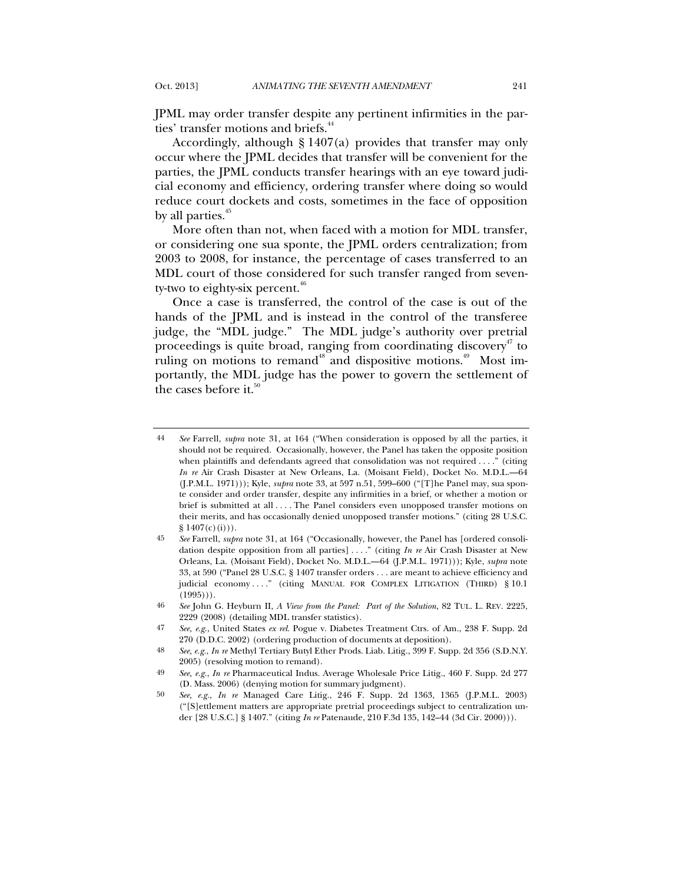JPML may order transfer despite any pertinent infirmities in the parties' transfer motions and briefs.<sup>44</sup>

Accordingly, although § 1407(a) provides that transfer may only occur where the JPML decides that transfer will be convenient for the parties, the JPML conducts transfer hearings with an eye toward judicial economy and efficiency, ordering transfer where doing so would reduce court dockets and costs, sometimes in the face of opposition by all parties.<sup>45</sup>

More often than not, when faced with a motion for MDL transfer, or considering one sua sponte, the JPML orders centralization; from 2003 to 2008, for instance, the percentage of cases transferred to an MDL court of those considered for such transfer ranged from seventy-two to eighty-six percent.<sup>46</sup>

Once a case is transferred, the control of the case is out of the hands of the JPML and is instead in the control of the transferee judge, the "MDL judge." The MDL judge's authority over pretrial proceedings is quite broad, ranging from coordinating discovery<sup> $47$ </sup> to ruling on motions to remand<sup>48</sup> and dispositive motions.<sup>49</sup> Most importantly, the MDL judge has the power to govern the settlement of the cases before it. $50$ 

<sup>44</sup> *See* Farrell, *supra* note 31, at 164 ("When consideration is opposed by all the parties, it should not be required. Occasionally, however, the Panel has taken the opposite position when plaintiffs and defendants agreed that consolidation was not required . . . ." (citing *In re* Air Crash Disaster at New Orleans, La. (Moisant Field), Docket No. M.D.L.—64 (J.P.M.L. 1971))); Kyle, *supra* note 33, at 597 n.51, 599–600 ("[T]he Panel may, sua sponte consider and order transfer, despite any infirmities in a brief, or whether a motion or brief is submitted at all . . . . The Panel considers even unopposed transfer motions on their merits, and has occasionally denied unopposed transfer motions." (citing 28 U.S.C.  $$1407(c)(i))$ .

<sup>45</sup> *See* Farrell, *supra* note 31, at 164 ("Occasionally, however, the Panel has [ordered consolidation despite opposition from all parties] . . . ." (citing *In re* Air Crash Disaster at New Orleans, La. (Moisant Field), Docket No. M.D.L.—64 (J.P.M.L. 1971))); Kyle, *supra* note 33, at 590 ("Panel 28 U.S.C. § 1407 transfer orders . . . are meant to achieve efficiency and judicial economy ...." (citing MANUAL FOR COMPLEX LITIGATION (THIRD) § 10.1  $(1995)$ ).

<sup>46</sup> *See* John G. Heyburn II, *A View from the Panel: Part of the Solution*, 82 TUL. L. REV. 2225, 2229 (2008) (detailing MDL transfer statistics).

<sup>47</sup> *See, e.g.*, United States *ex rel.* Pogue v. Diabetes Treatment Ctrs. of Am., 238 F. Supp. 2d 270 (D.D.C. 2002) (ordering production of documents at deposition).

<sup>48</sup> *See, e.g.*, *In re* Methyl Tertiary Butyl Ether Prods. Liab. Litig., 399 F. Supp. 2d 356 (S.D.N.Y. 2005) (resolving motion to remand).

<sup>49</sup> *See, e.g.*, *In re* Pharmaceutical Indus. Average Wholesale Price Litig., 460 F. Supp. 2d 277 (D. Mass. 2006) (denying motion for summary judgment).

<sup>50</sup> *See, e.g.*, *In re* Managed Care Litig., 246 F. Supp. 2d 1363, 1365 (J.P.M.L. 2003) ("[S]ettlement matters are appropriate pretrial proceedings subject to centralization under [28 U.S.C.] § 1407." (citing *In re* Patenaude, 210 F.3d 135, 142–44 (3d Cir. 2000))).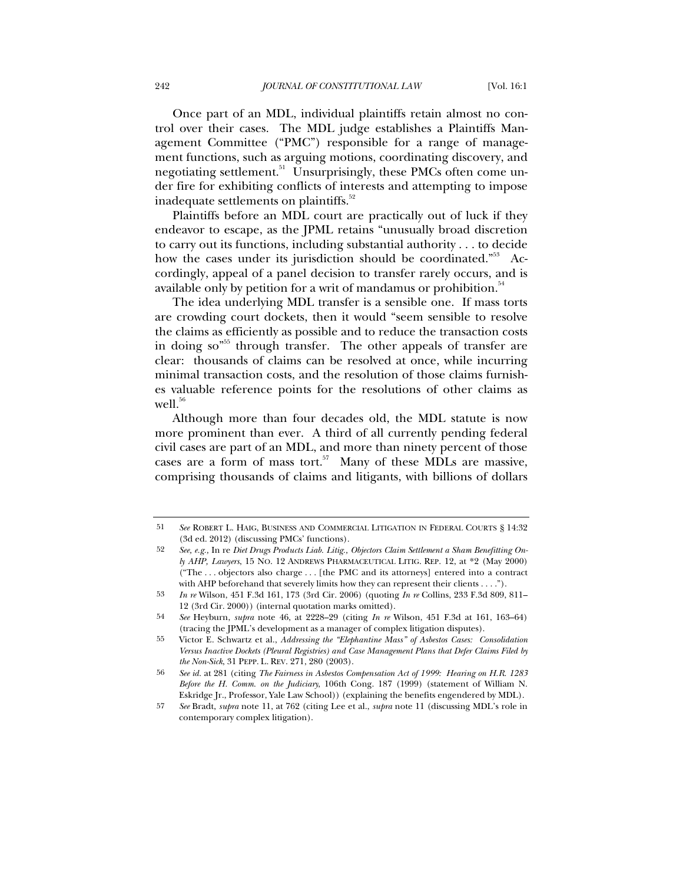Once part of an MDL, individual plaintiffs retain almost no control over their cases. The MDL judge establishes a Plaintiffs Management Committee ("PMC") responsible for a range of management functions, such as arguing motions, coordinating discovery, and negotiating settlement.<sup>51</sup> Unsurprisingly, these PMCs often come under fire for exhibiting conflicts of interests and attempting to impose inadequate settlements on plaintiffs.<sup>52</sup>

Plaintiffs before an MDL court are practically out of luck if they endeavor to escape, as the JPML retains "unusually broad discretion to carry out its functions, including substantial authority . . . to decide how the cases under its jurisdiction should be coordinated."<sup>53</sup> Accordingly, appeal of a panel decision to transfer rarely occurs, and is available only by petition for a writ of mandamus or prohibition.<sup>54</sup>

The idea underlying MDL transfer is a sensible one. If mass torts are crowding court dockets, then it would "seem sensible to resolve the claims as efficiently as possible and to reduce the transaction costs in doing so<sup> $55$ </sup> through transfer. The other appeals of transfer are clear: thousands of claims can be resolved at once, while incurring minimal transaction costs, and the resolution of those claims furnishes valuable reference points for the resolutions of other claims as  $well.<sup>56</sup>$ 

Although more than four decades old, the MDL statute is now more prominent than ever. A third of all currently pending federal civil cases are part of an MDL, and more than ninety percent of those cases are a form of mass tort.<sup>57</sup> Many of these MDLs are massive, comprising thousands of claims and litigants, with billions of dollars

<sup>51</sup> *See* ROBERT L. HAIG, BUSINESS AND COMMERCIAL LITIGATION IN FEDERAL COURTS § 14:32 (3d ed. 2012) (discussing PMCs' functions).

<sup>52</sup> *See, e.g.,* In re *Diet Drugs Products Liab. Litig., Objectors Claim Settlement a Sham Benefitting Only AHP, Lawyers*, 15 NO. 12 ANDREWS PHARMACEUTICAL LITIG. REP. 12, at \*2 (May 2000) ("The . . . objectors also charge . . . [the PMC and its attorneys] entered into a contract with AHP beforehand that severely limits how they can represent their clients . . . .").

<sup>53</sup> *In re* Wilson, 451 F.3d 161, 173 (3rd Cir. 2006) (quoting *In re* Collins, 233 F.3d 809, 811– 12 (3rd Cir. 2000)) (internal quotation marks omitted).

<sup>54</sup> *See* Heyburn, *supra* note 46, at 2228–29 (citing *In re* Wilson, 451 F.3d at 161, 163–64) (tracing the JPML's development as a manager of complex litigation disputes).

<sup>55</sup> Victor E. Schwartz et al., *Addressing the "Elephantine Mass" of Asbestos Cases: Consolidation Versus Inactive Dockets (Pleural Registries) and Case Management Plans that Defer Claims Filed by the Non-Sick*, 31 PEPP. L. REV. 271, 280 (2003).

<sup>56</sup> *See id.* at 281 (citing *The Fairness in Asbestos Compensation Act of 1999: Hearing on H.R. 1283 Before the H. Comm. on the Judiciary*, 106th Cong. 187 (1999) (statement of William N. Eskridge Jr., Professor, Yale Law School)) (explaining the benefits engendered by MDL).

<sup>57</sup> *See* Bradt, *supra* note 11, at 762 (citing Lee et al., *supra* note 11 (discussing MDL's role in contemporary complex litigation).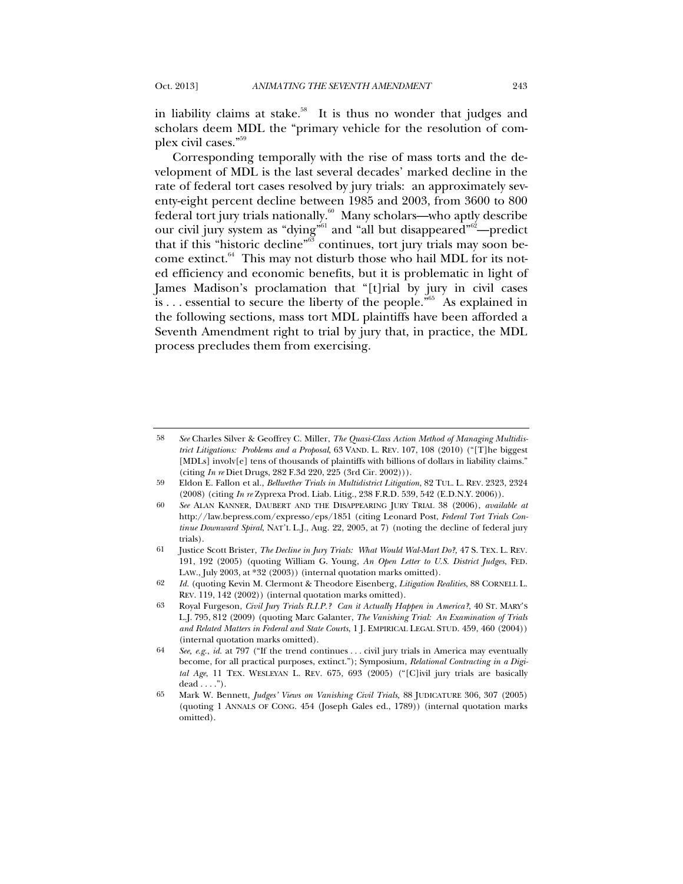in liability claims at stake.<sup>58</sup> It is thus no wonder that judges and scholars deem MDL the "primary vehicle for the resolution of complex civil cases."59

Corresponding temporally with the rise of mass torts and the development of MDL is the last several decades' marked decline in the rate of federal tort cases resolved by jury trials: an approximately seventy-eight percent decline between 1985 and 2003, from 3600 to 800 federal tort jury trials nationally. $^{60}$  Many scholars—who aptly describe our civil jury system as "dying"<sup>61</sup> and "all but disappeared"<sup>62</sup>—predict that if this "historic decline"<sup>63</sup> continues, tort jury trials may soon become extinct. $^{64}$  This may not disturb those who hail MDL for its noted efficiency and economic benefits, but it is problematic in light of James Madison's proclamation that "[t]rial by jury in civil cases is ... essential to secure the liberty of the people."<sup>65</sup> As explained in the following sections, mass tort MDL plaintiffs have been afforded a Seventh Amendment right to trial by jury that, in practice, the MDL process precludes them from exercising.

<sup>58</sup> *See* Charles Silver & Geoffrey C. Miller, *The Quasi-Class Action Method of Managing Multidistrict Litigations: Problems and a Proposal*, 63 VAND. L. REV. 107, 108 (2010) ("[T]he biggest [MDLs] involv[e] tens of thousands of plaintiffs with billions of dollars in liability claims." (citing *In re* Diet Drugs, 282 F.3d 220, 225 (3rd Cir. 2002))).

<sup>59</sup> Eldon E. Fallon et al., *Bellwether Trials in Multidistrict Litigation*, 82 TUL. L. REV. 2323, 2324 (2008) (citing *In re* Zyprexa Prod. Liab. Litig., 238 F.R.D. 539, 542 (E.D.N.Y. 2006)).

<sup>60</sup> *See* ALAN KANNER, DAUBERT AND THE DISAPPEARING JURY TRIAL 38 (2006), *available at* http://law.bepress.com/expresso/eps/1851 (citing Leonard Post, *Federal Tort Trials Continue Downward Spiral*, NAT'L L.J., Aug. 22, 2005, at 7) (noting the decline of federal jury trials).

<sup>61</sup> Justice Scott Brister, *The Decline in Jury Trials: What Would Wal-Mart Do?,* 47 S. TEX. L. REV. 191, 192 (2005) (quoting William G. Young, *An Open Letter to U.S. District Judges*, FED. LAW., July 2003, at \*32 (2003)) (internal quotation marks omitted).

<sup>62</sup> *Id.* (quoting Kevin M. Clermont & Theodore Eisenberg, *Litigation Realities*, 88 CORNELL L. REV. 119, 142 (2002)) (internal quotation marks omitted).

<sup>63</sup> Royal Furgeson, *Civil Jury Trials R.I.P.? Can it Actually Happen in America?*, 40 ST. MARY'S L.J. 795, 812 (2009) (quoting Marc Galanter, *The Vanishing Trial: An Examination of Trials and Related Matters in Federal and State Courts*, 1 J. EMPIRICAL LEGAL STUD. 459, 460 (2004)) (internal quotation marks omitted).

<sup>64</sup> *See, e.g.*, *id.* at 797 ("If the trend continues . . . civil jury trials in America may eventually become, for all practical purposes, extinct."); Symposium, *Relational Contracting in a Digital Age*, 11 TEX. WESLEYAN L. REV. 675, 693 (2005) ("[C]ivil jury trials are basically  $dead \ldots$ ").

<sup>65</sup> Mark W. Bennett, *Judges' Views on Vanishing Civil Trials,* 88 JUDICATURE 306, 307 (2005) (quoting 1 ANNALS OF CONG. 454 (Joseph Gales ed., 1789)) (internal quotation marks omitted).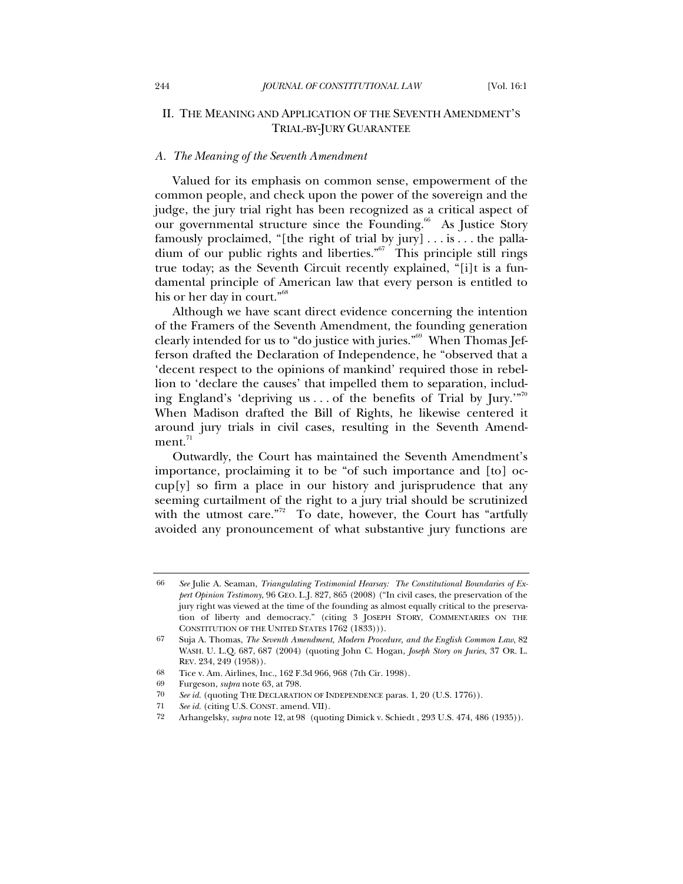## II. THE MEANING AND APPLICATION OF THE SEVENTH AMENDMENT'S TRIAL-BY-JURY GUARANTEE

#### *A. The Meaning of the Seventh Amendment*

Valued for its emphasis on common sense, empowerment of the common people, and check upon the power of the sovereign and the judge, the jury trial right has been recognized as a critical aspect of our governmental structure since the Founding.<sup>66</sup> As Justice Story famously proclaimed, "[the right of trial by jury] . . . is . . . the palladium of our public rights and liberties."67 This principle still rings true today; as the Seventh Circuit recently explained, "[i]t is a fundamental principle of American law that every person is entitled to his or her day in court."68

Although we have scant direct evidence concerning the intention of the Framers of the Seventh Amendment, the founding generation clearly intended for us to "do justice with juries."69 When Thomas Jefferson drafted the Declaration of Independence, he "observed that a 'decent respect to the opinions of mankind' required those in rebellion to 'declare the causes' that impelled them to separation, including England's 'depriving us... of the benefits of Trial by  $\text{Jury.}^{\cdot\cdot\cdot\cdot\cdot\cdot}$ When Madison drafted the Bill of Rights, he likewise centered it around jury trials in civil cases, resulting in the Seventh Amend $ment.<sup>71</sup>$ 

Outwardly, the Court has maintained the Seventh Amendment's importance, proclaiming it to be "of such importance and [to] occup[y] so firm a place in our history and jurisprudence that any seeming curtailment of the right to a jury trial should be scrutinized with the utmost care."<sup>72</sup> To date, however, the Court has "artfully avoided any pronouncement of what substantive jury functions are

<sup>66</sup> *See* Julie A. Seaman, *Triangulating Testimonial Hearsay: The Constitutional Boundaries of Expert Opinion Testimony*, 96 GEO. L.J. 827, 865 (2008) ("In civil cases, the preservation of the jury right was viewed at the time of the founding as almost equally critical to the preservation of liberty and democracy." (citing 3 JOSEPH STORY, COMMENTARIES ON THE CONSTITUTION OF THE UNITED STATES 1762 (1833))).

<sup>67</sup> Suja A. Thomas, *The Seventh Amendment, Modern Procedure, and the English Common Law*, 82 WASH. U. L.Q. 687, 687 (2004) (quoting John C. Hogan, *Joseph Story on Juries*, 37 OR. L. REV. 234, 249 (1958)).

<sup>68</sup> Tice v. Am. Airlines, Inc., 162 F.3d 966, 968 (7th Cir. 1998).

<sup>69</sup> Furgeson, *supra* note 63, at 798.

<sup>70</sup> *See id.* (quoting THE DECLARATION OF INDEPENDENCE paras. 1, 20 (U.S. 1776)).

<sup>71</sup> *See id.* (citing U.S. CONST. amend. VII).

<sup>72</sup> Arhangelsky, *supra* note 12, at 98 (quoting Dimick v. Schiedt , 293 U.S. 474, 486 (1935)).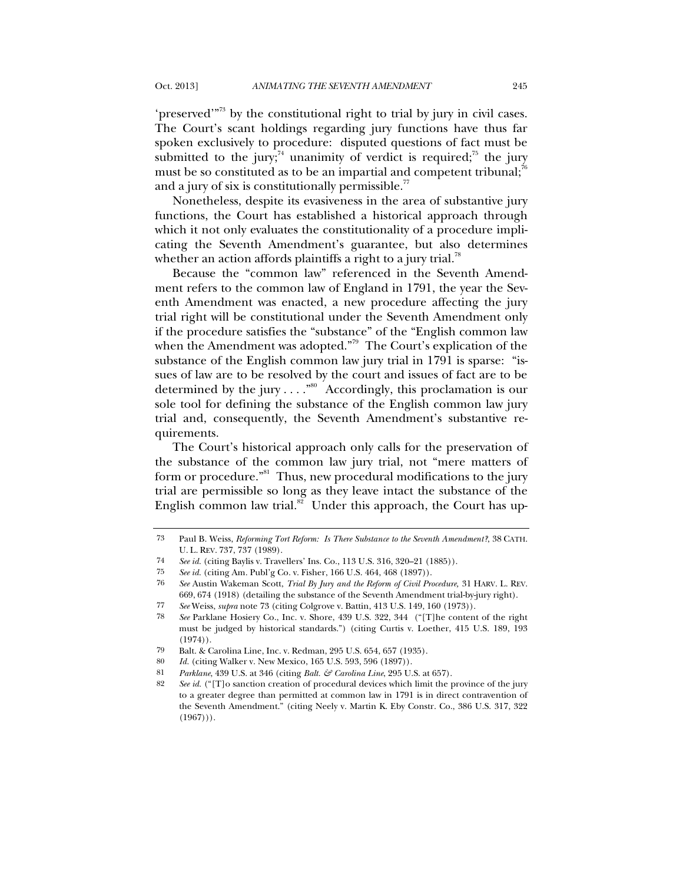'preserved'<sup>"73</sup> by the constitutional right to trial by jury in civil cases. The Court's scant holdings regarding jury functions have thus far spoken exclusively to procedure: disputed questions of fact must be submitted to the jury;<sup>74</sup> unanimity of verdict is required;<sup>75</sup> the jury must be so constituted as to be an impartial and competent tribunal; $\bar{6}$ and a jury of six is constitutionally permissible.<sup>77</sup>

Nonetheless, despite its evasiveness in the area of substantive jury functions, the Court has established a historical approach through which it not only evaluates the constitutionality of a procedure implicating the Seventh Amendment's guarantee, but also determines whether an action affords plaintiffs a right to a jury trial.<sup>78</sup>

Because the "common law" referenced in the Seventh Amendment refers to the common law of England in 1791, the year the Seventh Amendment was enacted, a new procedure affecting the jury trial right will be constitutional under the Seventh Amendment only if the procedure satisfies the "substance" of the "English common law when the Amendment was adopted."<sup>79</sup> The Court's explication of the substance of the English common law jury trial in 1791 is sparse: "issues of law are to be resolved by the court and issues of fact are to be determined by the jury  $\dots$ ."<sup>80</sup> Accordingly, this proclamation is our sole tool for defining the substance of the English common law jury trial and, consequently, the Seventh Amendment's substantive requirements.

The Court's historical approach only calls for the preservation of the substance of the common law jury trial, not "mere matters of form or procedure."<sup>81</sup> Thus, new procedural modifications to the jury trial are permissible so long as they leave intact the substance of the English common law trial.<sup>82</sup> Under this approach, the Court has up-

<sup>73</sup> Paul B. Weiss, *Reforming Tort Reform: Is There Substance to the Seventh Amendment?*, 38 CATH. U. L. REV. 737, 737 (1989).

<sup>74</sup> *See id.* (citing Baylis v. Travellers' Ins. Co., 113 U.S. 316, 320–21 (1885)).

<sup>75</sup> *See id.* (citing Am. Publ'g Co. v. Fisher, 166 U.S. 464, 468 (1897)).

<sup>76</sup> *See* Austin Wakeman Scott, *Trial By Jury and the Reform of Civil Procedure,* 31 HARV. L. REV. 669, 674 (1918) (detailing the substance of the Seventh Amendment trial-by-jury right).

<sup>77</sup> *See* Weiss, *supra* note 73 (citing Colgrove v. Battin, 413 U.S. 149, 160 (1973)).

<sup>78</sup> *See* Parklane Hosiery Co., Inc. v. Shore, 439 U.S. 322, 344 ("[T]he content of the right must be judged by historical standards.") (citing Curtis v. Loether, 415 U.S. 189, 193 (1974)).

<sup>79</sup> Balt. & Carolina Line, Inc. v. Redman, 295 U.S. 654, 657 (1935).

<sup>80</sup> *Id.* (citing Walker v. New Mexico, 165 U.S. 593, 596 (1897)).

<sup>81</sup> *Parklane*, 439 U.S. at 346 (citing *Balt. & Carolina Line*, 295 U.S. at 657).

<sup>82</sup> *See id.* ("[T]o sanction creation of procedural devices which limit the province of the jury to a greater degree than permitted at common law in 1791 is in direct contravention of the Seventh Amendment." (citing Neely v. Martin K. Eby Constr. Co., 386 U.S. 317, 322  $(1967))$ .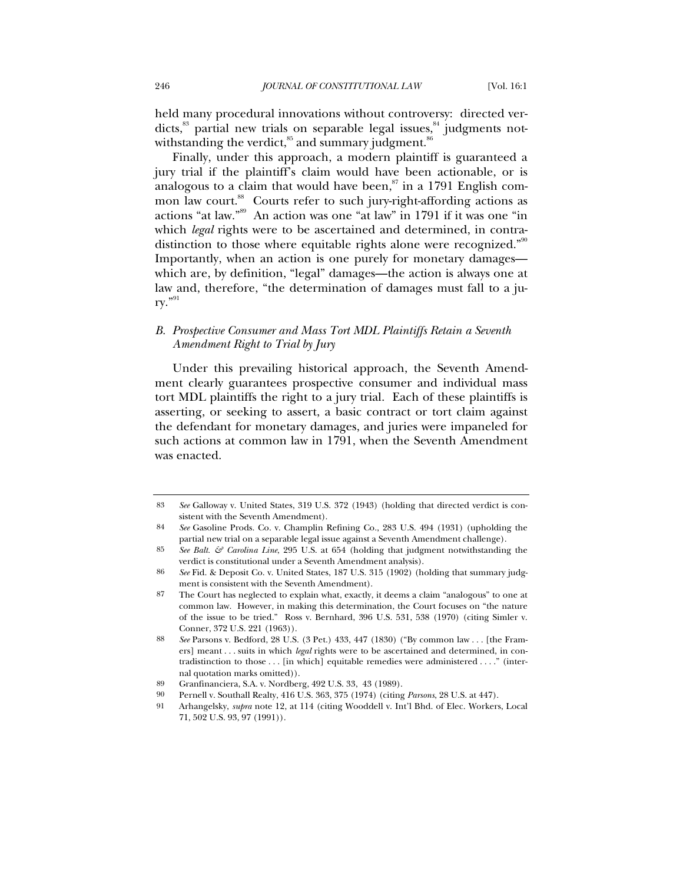held many procedural innovations without controversy: directed verdicts, $^{83}$  partial new trials on separable legal issues, $^{84}$  judgments notwithstanding the verdict, $85$  and summary judgment. $86$ 

Finally, under this approach, a modern plaintiff is guaranteed a jury trial if the plaintiff's claim would have been actionable, or is analogous to a claim that would have been, $\frac{87}{3}$  in a 1791 English common law court.<sup>88</sup> Courts refer to such jury-right-affording actions as actions "at law."89 An action was one "at law" in 1791 if it was one "in which *legal* rights were to be ascertained and determined, in contradistinction to those where equitable rights alone were recognized."<sup>90</sup> Importantly, when an action is one purely for monetary damages which are, by definition, "legal" damages—the action is always one at law and, therefore, "the determination of damages must fall to a ju- $\mathsf{rv}$ ."91

# *B. Prospective Consumer and Mass Tort MDL Plaintiffs Retain a Seventh Amendment Right to Trial by Jury*

Under this prevailing historical approach, the Seventh Amendment clearly guarantees prospective consumer and individual mass tort MDL plaintiffs the right to a jury trial. Each of these plaintiffs is asserting, or seeking to assert, a basic contract or tort claim against the defendant for monetary damages, and juries were impaneled for such actions at common law in 1791, when the Seventh Amendment was enacted.

<sup>83</sup> *See* Galloway v. United States, 319 U.S. 372 (1943) (holding that directed verdict is consistent with the Seventh Amendment).

<sup>84</sup> *See* Gasoline Prods. Co. v. Champlin Refining Co., 283 U.S. 494 (1931) (upholding the partial new trial on a separable legal issue against a Seventh Amendment challenge).

<sup>85</sup> *See Balt. & Carolina Line*, 295 U.S. at 654 (holding that judgment notwithstanding the verdict is constitutional under a Seventh Amendment analysis).

<sup>86</sup> *See* Fid. & Deposit Co. v. United States, 187 U.S. 315 (1902) (holding that summary judgment is consistent with the Seventh Amendment).

<sup>87</sup> The Court has neglected to explain what, exactly, it deems a claim "analogous" to one at common law. However, in making this determination, the Court focuses on "the nature of the issue to be tried." Ross v. Bernhard, 396 U.S. 531, 538 (1970) (citing Simler v. Conner, 372 U.S. 221 (1963)).

<sup>88</sup> *See* Parsons v. Bedford, 28 U.S. (3 Pet.) 433, 447 (1830) ("By common law . . . [the Framers] meant . . . suits in which *legal* rights were to be ascertained and determined, in contradistinction to those . . . [in which] equitable remedies were administered . . . ." (internal quotation marks omitted)).

<sup>89</sup> Granfinanciera, S.A. v. Nordberg, 492 U.S. 33, 43 (1989).

<sup>90</sup> Pernell v. Southall Realty, 416 U.S. 363, 375 (1974) (citing *Parsons*, 28 U.S. at 447).

<sup>91</sup> Arhangelsky, *supra* note 12, at 114 (citing Wooddell v. Int'l Bhd. of Elec. Workers, Local 71, 502 U.S. 93, 97 (1991)).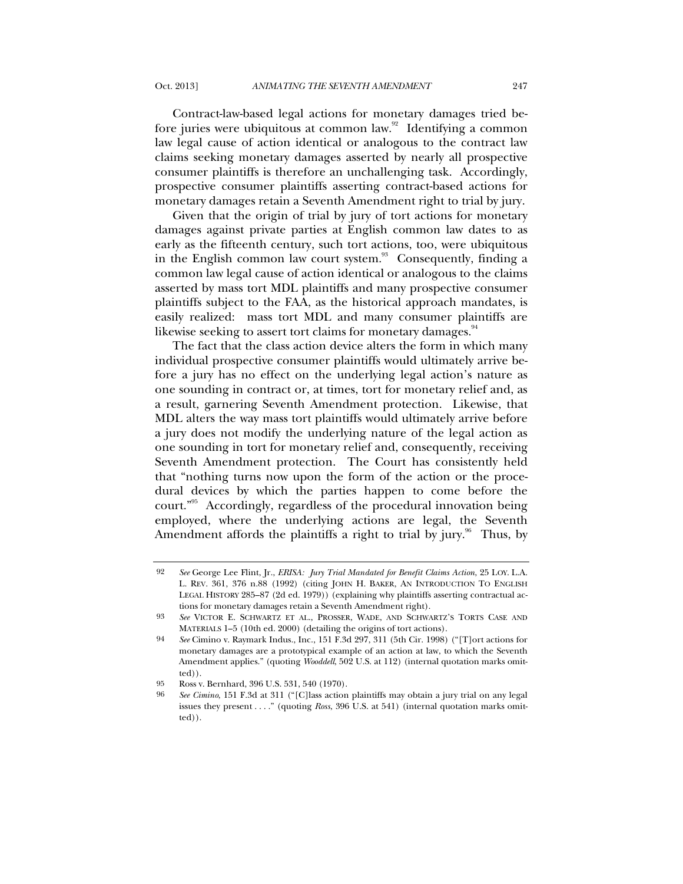Contract-law-based legal actions for monetary damages tried before juries were ubiquitous at common law.<sup>92</sup> Identifying a common law legal cause of action identical or analogous to the contract law claims seeking monetary damages asserted by nearly all prospective consumer plaintiffs is therefore an unchallenging task. Accordingly, prospective consumer plaintiffs asserting contract-based actions for monetary damages retain a Seventh Amendment right to trial by jury.

Given that the origin of trial by jury of tort actions for monetary damages against private parties at English common law dates to as early as the fifteenth century, such tort actions, too, were ubiquitous in the English common law court system. $^{93}$  Consequently, finding a common law legal cause of action identical or analogous to the claims asserted by mass tort MDL plaintiffs and many prospective consumer plaintiffs subject to the FAA, as the historical approach mandates, is easily realized: mass tort MDL and many consumer plaintiffs are likewise seeking to assert tort claims for monetary damages.<sup>94</sup>

The fact that the class action device alters the form in which many individual prospective consumer plaintiffs would ultimately arrive before a jury has no effect on the underlying legal action's nature as one sounding in contract or, at times, tort for monetary relief and, as a result, garnering Seventh Amendment protection. Likewise, that MDL alters the way mass tort plaintiffs would ultimately arrive before a jury does not modify the underlying nature of the legal action as one sounding in tort for monetary relief and, consequently, receiving Seventh Amendment protection. The Court has consistently held that "nothing turns now upon the form of the action or the procedural devices by which the parties happen to come before the court."95 Accordingly, regardless of the procedural innovation being employed, where the underlying actions are legal, the Seventh Amendment affords the plaintiffs a right to trial by jury.<sup>96</sup> Thus, by

<sup>92</sup> *See* George Lee Flint, Jr., *ERISA: Jury Trial Mandated for Benefit Claims Action*, 25 LOY. L.A. L. REV. 361, 376 n.88 (1992) (citing JOHN H. BAKER, AN INTRODUCTION TO ENGLISH LEGAL HISTORY 285–87 (2d ed. 1979)) (explaining why plaintiffs asserting contractual actions for monetary damages retain a Seventh Amendment right).

<sup>93</sup> *See* VICTOR E. SCHWARTZ ET AL., PROSSER, WADE, AND SCHWARTZ'S TORTS CASE AND MATERIALS 1–5 (10th ed. 2000) (detailing the origins of tort actions).

<sup>94</sup> *See* Cimino v. Raymark Indus., Inc., 151 F.3d 297, 311 (5th Cir. 1998) ("[T]ort actions for monetary damages are a prototypical example of an action at law, to which the Seventh Amendment applies." (quoting *Wooddell*, 502 U.S. at 112) (internal quotation marks omitted)).

<sup>95</sup> Ross v. Bernhard, 396 U.S. 531, 540 (1970).

<sup>96</sup> *See Cimino*, 151 F.3d at 311 ("[C]lass action plaintiffs may obtain a jury trial on any legal issues they present . . . ." (quoting *Ross*, 396 U.S. at 541) (internal quotation marks omitted)).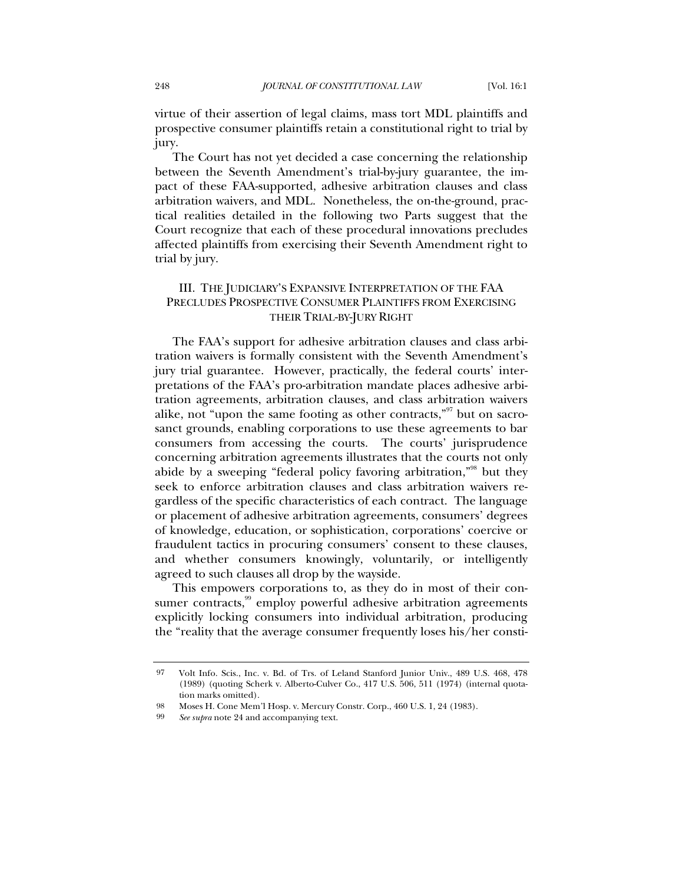virtue of their assertion of legal claims, mass tort MDL plaintiffs and prospective consumer plaintiffs retain a constitutional right to trial by jury.

The Court has not yet decided a case concerning the relationship between the Seventh Amendment's trial-by-jury guarantee, the impact of these FAA-supported, adhesive arbitration clauses and class arbitration waivers, and MDL. Nonetheless, the on-the-ground, practical realities detailed in the following two Parts suggest that the Court recognize that each of these procedural innovations precludes affected plaintiffs from exercising their Seventh Amendment right to trial by jury.

# III. THE JUDICIARY'S EXPANSIVE INTERPRETATION OF THE FAA PRECLUDES PROSPECTIVE CONSUMER PLAINTIFFS FROM EXERCISING THEIR TRIAL-BY-JURY RIGHT

The FAA's support for adhesive arbitration clauses and class arbitration waivers is formally consistent with the Seventh Amendment's jury trial guarantee. However, practically, the federal courts' interpretations of the FAA's pro-arbitration mandate places adhesive arbitration agreements, arbitration clauses, and class arbitration waivers alike, not "upon the same footing as other contracts,"<sup>97</sup> but on sacrosanct grounds, enabling corporations to use these agreements to bar consumers from accessing the courts. The courts' jurisprudence concerning arbitration agreements illustrates that the courts not only abide by a sweeping "federal policy favoring arbitration,"<sup>98</sup> but they seek to enforce arbitration clauses and class arbitration waivers regardless of the specific characteristics of each contract. The language or placement of adhesive arbitration agreements, consumers' degrees of knowledge, education, or sophistication, corporations' coercive or fraudulent tactics in procuring consumers' consent to these clauses, and whether consumers knowingly, voluntarily, or intelligently agreed to such clauses all drop by the wayside.

This empowers corporations to, as they do in most of their consumer contracts, $99$  employ powerful adhesive arbitration agreements explicitly locking consumers into individual arbitration, producing the "reality that the average consumer frequently loses his/her consti-

<sup>97</sup> Volt Info. Scis., Inc. v. Bd. of Trs. of Leland Stanford Junior Univ., 489 U.S. 468, 478 (1989) (quoting Scherk v. Alberto-Culver Co., 417 U.S. 506, 511 (1974) (internal quotation marks omitted).

<sup>98</sup> Moses H. Cone Mem'l Hosp. v. Mercury Constr. Corp., 460 U.S. 1, 24 (1983).

<sup>99</sup> *See supra* note 24 and accompanying text.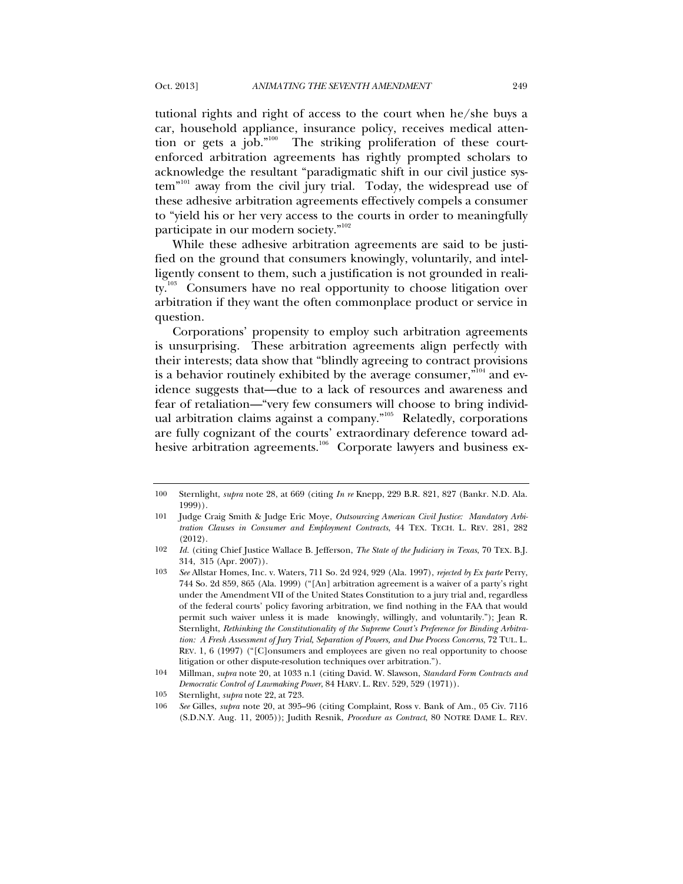tutional rights and right of access to the court when he/she buys a car, household appliance, insurance policy, receives medical attention or gets a job."<sup>100</sup> The striking proliferation of these courtenforced arbitration agreements has rightly prompted scholars to acknowledge the resultant "paradigmatic shift in our civil justice system<sup>"101</sup> away from the civil jury trial. Today, the widespread use of these adhesive arbitration agreements effectively compels a consumer to "yield his or her very access to the courts in order to meaningfully participate in our modern society."<sup>102</sup>

While these adhesive arbitration agreements are said to be justified on the ground that consumers knowingly, voluntarily, and intelligently consent to them, such a justification is not grounded in reality.<sup>103</sup> Consumers have no real opportunity to choose litigation over arbitration if they want the often commonplace product or service in question.

Corporations' propensity to employ such arbitration agreements is unsurprising. These arbitration agreements align perfectly with their interests; data show that "blindly agreeing to contract provisions is a behavior routinely exhibited by the average consumer,"<sup>104</sup> and evidence suggests that—due to a lack of resources and awareness and fear of retaliation—"very few consumers will choose to bring individual arbitration claims against a company."<sup>105</sup> Relatedly, corporations are fully cognizant of the courts' extraordinary deference toward adhesive arbitration agreements.<sup>106</sup> Corporate lawyers and business ex-

<sup>100</sup> Sternlight, *supra* note 28, at 669 (citing *In re* Knepp, 229 B.R. 821, 827 (Bankr. N.D. Ala. 1999)).

<sup>101</sup> Judge Craig Smith & Judge Eric Moye, *Outsourcing American Civil Justice: Mandatory Arbitration Clauses in Consumer and Employment Contracts*, 44 TEX. TECH. L. REV. 281, 282 (2012).

<sup>102</sup> *Id.* (citing Chief Justice Wallace B. Jefferson, *The State of the Judiciary in Texas*, 70 TEX. B.J. 314, 315 (Apr. 2007)).

<sup>103</sup> *See* Allstar Homes, Inc. v. Waters, 711 So. 2d 924, 929 (Ala. 1997), *rejected by Ex parte* Perry, 744 So. 2d 859, 865 (Ala. 1999) ("[An] arbitration agreement is a waiver of a party's right under the Amendment VII of the United States Constitution to a jury trial and, regardless of the federal courts' policy favoring arbitration, we find nothing in the FAA that would permit such waiver unless it is made knowingly, willingly, and voluntarily."); Jean R. Sternlight, *Rethinking the Constitutionality of the Supreme Court's Preference for Binding Arbitration: A Fresh Assessment of Jury Trial, Separation of Powers, and Due Process Concerns*, 72 TUL. L. REV. 1, 6 (1997) ("[C]onsumers and employees are given no real opportunity to choose litigation or other dispute-resolution techniques over arbitration.").

<sup>104</sup> Millman, *supra* note 20, at 1033 n.1 (citing David. W. Slawson, *Standard Form Contracts and Democratic Control of Lawmaking Power*, 84 HARV. L. REV. 529, 529 (1971)).

<sup>105</sup> Sternlight, *supra* note 22, at 723.

<sup>106</sup> *See* Gilles, *supra* note 20, at 395–96 (citing Complaint, Ross v. Bank of Am., 05 Civ. 7116 (S.D.N.Y. Aug. 11, 2005)); Judith Resnik, *Procedure as Contract*, 80 NOTRE DAME L. REV.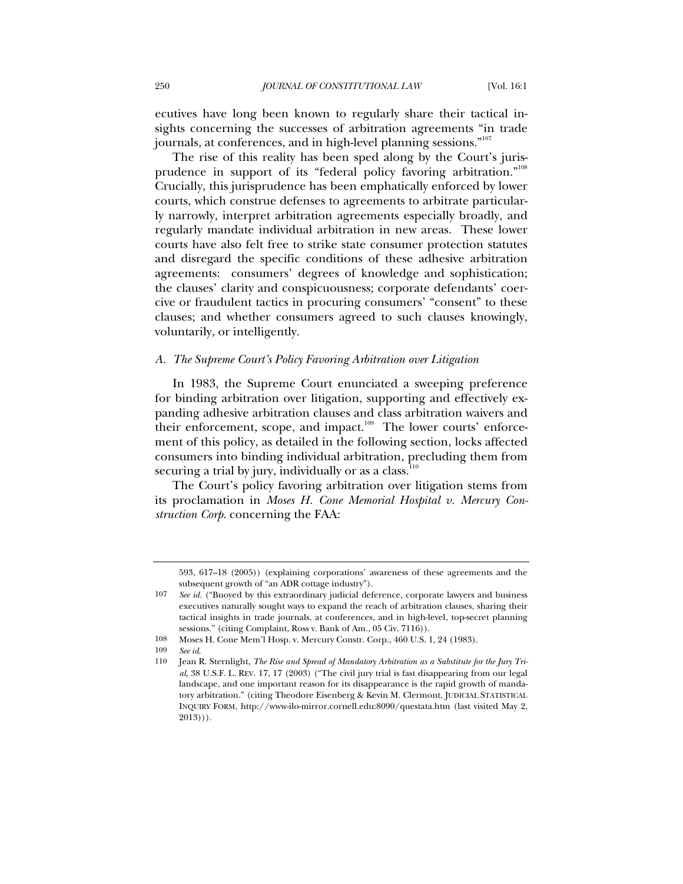ecutives have long been known to regularly share their tactical insights concerning the successes of arbitration agreements "in trade journals, at conferences, and in high-level planning sessions."<sup>107</sup>

The rise of this reality has been sped along by the Court's jurisprudence in support of its "federal policy favoring arbitration."108 Crucially, this jurisprudence has been emphatically enforced by lower courts, which construe defenses to agreements to arbitrate particularly narrowly, interpret arbitration agreements especially broadly, and regularly mandate individual arbitration in new areas. These lower courts have also felt free to strike state consumer protection statutes and disregard the specific conditions of these adhesive arbitration agreements: consumers' degrees of knowledge and sophistication; the clauses' clarity and conspicuousness; corporate defendants' coercive or fraudulent tactics in procuring consumers' "consent" to these clauses; and whether consumers agreed to such clauses knowingly, voluntarily, or intelligently.

#### *A. The Supreme Court's Policy Favoring Arbitration over Litigation*

In 1983, the Supreme Court enunciated a sweeping preference for binding arbitration over litigation, supporting and effectively expanding adhesive arbitration clauses and class arbitration waivers and their enforcement, scope, and impact.<sup>109</sup> The lower courts' enforcement of this policy, as detailed in the following section, locks affected consumers into binding individual arbitration, precluding them from securing a trial by jury, individually or as a class. $110$ 

The Court's policy favoring arbitration over litigation stems from its proclamation in *Moses H. Cone Memorial Hospital v. Mercury Construction Corp.* concerning the FAA:

<sup>593, 617–18 (2005)) (</sup>explaining corporations' awareness of these agreements and the subsequent growth of "an ADR cottage industry").

<sup>107</sup> *See id.* ("Buoyed by this extraordinary judicial deference, corporate lawyers and business executives naturally sought ways to expand the reach of arbitration clauses, sharing their tactical insights in trade journals, at conferences, and in high-level, top-secret planning sessions." (citing Complaint, Ross v. Bank of Am., 05 Civ. 7116)).

<sup>108</sup> Moses H. Cone Mem'l Hosp. v. Mercury Constr. Corp., 460 U.S. 1, 24 (1983).

<sup>109</sup> *See id*.

<sup>110</sup> Jean R. Sternlight, *The Rise and Spread of Mandatory Arbitration as a Substitute for the Jury Trial*, 38 U.S.F. L. REV. 17, 17 (2003) ("The civil jury trial is fast disappearing from our legal landscape, and one important reason for its disappearance is the rapid growth of mandatory arbitration." (citing Theodore Eisenberg & Kevin M. Clermont, JUDICIAL STATISTICAL INQUIRY FORM, http://www-ilo-mirror.cornell.edu:8090/questata.htm (last visited May 2,  $2013$ )).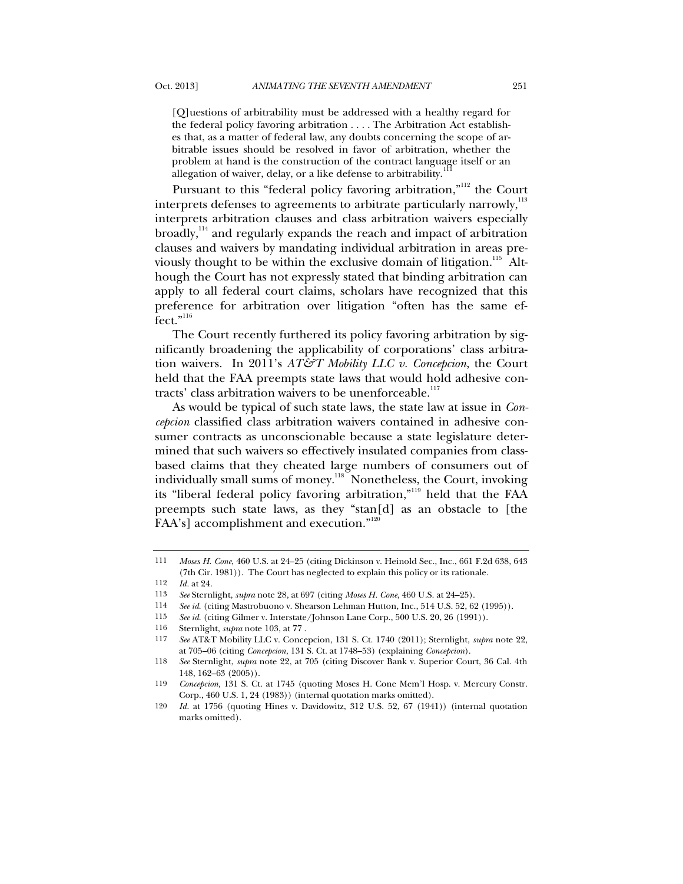[Q]uestions of arbitrability must be addressed with a healthy regard for the federal policy favoring arbitration . . . . The Arbitration Act establishes that, as a matter of federal law, any doubts concerning the scope of arbitrable issues should be resolved in favor of arbitration, whether the problem at hand is the construction of the contract language itself or an allegation of waiver, delay, or a like defense to arbitrability.

Pursuant to this "federal policy favoring arbitration,"<sup>112</sup> the Court interprets defenses to agreements to arbitrate particularly narrowly, $^{113}$ interprets arbitration clauses and class arbitration waivers especially broadly,<sup>114</sup> and regularly expands the reach and impact of arbitration clauses and waivers by mandating individual arbitration in areas previously thought to be within the exclusive domain of litigation.<sup>115</sup> Although the Court has not expressly stated that binding arbitration can apply to all federal court claims, scholars have recognized that this preference for arbitration over litigation "often has the same effect."<sup>116</sup>

The Court recently furthered its policy favoring arbitration by significantly broadening the applicability of corporations' class arbitration waivers. In 2011's *AT&T Mobility LLC v. Concepcion*, the Court held that the FAA preempts state laws that would hold adhesive contracts' class arbitration waivers to be unenforceable.<sup>117</sup>

As would be typical of such state laws, the state law at issue in *Concepcion* classified class arbitration waivers contained in adhesive consumer contracts as unconscionable because a state legislature determined that such waivers so effectively insulated companies from classbased claims that they cheated large numbers of consumers out of individually small sums of money.<sup>118</sup> Nonetheless, the Court, invoking its "liberal federal policy favoring arbitration,"<sup>119</sup> held that the FAA preempts such state laws, as they "stan[d] as an obstacle to [the FAA's] accomplishment and execution."<sup>120</sup>

- 114 *See id.* (citing Mastrobuono v. Shearson Lehman Hutton, Inc., 514 U.S. 52, 62 (1995)).
- 115 *See id.* (citing Gilmer v. Interstate/Johnson Lane Corp., 500 U.S. 20, 26 (1991)).

<sup>111</sup> *Moses H. Cone*, 460 U.S. at 24–25 (citing Dickinson v. Heinold Sec., Inc., 661 F.2d 638, 643 (7th Cir. 1981)). The Court has neglected to explain this policy or its rationale.

<sup>112</sup> *Id.* at 24.

<sup>113</sup> *See* Sternlight, *supra* note 28, at 697 (citing *Moses H. Cone*, 460 U.S. at 24–25).

<sup>116</sup> Sternlight, *supra* note 103, at 77 .

<sup>117</sup> *See* AT&T Mobility LLC v. Concepcion, 131 S. Ct. 1740 (2011); Sternlight, *supra* note 22, at 705–06 (citing *Concepcion*, 131 S. Ct. at 1748–53) (explaining *Concepcion*).

<sup>118</sup> *See* Sternlight, *supra* note 22, at 705 (citing Discover Bank v. Superior Court, 36 Cal. 4th 148, 162–63 (2005)).

<sup>119</sup> *Concepcion,* 131 S. Ct. at 1745 (quoting Moses H. Cone Mem'l Hosp. v. Mercury Constr. Corp., 460 U.S. 1, 24 (1983)) (internal quotation marks omitted).

<sup>120</sup> *Id.* at 1756 (quoting Hines v. Davidowitz, 312 U.S. 52, 67 (1941)) (internal quotation marks omitted).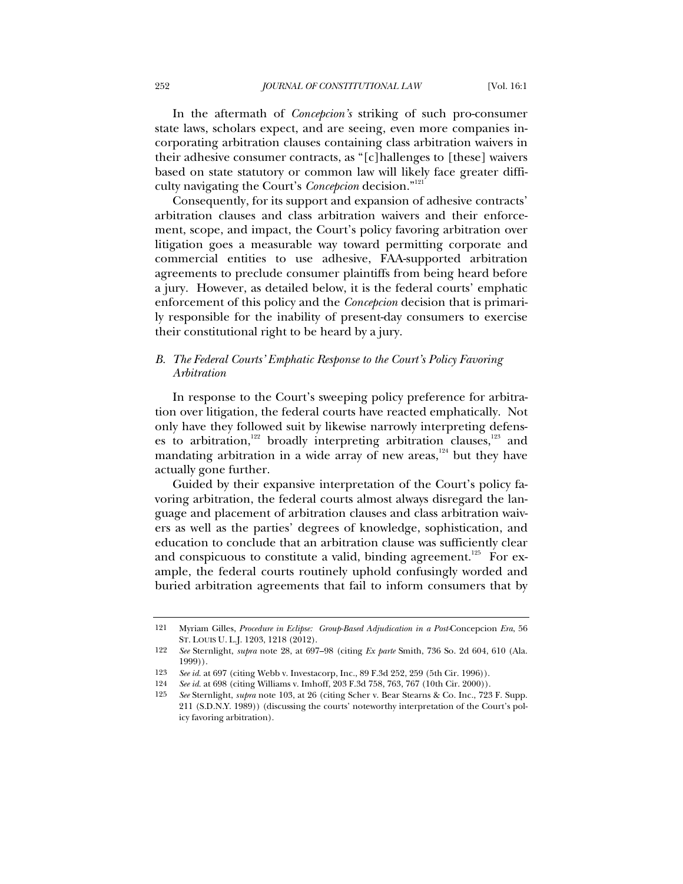In the aftermath of *Concepcion's* striking of such pro-consumer state laws, scholars expect, and are seeing, even more companies incorporating arbitration clauses containing class arbitration waivers in their adhesive consumer contracts, as "[c]hallenges to [these] waivers based on state statutory or common law will likely face greater difficulty navigating the Court's *Concepcion* decision."121

Consequently, for its support and expansion of adhesive contracts' arbitration clauses and class arbitration waivers and their enforcement, scope, and impact, the Court's policy favoring arbitration over litigation goes a measurable way toward permitting corporate and commercial entities to use adhesive, FAA-supported arbitration agreements to preclude consumer plaintiffs from being heard before a jury. However, as detailed below, it is the federal courts' emphatic enforcement of this policy and the *Concepcion* decision that is primarily responsible for the inability of present-day consumers to exercise their constitutional right to be heard by a jury.

### *B. The Federal Courts' Emphatic Response to the Court's Policy Favoring Arbitration*

In response to the Court's sweeping policy preference for arbitration over litigation, the federal courts have reacted emphatically. Not only have they followed suit by likewise narrowly interpreting defenses to arbitration,<sup>122</sup> broadly interpreting arbitration clauses,<sup>123</sup> and mandating arbitration in a wide array of new areas, $124$  but they have actually gone further.

Guided by their expansive interpretation of the Court's policy favoring arbitration, the federal courts almost always disregard the language and placement of arbitration clauses and class arbitration waivers as well as the parties' degrees of knowledge, sophistication, and education to conclude that an arbitration clause was sufficiently clear and conspicuous to constitute a valid, binding agreement.<sup>125</sup> For example, the federal courts routinely uphold confusingly worded and buried arbitration agreements that fail to inform consumers that by

<sup>121</sup> Myriam Gilles, *Procedure in Eclipse: Group-Based Adjudication in a Post-*Concepcion *Era*, 56 ST. LOUIS U. L.J. 1203, 1218 (2012).

<sup>122</sup> *See* Sternlight, *supra* note 28, at 697–98 (citing *Ex parte* Smith, 736 So. 2d 604, 610 (Ala. 1999)).

<sup>123</sup> *See id.* at 697 (citing Webb v. Investacorp, Inc., 89 F.3d 252, 259 (5th Cir. 1996)).

<sup>124</sup> *See id.* at 698 (citing Williams v. Imhoff, 203 F.3d 758, 763, 767 (10th Cir. 2000)).

<sup>125</sup> *See* Sternlight, *supra* note 103, at 26 (citing Scher v. Bear Stearns & Co. Inc., 723 F. Supp. 211 (S.D.N.Y. 1989)) (discussing the courts' noteworthy interpretation of the Court's policy favoring arbitration).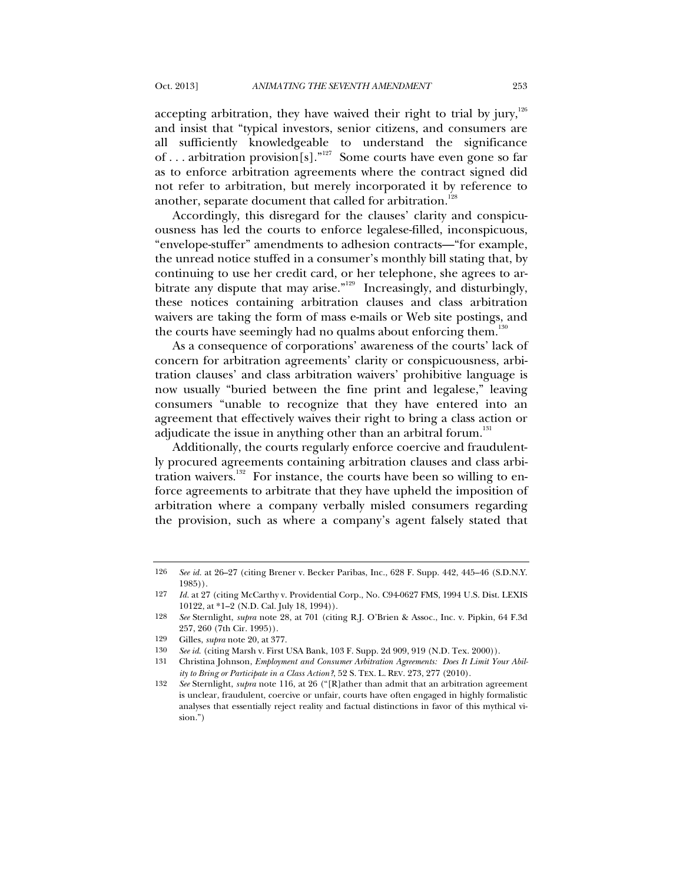accepting arbitration, they have waived their right to trial by jury,<sup>126</sup> and insist that "typical investors, senior citizens, and consumers are all sufficiently knowledgeable to understand the significance of . . . arbitration provision[s]."127 Some courts have even gone so far as to enforce arbitration agreements where the contract signed did not refer to arbitration, but merely incorporated it by reference to another, separate document that called for arbitration.<sup>128</sup>

Accordingly, this disregard for the clauses' clarity and conspicuousness has led the courts to enforce legalese-filled, inconspicuous, "envelope-stuffer" amendments to adhesion contracts—"for example, the unread notice stuffed in a consumer's monthly bill stating that, by continuing to use her credit card, or her telephone, she agrees to arbitrate any dispute that may arise."129 Increasingly, and disturbingly, these notices containing arbitration clauses and class arbitration waivers are taking the form of mass e-mails or Web site postings, and the courts have seemingly had no qualms about enforcing them.<sup>130</sup>

As a consequence of corporations' awareness of the courts' lack of concern for arbitration agreements' clarity or conspicuousness, arbitration clauses' and class arbitration waivers' prohibitive language is now usually "buried between the fine print and legalese," leaving consumers "unable to recognize that they have entered into an agreement that effectively waives their right to bring a class action or adjudicate the issue in anything other than an arbitral forum.<sup>131</sup>

Additionally, the courts regularly enforce coercive and fraudulently procured agreements containing arbitration clauses and class arbitration waivers.<sup>132</sup> For instance, the courts have been so willing to enforce agreements to arbitrate that they have upheld the imposition of arbitration where a company verbally misled consumers regarding the provision, such as where a company's agent falsely stated that

<sup>126</sup> *See id.* at 26–27 (citing Brener v. Becker Paribas, Inc., 628 F. Supp. 442, 445–46 (S.D.N.Y. 1985)).

<sup>127</sup> *Id.* at 27 (citing McCarthy v. Providential Corp., No. C94-0627 FMS, 1994 U.S. Dist. LEXIS 10122, at \*1–2 (N.D. Cal. July 18, 1994)).

<sup>128</sup> *See* Sternlight, *supra* note 28, at 701 (citing R.J. O'Brien & Assoc., Inc. v. Pipkin, 64 F.3d 257, 260 (7th Cir. 1995)).

<sup>129</sup> Gilles, *supra* note 20, at 377.

<sup>130</sup> *See id.* (citing Marsh v. First USA Bank, 103 F. Supp. 2d 909, 919 (N.D. Tex. 2000)).

<sup>131</sup> Christina Johnson, *Employment and Consumer Arbitration Agreements: Does It Limit Your Ability to Bring or Participate in a Class Action?*, 52 S. TEX. L. REV. 273, 277 (2010).

<sup>132</sup> *See* Sternlight, *supra* note 116, at 26 ("[R]ather than admit that an arbitration agreement is unclear, fraudulent, coercive or unfair, courts have often engaged in highly formalistic analyses that essentially reject reality and factual distinctions in favor of this mythical vision.")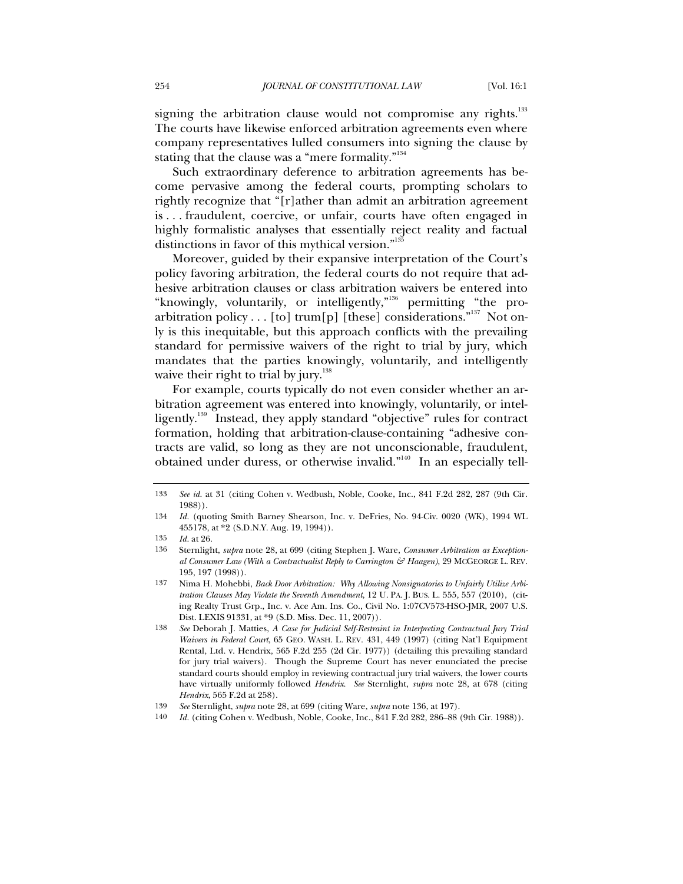signing the arbitration clause would not compromise any rights.<sup>133</sup> The courts have likewise enforced arbitration agreements even where company representatives lulled consumers into signing the clause by stating that the clause was a "mere formality."<sup>134</sup>

Such extraordinary deference to arbitration agreements has become pervasive among the federal courts, prompting scholars to rightly recognize that "[r]ather than admit an arbitration agreement is . . . fraudulent, coercive, or unfair, courts have often engaged in highly formalistic analyses that essentially reject reality and factual distinctions in favor of this mythical version."<sup>135</sup>

Moreover, guided by their expansive interpretation of the Court's policy favoring arbitration, the federal courts do not require that adhesive arbitration clauses or class arbitration waivers be entered into "knowingly, voluntarily, or intelligently,"<sup>136</sup> permitting "the proarbitration policy . . . [to] trum[p] [these] considerations."<sup>137</sup> Not only is this inequitable, but this approach conflicts with the prevailing standard for permissive waivers of the right to trial by jury, which mandates that the parties knowingly, voluntarily, and intelligently waive their right to trial by jury. $138$ 

For example, courts typically do not even consider whether an arbitration agreement was entered into knowingly, voluntarily, or intelligently. 139 Instead, they apply standard "objective" rules for contract formation, holding that arbitration-clause-containing "adhesive contracts are valid, so long as they are not unconscionable, fraudulent, obtained under duress, or otherwise invalid."140 In an especially tell-

<sup>133</sup> *See id.* at 31 (citing Cohen v. Wedbush, Noble, Cooke, Inc., 841 F.2d 282, 287 (9th Cir. 1988)).

<sup>134</sup> *Id.* (quoting Smith Barney Shearson, Inc. v. DeFries, No. 94-Civ. 0020 (WK), 1994 WL 455178, at \*2 (S.D.N.Y. Aug. 19, 1994)).

<sup>135</sup> *Id.* at 26.

<sup>136</sup> Sternlight, *supra* note 28, at 699 (citing Stephen J. Ware, *Consumer Arbitration as Exceptional Consumer Law (With a Contractualist Reply to Carrington & Haagen)*, 29 MCGEORGE L. REV. 195, 197 (1998)).

<sup>137</sup> Nima H. Mohebbi, *Back Door Arbitration: Why Allowing Nonsignatories to Unfairly Utilize Arbitration Clauses May Violate the Seventh Amendment*, 12 U. PA. J. BUS. L. 555, 557 (2010), (citing Realty Trust Grp., Inc. v. Ace Am. Ins. Co., Civil No. 1:07CV573-HSO-JMR, 2007 U.S. Dist. LEXIS 91331, at \*9 (S.D. Miss. Dec. 11, 2007)).

<sup>138</sup> *See* Deborah J. Matties, *A Case for Judicial Self-Restraint in Interpreting Contractual Jury Trial Waivers in Federal Court*, 65 GEO. WASH. L. REV. 431, 449 (1997) (citing Nat'l Equipment Rental, Ltd. v. Hendrix, 565 F.2d 255 (2d Cir. 1977)) (detailing this prevailing standard for jury trial waivers). Though the Supreme Court has never enunciated the precise standard courts should employ in reviewing contractual jury trial waivers, the lower courts have virtually uniformly followed *Hendrix*. *See* Sternlight, *supra* note 28, at 678 (citing *Hendrix*, 565 F.2d at 258).

<sup>139</sup> *See* Sternlight, *supra* note 28, at 699 (citing Ware, *supra* note 136, at 197).

<sup>140</sup> *Id.* (citing Cohen v. Wedbush, Noble, Cooke, Inc., 841 F.2d 282, 286–88 (9th Cir. 1988)).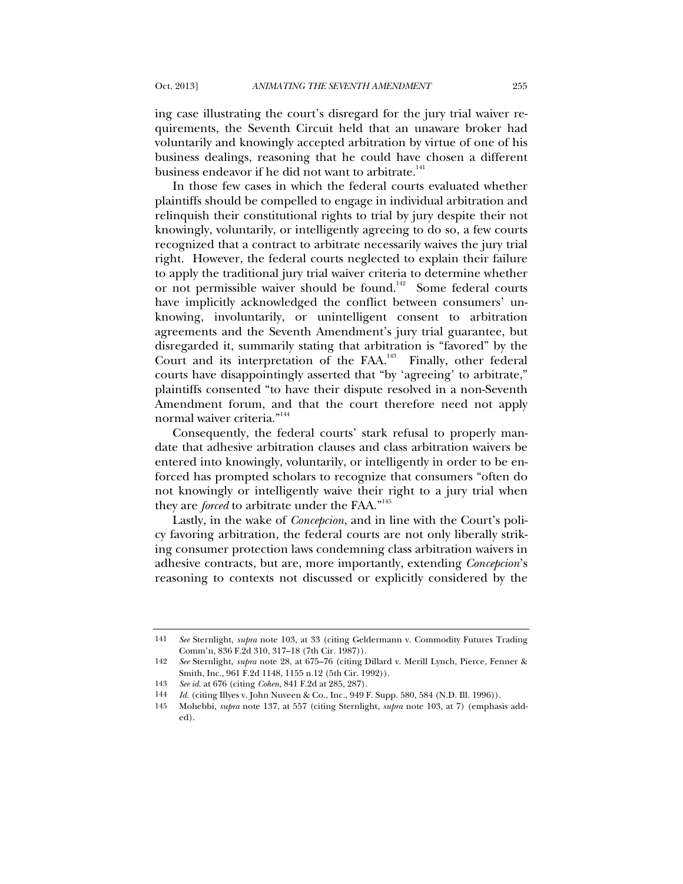ing case illustrating the court's disregard for the jury trial waiver requirements, the Seventh Circuit held that an unaware broker had voluntarily and knowingly accepted arbitration by virtue of one of his business dealings, reasoning that he could have chosen a different business endeavor if he did not want to arbitrate.<sup>141</sup>

In those few cases in which the federal courts evaluated whether plaintiffs should be compelled to engage in individual arbitration and relinquish their constitutional rights to trial by jury despite their not knowingly, voluntarily, or intelligently agreeing to do so, a few courts recognized that a contract to arbitrate necessarily waives the jury trial right. However, the federal courts neglected to explain their failure to apply the traditional jury trial waiver criteria to determine whether or not permissible waiver should be found.<sup>142</sup> Some federal courts have implicitly acknowledged the conflict between consumers' unknowing, involuntarily, or unintelligent consent to arbitration agreements and the Seventh Amendment's jury trial guarantee, but disregarded it, summarily stating that arbitration is "favored" by the Court and its interpretation of the  $FAA$ .<sup>143</sup> Finally, other federal courts have disappointingly asserted that "by 'agreeing' to arbitrate," plaintiffs consented "to have their dispute resolved in a non-Seventh Amendment forum, and that the court therefore need not apply normal waiver criteria."<sup>144</sup>

Consequently, the federal courts' stark refusal to properly mandate that adhesive arbitration clauses and class arbitration waivers be entered into knowingly, voluntarily, or intelligently in order to be enforced has prompted scholars to recognize that consumers "often do not knowingly or intelligently waive their right to a jury trial when they are *forced* to arbitrate under the FAA."<sup>145</sup>

Lastly, in the wake of *Concepcion*, and in line with the Court's policy favoring arbitration, the federal courts are not only liberally striking consumer protection laws condemning class arbitration waivers in adhesive contracts, but are, more importantly, extending *Concepcion*'s reasoning to contexts not discussed or explicitly considered by the

<sup>141</sup> *See* Sternlight, *supra* note 103, at 33 (citing Geldermann v. Commodity Futures Trading Comm'n, 836 F.2d 310, 317–18 (7th Cir. 1987)).

<sup>142</sup> *See* Sternlight, *supra* note 28, at 675–76 (citing Dillard v. Merill Lynch, Pierce, Fenner & Smith, Inc., 961 F.2d 1148, 1155 n.12 (5th Cir. 1992)).

<sup>143</sup> *See id.* at 676 (citing *Cohen*, 841 F.2d at 285, 287).

<sup>144</sup> *Id.* (citing Illyes v. John Nuveen & Co., Inc., 949 F. Supp. 580, 584 (N.D. Ill. 1996)).

<sup>145</sup> Mohebbi, *supra* note 137, at 557 (citing Sternlight, *supra* note 103, at 7) (emphasis added).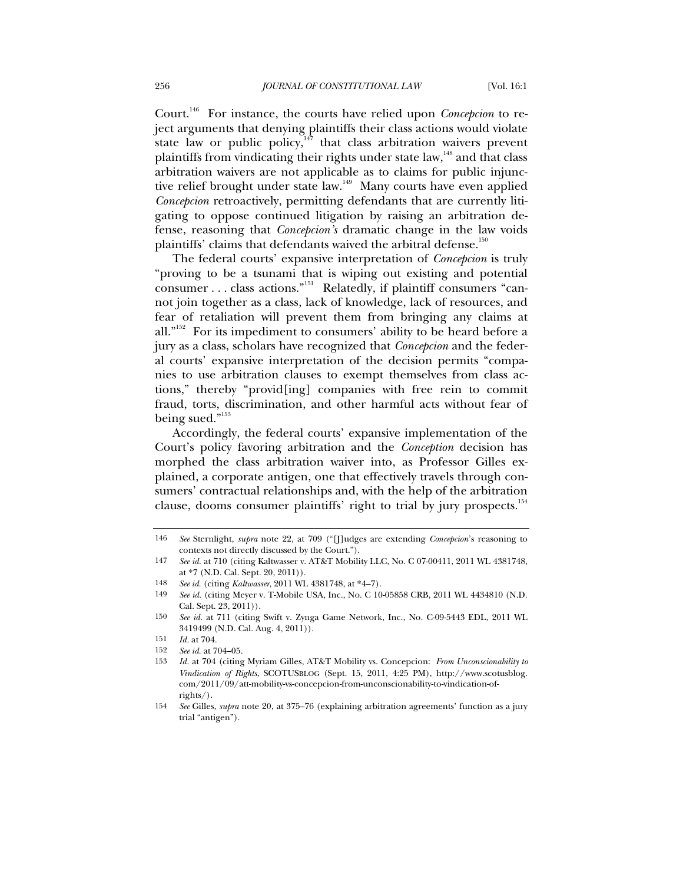Court.146 For instance, the courts have relied upon *Concepcion* to reject arguments that denying plaintiffs their class actions would violate state law or public policy, $147$  that class arbitration waivers prevent plaintiffs from vindicating their rights under state law, $148$  and that class arbitration waivers are not applicable as to claims for public injunctive relief brought under state law.<sup>149</sup> Many courts have even applied *Concepcion* retroactively, permitting defendants that are currently litigating to oppose continued litigation by raising an arbitration defense, reasoning that *Concepcion's* dramatic change in the law voids plaintiffs' claims that defendants waived the arbitral defense.<sup>150</sup>

The federal courts' expansive interpretation of *Concepcion* is truly "proving to be a tsunami that is wiping out existing and potential consumer . . . class actions."151 Relatedly, if plaintiff consumers "cannot join together as a class, lack of knowledge, lack of resources, and fear of retaliation will prevent them from bringing any claims at all."<sup>152</sup> For its impediment to consumers' ability to be heard before a jury as a class, scholars have recognized that *Concepcion* and the federal courts' expansive interpretation of the decision permits "companies to use arbitration clauses to exempt themselves from class actions," thereby "provid[ing] companies with free rein to commit fraud, torts, discrimination, and other harmful acts without fear of being sued."<sup>153</sup>

Accordingly, the federal courts' expansive implementation of the Court's policy favoring arbitration and the *Conception* decision has morphed the class arbitration waiver into, as Professor Gilles explained, a corporate antigen, one that effectively travels through consumers' contractual relationships and, with the help of the arbitration clause, dooms consumer plaintiffs' right to trial by jury prospects.<sup>154</sup>

148 *See id.* (citing *Kaltwasser*, 2011 WL 4381748, at \*4–7).

<sup>146</sup> *See* Sternlight, *supra* note 22, at 709 ("[J]udges are extending *Concepcion*'s reasoning to contexts not directly discussed by the Court.").

<sup>147</sup> *See id.* at 710 (citing Kaltwasser v. AT&T Mobility LLC, No. C 07-00411, 2011 WL 4381748, at \*7 (N.D. Cal. Sept. 20, 2011)).

<sup>149</sup> *See id.* (citing Meyer v. T-Mobile USA, Inc., No. C 10-05858 CRB, 2011 WL 4434810 (N.D. Cal. Sept. 23, 2011)).

<sup>150</sup> *See id.* at 711 (citing Swift v. Zynga Game Network, Inc., No. C-09-5443 EDL, 2011 WL 3419499 (N.D. Cal. Aug. 4, 2011)).

<sup>151</sup> *Id.* at 704.

<sup>152</sup> *See id.* at 704–05.

<sup>153</sup> *Id.* at 704 (citing Myriam Gilles, AT&T Mobility vs. Concepcion: *From Unconscionability to Vindication of Rights*, SCOTUSBLOG (Sept. 15, 2011, 4:25 PM), http://www.scotusblog. com/2011/09/att-mobility-vs-concepcion-from-unconscionability-to-vindication-ofrights/).

<sup>154</sup> *See* Gilles, *supra* note 20, at 375–76 (explaining arbitration agreements' function as a jury trial "antigen").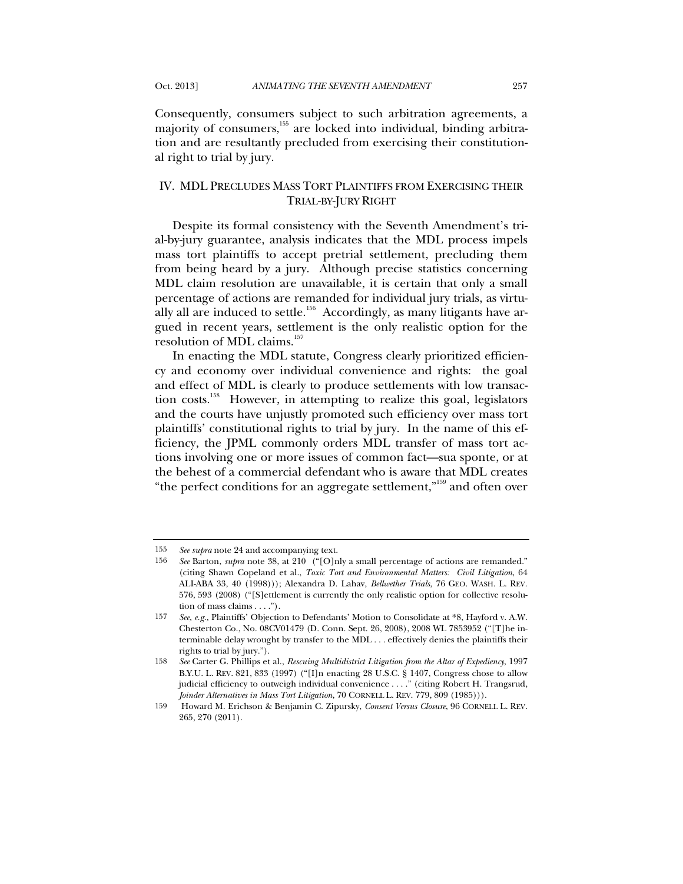Consequently, consumers subject to such arbitration agreements, a majority of consumers,155 are locked into individual, binding arbitration and are resultantly precluded from exercising their constitutional right to trial by jury.

# IV. MDL PRECLUDES MASS TORT PLAINTIFFS FROM EXERCISING THEIR TRIAL-BY-JURY RIGHT

Despite its formal consistency with the Seventh Amendment's trial-by-jury guarantee, analysis indicates that the MDL process impels mass tort plaintiffs to accept pretrial settlement, precluding them from being heard by a jury. Although precise statistics concerning MDL claim resolution are unavailable, it is certain that only a small percentage of actions are remanded for individual jury trials, as virtually all are induced to settle. $156$  Accordingly, as many litigants have argued in recent years, settlement is the only realistic option for the resolution of MDL claims.<sup>157</sup>

In enacting the MDL statute, Congress clearly prioritized efficiency and economy over individual convenience and rights: the goal and effect of MDL is clearly to produce settlements with low transaction costs.<sup>158</sup> However, in attempting to realize this goal, legislators and the courts have unjustly promoted such efficiency over mass tort plaintiffs' constitutional rights to trial by jury. In the name of this efficiency, the JPML commonly orders MDL transfer of mass tort actions involving one or more issues of common fact—sua sponte, or at the behest of a commercial defendant who is aware that MDL creates "the perfect conditions for an aggregate settlement,"<sup>159</sup> and often over

<sup>155</sup> *See supra* note 24 and accompanying text.

<sup>156</sup> *See* Barton, *supra* note 38, at 210 ("[O]nly a small percentage of actions are remanded." (citing Shawn Copeland et al., *Toxic Tort and Environmental Matters: Civil Litigation*, 64 ALI-ABA 33, 40 (1998))); Alexandra D. Lahav, *Bellwether Trials*, 76 GEO. WASH. L. REV. 576, 593 (2008) ("[S]ettlement is currently the only realistic option for collective resolution of mass claims . . . .").

<sup>157</sup> *See, e.g.,* Plaintiffs' Objection to Defendants' Motion to Consolidate at \*8, Hayford v. A.W. Chesterton Co., No. 08CV01479 (D. Conn. Sept. 26, 2008), 2008 WL 7853952 ("[T]he interminable delay wrought by transfer to the MDL . . . effectively denies the plaintiffs their rights to trial by jury.").

<sup>158</sup> *See* Carter G. Phillips et al., *Rescuing Multidistrict Litigation from the Altar of Expediency*, 1997 B.Y.U. L. REV. 821, 833 (1997) ("[I]n enacting 28 U.S.C. § 1407, Congress chose to allow judicial efficiency to outweigh individual convenience . . . ." (citing Robert H. Trangsrud, *Joinder Alternatives in Mass Tort Litigation*, 70 CORNELL L. REV. 779, 809 (1985))).

<sup>159</sup> Howard M. Erichson & Benjamin C. Zipursky, *Consent Versus Closure*, 96 CORNELL L. REV. 265, 270 (2011).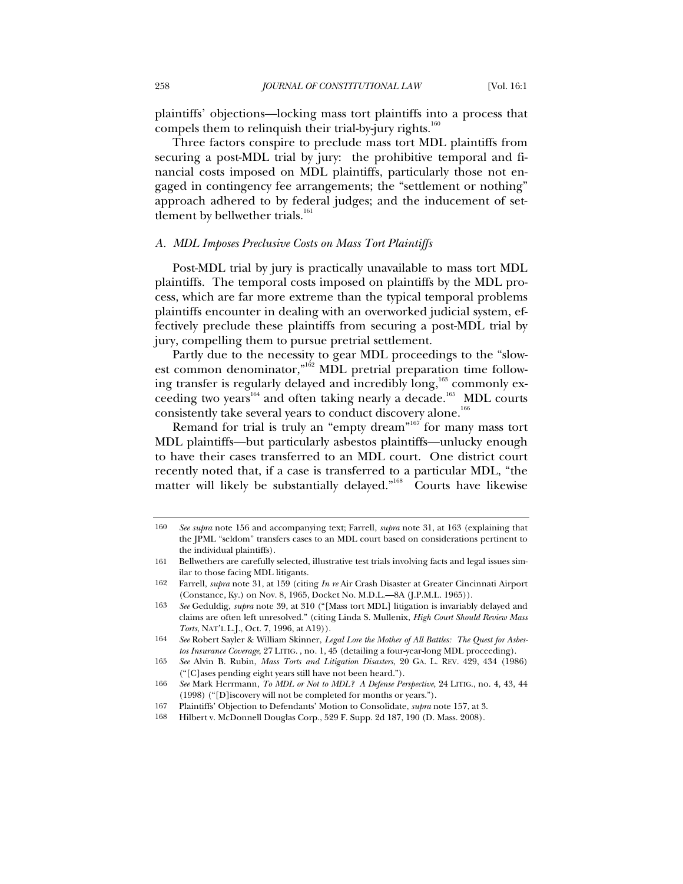plaintiffs' objections—locking mass tort plaintiffs into a process that compels them to relinquish their trial-by-jury rights.<sup>160</sup>

Three factors conspire to preclude mass tort MDL plaintiffs from securing a post-MDL trial by jury: the prohibitive temporal and financial costs imposed on MDL plaintiffs, particularly those not engaged in contingency fee arrangements; the "settlement or nothing" approach adhered to by federal judges; and the inducement of settlement by bellwether trials.<sup>161</sup>

#### *A. MDL Imposes Preclusive Costs on Mass Tort Plaintiffs*

Post-MDL trial by jury is practically unavailable to mass tort MDL plaintiffs. The temporal costs imposed on plaintiffs by the MDL process, which are far more extreme than the typical temporal problems plaintiffs encounter in dealing with an overworked judicial system, effectively preclude these plaintiffs from securing a post-MDL trial by jury, compelling them to pursue pretrial settlement.

Partly due to the necessity to gear MDL proceedings to the "slowest common denominator,"<sup>162</sup> MDL pretrial preparation time following transfer is regularly delayed and incredibly long,<sup>163</sup> commonly exceeding two years<sup>164</sup> and often taking nearly a decade.<sup>165</sup> MDL courts consistently take several years to conduct discovery alone.<sup>166</sup>

Remand for trial is truly an "empty dream"<sup>167</sup> for many mass tort MDL plaintiffs—but particularly asbestos plaintiffs—unlucky enough to have their cases transferred to an MDL court. One district court recently noted that, if a case is transferred to a particular MDL, "the matter will likely be substantially delayed."<sup>168</sup> Courts have likewise

<sup>160</sup> *See supra* note 156 and accompanying text; Farrell, *supra* note 31, at 163 (explaining that the JPML "seldom" transfers cases to an MDL court based on considerations pertinent to the individual plaintiffs).

<sup>161</sup> Bellwethers are carefully selected, illustrative test trials involving facts and legal issues similar to those facing MDL litigants.

<sup>162</sup> Farrell, *supra* note 31, at 159 (citing *In re* Air Crash Disaster at Greater Cincinnati Airport (Constance, Ky.) on Nov. 8, 1965, Docket No. M.D.L.—8A (J.P.M.L. 1965)).

<sup>163</sup> *See* Geduldig, *supra* note 39, at 310 ("[Mass tort MDL] litigation is invariably delayed and claims are often left unresolved." (citing Linda S. Mullenix, *High Court Should Review Mass Torts*, NAT'L L.J., Oct. 7, 1996, at A19)).

<sup>164</sup> *See* Robert Sayler & William Skinner, *Legal Lore the Mother of All Battles: The Quest for Asbestos Insurance Coverage*, 27 LITIG. , no. 1, 45 (detailing a four-year-long MDL proceeding).

<sup>165</sup> *See* Alvin B. Rubin, *Mass Torts and Litigation Disasters*, 20 GA. L. REV. 429, 434 (1986) ("[C]ases pending eight years still have not been heard.").

<sup>166</sup> *See* Mark Herrmann, *To MDL or Not to MDL? A Defense Perspective*, 24 LITIG., no. 4, 43, 44 (1998) ("[D]iscovery will not be completed for months or years.").

<sup>167</sup> Plaintiffs' Objection to Defendants' Motion to Consolidate, *supra* note 157, at 3.

<sup>168</sup> Hilbert v. McDonnell Douglas Corp., 529 F. Supp. 2d 187, 190 (D. Mass. 2008).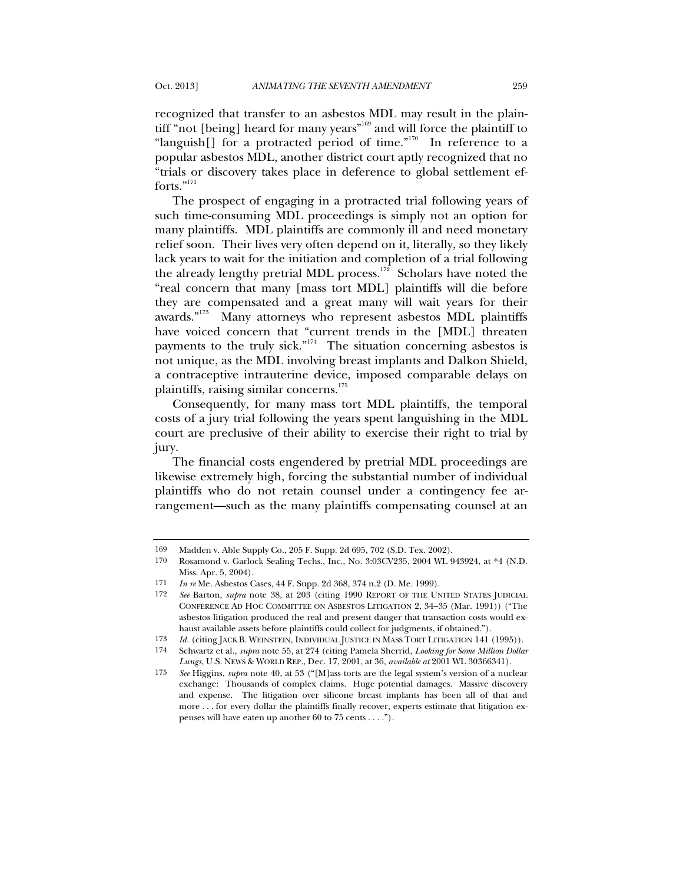recognized that transfer to an asbestos MDL may result in the plaintiff "not [being] heard for many years"<sup>169</sup> and will force the plaintiff to "languish $[]$  for a protracted period of time."<sup>170</sup> In reference to a popular asbestos MDL, another district court aptly recognized that no "trials or discovery takes place in deference to global settlement efforts."<sup>171</sup>

The prospect of engaging in a protracted trial following years of such time-consuming MDL proceedings is simply not an option for many plaintiffs. MDL plaintiffs are commonly ill and need monetary relief soon. Their lives very often depend on it, literally, so they likely lack years to wait for the initiation and completion of a trial following the already lengthy pretrial MDL process.<sup>172</sup> Scholars have noted the "real concern that many [mass tort MDL] plaintiffs will die before they are compensated and a great many will wait years for their awards."<sup>173</sup> Many attorneys who represent asbestos MDL plaintiffs have voiced concern that "current trends in the [MDL] threaten payments to the truly sick."<sup>174</sup> The situation concerning asbestos is not unique, as the MDL involving breast implants and Dalkon Shield, a contraceptive intrauterine device, imposed comparable delays on plaintiffs, raising similar concerns.<sup>175</sup>

Consequently, for many mass tort MDL plaintiffs, the temporal costs of a jury trial following the years spent languishing in the MDL court are preclusive of their ability to exercise their right to trial by jury.

The financial costs engendered by pretrial MDL proceedings are likewise extremely high, forcing the substantial number of individual plaintiffs who do not retain counsel under a contingency fee arrangement—such as the many plaintiffs compensating counsel at an

<sup>169</sup> Madden v. Able Supply Co., 205 F. Supp. 2d 695, 702 (S.D. Tex. 2002).

<sup>170</sup> Rosamond v. Garlock Sealing Techs., Inc., No. 3:03CV235, 2004 WL 943924, at \*4 (N.D. Miss. Apr. 5, 2004).

<sup>171</sup> *In re* Me. Asbestos Cases, 44 F. Supp. 2d 368, 374 n.2 (D. Me. 1999).

<sup>172</sup> *See* Barton, *supra* note 38, at 203 (citing 1990 REPORT OF THE UNITED STATES JUDICIAL CONFERENCE AD HOC COMMITTEE ON ASBESTOS LITIGATION 2, 34–35 (Mar. 1991)) ("The asbestos litigation produced the real and present danger that transaction costs would exhaust available assets before plaintiffs could collect for judgments, if obtained.").

<sup>173</sup> *Id.* (citing JACK B. WEINSTEIN, INDIVIDUAL JUSTICE IN MASS TORT LITIGATION 141 (1995)).

<sup>174</sup> Schwartz et al., *supra* note 55, at 274 (citing Pamela Sherrid, *Looking for Some Million Dollar Lungs*, U.S. NEWS & WORLD REP., Dec. 17, 2001, at 36, *available at* 2001 WL 30366341).

<sup>175</sup> *See* Higgins, *supra* note 40, at 53 ("[M]ass torts are the legal system's version of a nuclear exchange: Thousands of complex claims. Huge potential damages. Massive discovery and expense. The litigation over silicone breast implants has been all of that and more . . . for every dollar the plaintiffs finally recover, experts estimate that litigation expenses will have eaten up another 60 to 75 cents . . . .").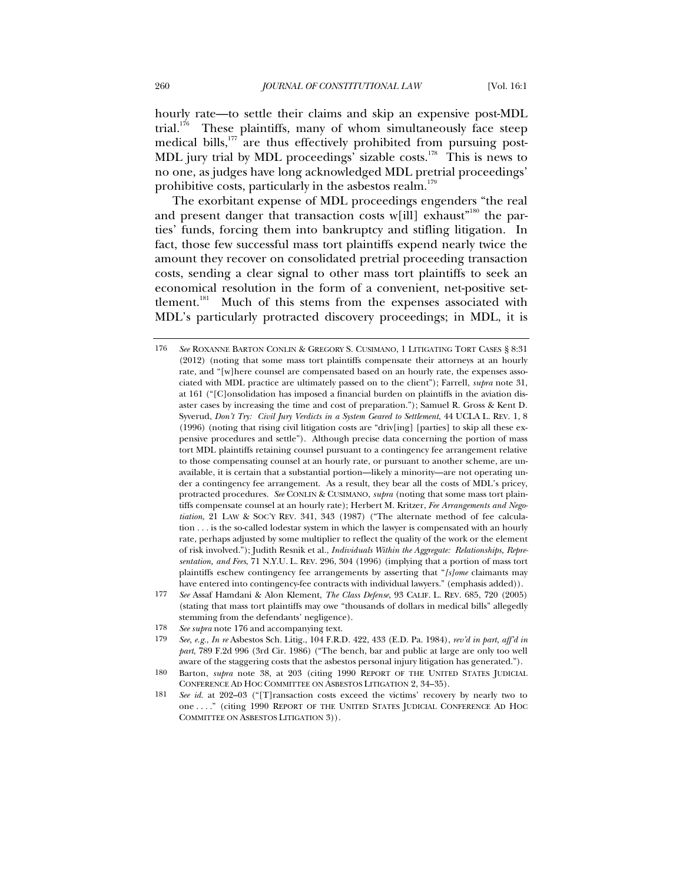hourly rate—to settle their claims and skip an expensive post-MDL trial.<sup>176</sup> These plaintiffs, many of whom simultaneously face steep medical bills, $177$  are thus effectively prohibited from pursuing post-MDL jury trial by MDL proceedings' sizable costs.<sup>178</sup> This is news to no one, as judges have long acknowledged MDL pretrial proceedings' prohibitive costs, particularly in the asbestos realm.<sup>179</sup>

The exorbitant expense of MDL proceedings engenders "the real and present danger that transaction costs w[ill] exhaust<sup>"180</sup> the parties' funds, forcing them into bankruptcy and stifling litigation. In fact, those few successful mass tort plaintiffs expend nearly twice the amount they recover on consolidated pretrial proceeding transaction costs, sending a clear signal to other mass tort plaintiffs to seek an economical resolution in the form of a convenient, net-positive settlement.<sup>181</sup> Much of this stems from the expenses associated with MDL's particularly protracted discovery proceedings; in MDL, it is

- 177 *See* Assaf Hamdani & Alon Klement, *The Class Defense*, 93 CALIF. L. REV. 685, 720 (2005) (stating that mass tort plaintiffs may owe "thousands of dollars in medical bills" allegedly stemming from the defendants' negligence).
- 178 *See supra* note 176 and accompanying text.
- 179 *See, e.g.*, *In re* Asbestos Sch. Litig., 104 F.R.D. 422, 433 (E.D. Pa. 1984), *rev'd in part*, *aff'd in part*, 789 F.2d 996 (3rd Cir. 1986) ("The bench, bar and public at large are only too well aware of the staggering costs that the asbestos personal injury litigation has generated.").
- 180 Barton, *supra* note 38, at 203 (citing 1990 REPORT OF THE UNITED STATES JUDICIAL CONFERENCE AD HOC COMMITTEE ON ASBESTOS LITIGATION 2, 34–35).
- 181 *See id.* at 202–03 ("[T]ransaction costs exceed the victims' recovery by nearly two to one . . . ." (citing 1990 REPORT OF THE UNITED STATES JUDICIAL CONFERENCE AD HOC COMMITTEE ON ASBESTOS LITIGATION 3)).

<sup>176</sup> *See* ROXANNE BARTON CONLIN & GREGORY S. CUSIMANO, 1 LITIGATING TORT CASES § 8:31 (2012) (noting that some mass tort plaintiffs compensate their attorneys at an hourly rate, and "[w]here counsel are compensated based on an hourly rate, the expenses associated with MDL practice are ultimately passed on to the client"); Farrell, *supra* note 31, at 161 ("[C]onsolidation has imposed a financial burden on plaintiffs in the aviation disaster cases by increasing the time and cost of preparation."); Samuel R. Gross & Kent D. Syverud, *Don't Try: Civil Jury Verdicts in a System Geared to Settlement*, 44 UCLA L. REV. 1, 8 (1996) (noting that rising civil litigation costs are "driv[ing] [parties] to skip all these expensive procedures and settle"). Although precise data concerning the portion of mass tort MDL plaintiffs retaining counsel pursuant to a contingency fee arrangement relative to those compensating counsel at an hourly rate, or pursuant to another scheme, are unavailable, it is certain that a substantial portion—likely a minority—are not operating under a contingency fee arrangement. As a result, they bear all the costs of MDL's pricey, protracted procedures. *See* CONLIN & CUSIMANO, *supra* (noting that some mass tort plaintiffs compensate counsel at an hourly rate); Herbert M. Kritzer, *Fee Arrangements and Negotiation*, 21 LAW & SOC'Y REV. 341, 343 (1987) ("The alternate method of fee calculation . . . is the so-called lodestar system in which the lawyer is compensated with an hourly rate, perhaps adjusted by some multiplier to reflect the quality of the work or the element of risk involved."); Judith Resnik et al., *Individuals Within the Aggregate: Relationships, Representation, and Fees*, 71 N.Y.U. L. REV. 296, 304 (1996) (implying that a portion of mass tort plaintiffs eschew contingency fee arrangements by asserting that "*[s]ome* claimants may have entered into contingency-fee contracts with individual lawyers." (emphasis added)).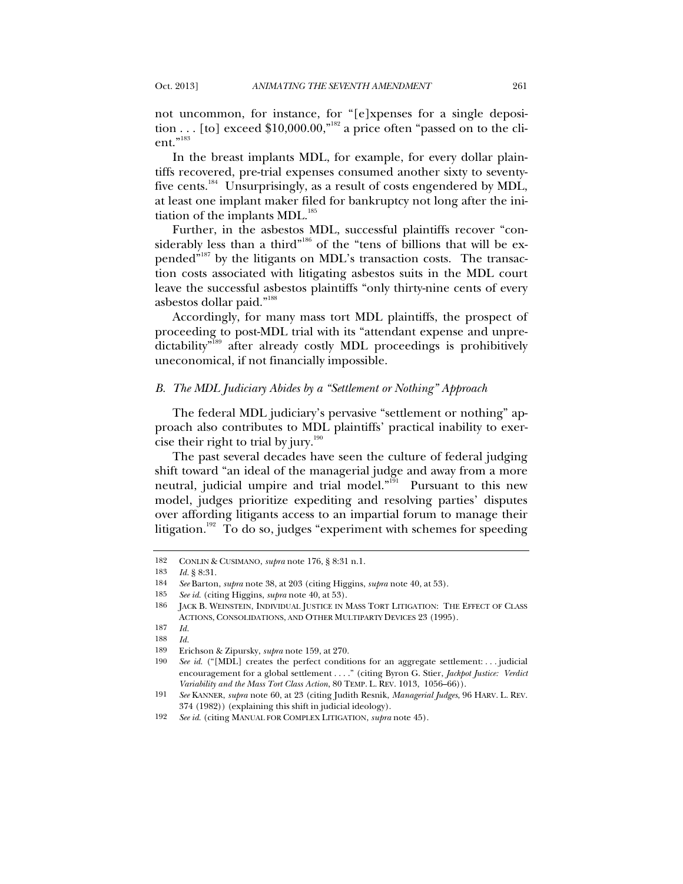not uncommon, for instance, for "[e]xpenses for a single deposition . . . [to] exceed  $$10,000.00$ ,"<sup>182</sup> a price often "passed on to the client."<sup>183</sup>

In the breast implants MDL, for example, for every dollar plaintiffs recovered, pre-trial expenses consumed another sixty to seventyfive cents.<sup>184</sup> Unsurprisingly, as a result of costs engendered by MDL, at least one implant maker filed for bankruptcy not long after the initiation of the implants  $MDL$ <sup>185</sup>

Further, in the asbestos MDL, successful plaintiffs recover "considerably less than a third"<sup>186</sup> of the "tens of billions that will be expended"<sup>187</sup> by the litigants on MDL's transaction costs. The transaction costs associated with litigating asbestos suits in the MDL court leave the successful asbestos plaintiffs "only thirty-nine cents of every asbestos dollar paid."188

Accordingly, for many mass tort MDL plaintiffs, the prospect of proceeding to post-MDL trial with its "attendant expense and unpredictability<sup>"189</sup> after already costly MDL proceedings is prohibitively uneconomical, if not financially impossible.

#### *B. The MDL Judiciary Abides by a "Settlement or Nothing" Approach*

The federal MDL judiciary's pervasive "settlement or nothing" approach also contributes to MDL plaintiffs' practical inability to exercise their right to trial by  $jury.<sup>190</sup>$ 

The past several decades have seen the culture of federal judging shift toward "an ideal of the managerial judge and away from a more neutral, judicial umpire and trial model." $10^{191}$  Pursuant to this new model, judges prioritize expediting and resolving parties' disputes over affording litigants access to an impartial forum to manage their litigation.<sup>192</sup> To do so, judges "experiment with schemes for speeding

<sup>182</sup> CONLIN & CUSIMANO, *supra* note 176, § 8:31 n.1.

<sup>183</sup> *Id.* § 8:31.

<sup>184</sup> *See* Barton, *supra* note 38, at 203 (citing Higgins, *supra* note 40, at 53).

<sup>185</sup> *See id.* (citing Higgins, *supra* note 40, at 53).

<sup>186</sup> JACK B. WEINSTEIN, INDIVIDUAL JUSTICE IN MASS TORT LITIGATION: THE EFFECT OF CLASS ACTIONS, CONSOLIDATIONS, AND OTHER MULTIPARTY DEVICES 23 (1995).

<sup>187</sup> *Id.*

<sup>188</sup> *Id.* 189 Erichson & Zipursky, *supra* note 159, at 270.

<sup>190</sup> *See id.* ("[MDL] creates the perfect conditions for an aggregate settlement: . . . judicial encouragement for a global settlement . . . ." (citing Byron G. Stier, *Jackpot Justice: Verdict Variability and the Mass Tort Class Action*, 80 TEMP. L. REV. 1013, 1056–66)).

<sup>191</sup> *See* KANNER, *supra* note 60, at 23 (citing Judith Resnik, *Managerial Judges*, 96 HARV. L. REV. 374 (1982)) (explaining this shift in judicial ideology).

<sup>192</sup> *See id.* (citing MANUAL FOR COMPLEX LITIGATION, *supra* note 45).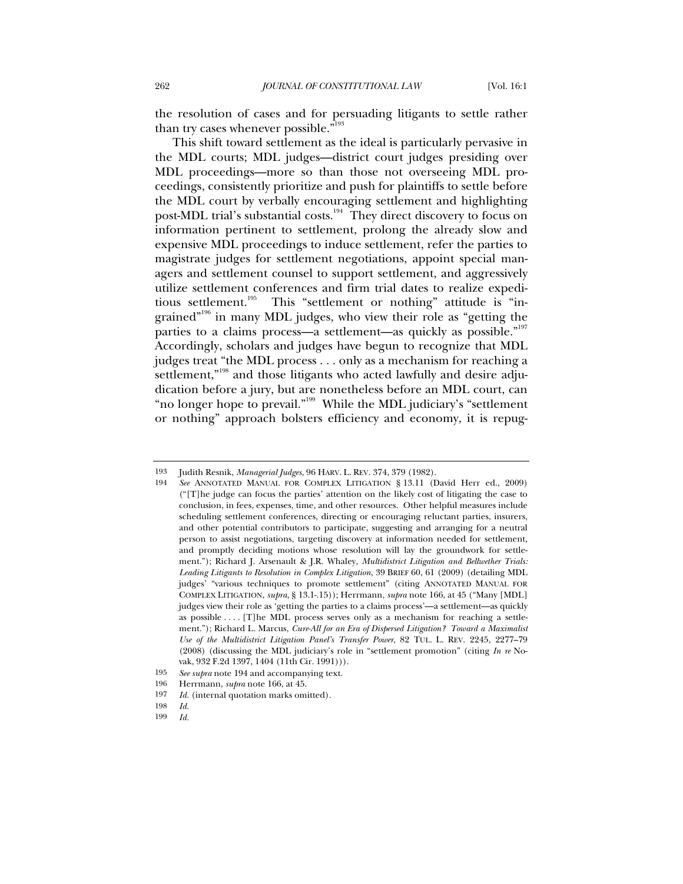the resolution of cases and for persuading litigants to settle rather than try cases whenever possible."<sup>193</sup>

This shift toward settlement as the ideal is particularly pervasive in the MDL courts; MDL judges—district court judges presiding over MDL proceedings—more so than those not overseeing MDL proceedings, consistently prioritize and push for plaintiffs to settle before the MDL court by verbally encouraging settlement and highlighting post-MDL trial's substantial costs.<sup>194</sup> They direct discovery to focus on information pertinent to settlement, prolong the already slow and expensive MDL proceedings to induce settlement, refer the parties to magistrate judges for settlement negotiations, appoint special managers and settlement counsel to support settlement, and aggressively utilize settlement conferences and firm trial dates to realize expeditious settlement.<sup>195</sup> This "settlement or nothing" attitude is "ingrained"<sup>196</sup> in many MDL judges, who view their role as "getting the parties to a claims process—a settlement—as quickly as possible."<sup>197</sup> Accordingly, scholars and judges have begun to recognize that MDL judges treat "the MDL process . . . only as a mechanism for reaching a settlement,"<sup>198</sup> and those litigants who acted lawfully and desire adjudication before a jury, but are nonetheless before an MDL court, can "no longer hope to prevail."<sup>199</sup> While the MDL judiciary's "settlement" or nothing" approach bolsters efficiency and economy, it is repug-

199 *Id.*

<sup>193</sup> Judith Resnik, *Managerial Judges*, 96 HARV. L. REV. 374, 379 (1982).

<sup>194</sup> *See* ANNOTATED MANUAL FOR COMPLEX LITIGATION § 13.11 (David Herr ed., 2009) ("[T]he judge can focus the parties' attention on the likely cost of litigating the case to conclusion, in fees, expenses, time, and other resources. Other helpful measures include scheduling settlement conferences, directing or encouraging reluctant parties, insurers, and other potential contributors to participate, suggesting and arranging for a neutral person to assist negotiations, targeting discovery at information needed for settlement, and promptly deciding motions whose resolution will lay the groundwork for settlement."); Richard J. Arsenault & J.R. Whaley, *Multidistrict Litigation and Bellwether Trials: Leading Litigants to Resolution in Complex Litigation*, 39 BRIEF 60, 61 (2009) (detailing MDL judges' "various techniques to promote settlement" (citing ANNOTATED MANUAL FOR COMPLEX LITIGATION, *supra*, § 13.1-.15)); Herrmann, *supra* note 166, at 45 ("Many [MDL] judges view their role as 'getting the parties to a claims process'—a settlement—as quickly as possible . . . . [T]he MDL process serves only as a mechanism for reaching a settlement."); Richard L. Marcus, *Cure-All for an Era of Dispersed Litigation? Toward a Maximalist Use of the Multidistrict Litigation Panel's Transfer Power*, 82 TUL. L. REV. 2245, 2277–79 (2008) (discussing the MDL judiciary's role in "settlement promotion" (citing *In re* Novak, 932 F.2d 1397, 1404 (11th Cir. 1991))).

<sup>195</sup> *See supra* note 194 and accompanying text.

<sup>196</sup> Herrmann, *supra* note 166, at 45.

<sup>197</sup> *Id.* (internal quotation marks omitted).

<sup>198</sup> *Id.*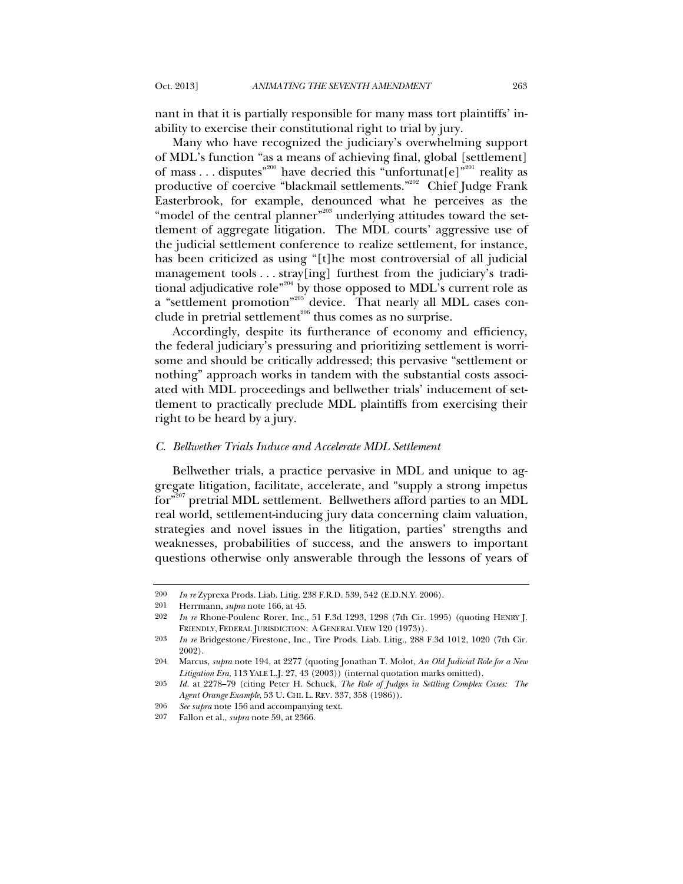nant in that it is partially responsible for many mass tort plaintiffs' inability to exercise their constitutional right to trial by jury.

Many who have recognized the judiciary's overwhelming support of MDL's function "as a means of achieving final, global [settlement] of mass . . . disputes"<sup>200</sup> have decried this "unfortunat[e]"<sup>201</sup> reality as productive of coercive "blackmail settlements."<sup>202</sup> Chief Judge Frank Easterbrook, for example, denounced what he perceives as the "model of the central planner"<sup>203</sup> underlying attitudes toward the settlement of aggregate litigation. The MDL courts' aggressive use of the judicial settlement conference to realize settlement, for instance, has been criticized as using "[t]he most controversial of all judicial management tools . . . stray[ing] furthest from the judiciary's traditional adjudicative role"204 by those opposed to MDL's current role as a "settlement promotion"<sup>205</sup> device. That nearly all MDL cases conclude in pretrial settlement $206$  thus comes as no surprise.

Accordingly, despite its furtherance of economy and efficiency, the federal judiciary's pressuring and prioritizing settlement is worrisome and should be critically addressed; this pervasive "settlement or nothing" approach works in tandem with the substantial costs associated with MDL proceedings and bellwether trials' inducement of settlement to practically preclude MDL plaintiffs from exercising their right to be heard by a jury.

#### *C. Bellwether Trials Induce and Accelerate MDL Settlement*

Bellwether trials, a practice pervasive in MDL and unique to aggregate litigation, facilitate, accelerate, and "supply a strong impetus for<sup>"207</sup> pretrial MDL settlement. Bellwethers afford parties to an MDL real world, settlement-inducing jury data concerning claim valuation, strategies and novel issues in the litigation, parties' strengths and weaknesses, probabilities of success, and the answers to important questions otherwise only answerable through the lessons of years of

<sup>200</sup> *In re* Zyprexa Prods. Liab. Litig. 238 F.R.D. 539, 542 (E.D.N.Y. 2006).

<sup>201</sup> Herrmann, *supra* note 166, at 45.

<sup>202</sup> *In re* Rhone-Poulenc Rorer, Inc., 51 F.3d 1293, 1298 (7th Cir. 1995) (quoting HENRY J. FRIENDLY, FEDERAL JURISDICTION: A GENERAL VIEW 120 (1973)).

<sup>203</sup> *In re* Bridgestone/Firestone, Inc., Tire Prods. Liab. Litig., 288 F.3d 1012, 1020 (7th Cir. 2002).

<sup>204</sup> Marcus, *supra* note 194, at 2277 (quoting Jonathan T. Molot, *An Old Judicial Role for a New Litigation Era*, 113 YALE L.J. 27, 43 (2003)) (internal quotation marks omitted).

<sup>205</sup> *Id.* at 2278–79 (citing Peter H. Schuck, *The Role of Judges in Settling Complex Cases: The Agent Orange Example*, 53 U. CHI. L. REV. 337, 358 (1986)).

<sup>206</sup> *See supra* note 156 and accompanying text.

<sup>207</sup> Fallon et al., *supra* note 59, at 2366.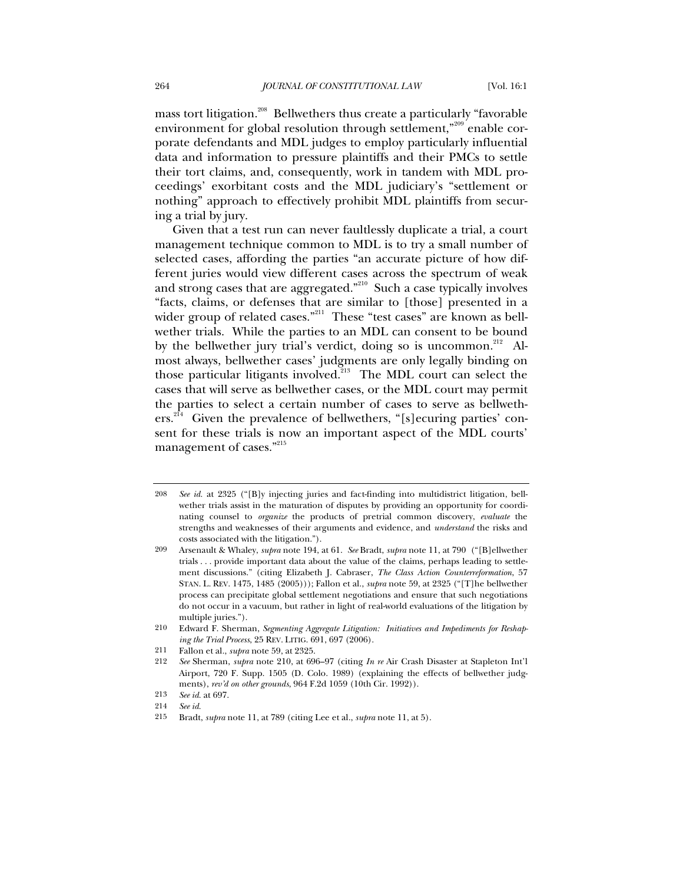mass tort litigation.<sup>208</sup> Bellwethers thus create a particularly "favorable" environment for global resolution through settlement,<sup>"209</sup> enable corporate defendants and MDL judges to employ particularly influential data and information to pressure plaintiffs and their PMCs to settle their tort claims, and, consequently, work in tandem with MDL proceedings' exorbitant costs and the MDL judiciary's "settlement or nothing" approach to effectively prohibit MDL plaintiffs from securing a trial by jury.

Given that a test run can never faultlessly duplicate a trial, a court management technique common to MDL is to try a small number of selected cases, affording the parties "an accurate picture of how different juries would view different cases across the spectrum of weak and strong cases that are aggregated."210 Such a case typically involves "facts, claims, or defenses that are similar to [those] presented in a wider group of related cases."<sup>211</sup> These "test cases" are known as bellwether trials. While the parties to an MDL can consent to be bound by the bellwether jury trial's verdict, doing so is uncommon.<sup>212</sup> Almost always, bellwether cases' judgments are only legally binding on those particular litigants involved.<sup>213</sup> The MDL court can select the cases that will serve as bellwether cases, or the MDL court may permit the parties to select a certain number of cases to serve as bellwethers.<sup>214</sup> Given the prevalence of bellwethers, "[s]ecuring parties' consent for these trials is now an important aspect of the MDL courts' management of cases."<sup>215</sup>

<sup>208</sup> *See id.* at 2325 ("[B]y injecting juries and fact-finding into multidistrict litigation, bellwether trials assist in the maturation of disputes by providing an opportunity for coordinating counsel to *organize* the products of pretrial common discovery, *evaluate* the strengths and weaknesses of their arguments and evidence, and *understand* the risks and costs associated with the litigation.").

<sup>209</sup> Arsenault & Whaley, *supra* note 194, at 61. *See* Bradt, *supra* note 11, at 790 ("[B]ellwether trials . . . provide important data about the value of the claims, perhaps leading to settlement discussions." (citing Elizabeth J. Cabraser, *The Class Action Counterreformation*, 57 STAN. L. REV. 1475, 1485 (2005))); Fallon et al., *supra* note 59, at 2325 ("[T]he bellwether process can precipitate global settlement negotiations and ensure that such negotiations do not occur in a vacuum, but rather in light of real-world evaluations of the litigation by multiple juries.").

<sup>210</sup> Edward F. Sherman, *Segmenting Aggregate Litigation: Initiatives and Impediments for Reshaping the Trial Process*, 25 REV. LITIG. 691, 697 (2006).

<sup>211</sup> Fallon et al., *supra* note 59, at 2325.

<sup>212</sup> *See* Sherman, *supra* note 210, at 696–97 (citing *In re* Air Crash Disaster at Stapleton Int'l Airport, 720 F. Supp. 1505 (D. Colo. 1989) (explaining the effects of bellwether judgments), *rev'd on other grounds*, 964 F.2d 1059 (10th Cir. 1992)).

<sup>213</sup> *See id.* at 697.

<sup>214</sup> *See id.*

<sup>215</sup> Bradt, *supra* note 11, at 789 (citing Lee et al., *supra* note 11, at 5).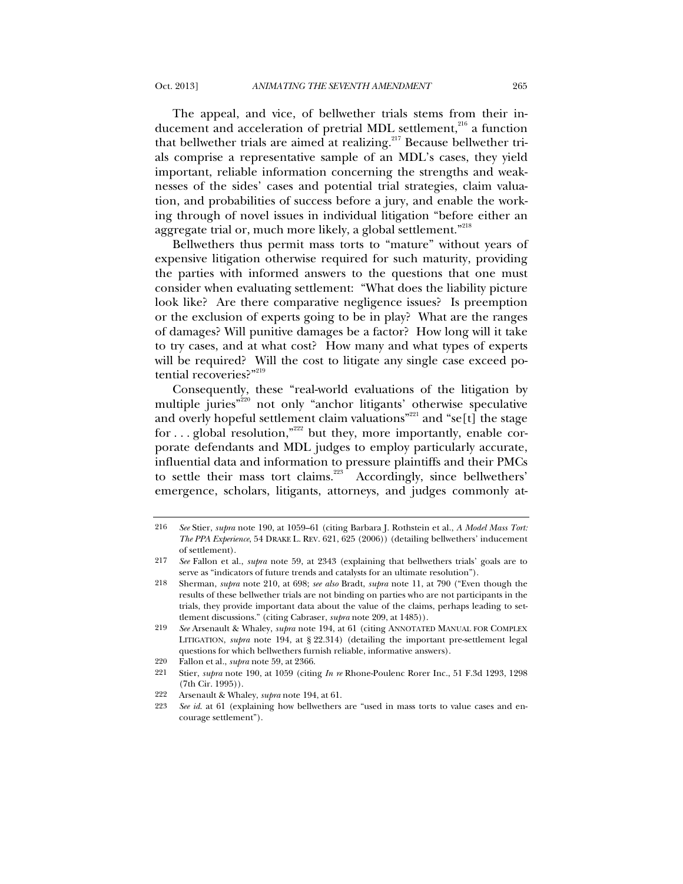The appeal, and vice, of bellwether trials stems from their inducement and acceleration of pretrial MDL settlement,<sup>216</sup> a function that bellwether trials are aimed at realizing.<sup>217</sup> Because bellwether trials comprise a representative sample of an MDL's cases, they yield important, reliable information concerning the strengths and weaknesses of the sides' cases and potential trial strategies, claim valuation, and probabilities of success before a jury, and enable the working through of novel issues in individual litigation "before either an aggregate trial or, much more likely, a global settlement."<sup>218</sup>

Bellwethers thus permit mass torts to "mature" without years of expensive litigation otherwise required for such maturity, providing the parties with informed answers to the questions that one must consider when evaluating settlement: "What does the liability picture look like? Are there comparative negligence issues? Is preemption or the exclusion of experts going to be in play? What are the ranges of damages? Will punitive damages be a factor? How long will it take to try cases, and at what cost? How many and what types of experts will be required? Will the cost to litigate any single case exceed potential recoveries?"219

Consequently, these "real-world evaluations of the litigation by multiple juries"<sup>220</sup> not only "anchor litigants' otherwise speculative and overly hopeful settlement claim valuations"<sup>221</sup> and "se[t] the stage for ... global resolution,"<sup>222</sup> but they, more importantly, enable corporate defendants and MDL judges to employ particularly accurate, influential data and information to pressure plaintiffs and their PMCs to settle their mass tort claims.<sup>223</sup> Accordingly, since bellwethers' emergence, scholars, litigants, attorneys, and judges commonly at-

<sup>216</sup> *See* Stier, *supra* note 190, at 1059–61 (citing Barbara J. Rothstein et al., *A Model Mass Tort: The PPA Experience*, 54 DRAKE L. REV. 621, 625 (2006)) (detailing bellwethers' inducement of settlement).

<sup>217</sup> *See* Fallon et al., *supra* note 59, at 2343 (explaining that bellwethers trials' goals are to serve as "indicators of future trends and catalysts for an ultimate resolution").

<sup>218</sup> Sherman, *supra* note 210, at 698; *see also* Bradt, *supra* note 11, at 790 ("Even though the results of these bellwether trials are not binding on parties who are not participants in the trials, they provide important data about the value of the claims, perhaps leading to settlement discussions." (citing Cabraser, *supra* note 209, at 1485)).

<sup>219</sup> *See* Arsenault & Whaley, *supra* note 194, at 61 (citing ANNOTATED MANUAL FOR COMPLEX LITIGATION, *supra* note 194, at § 22.314) (detailing the important pre-settlement legal questions for which bellwethers furnish reliable, informative answers).

<sup>220</sup> Fallon et al., *supra* note 59, at 2366.

<sup>221</sup> Stier, *supra* note 190, at 1059 (citing *In re* Rhone-Poulenc Rorer Inc., 51 F.3d 1293, 1298 (7th Cir. 1995)).

<sup>222</sup> Arsenault & Whaley, *supra* note 194, at 61.

<sup>223</sup> *See id*. at 61 (explaining how bellwethers are "used in mass torts to value cases and encourage settlement").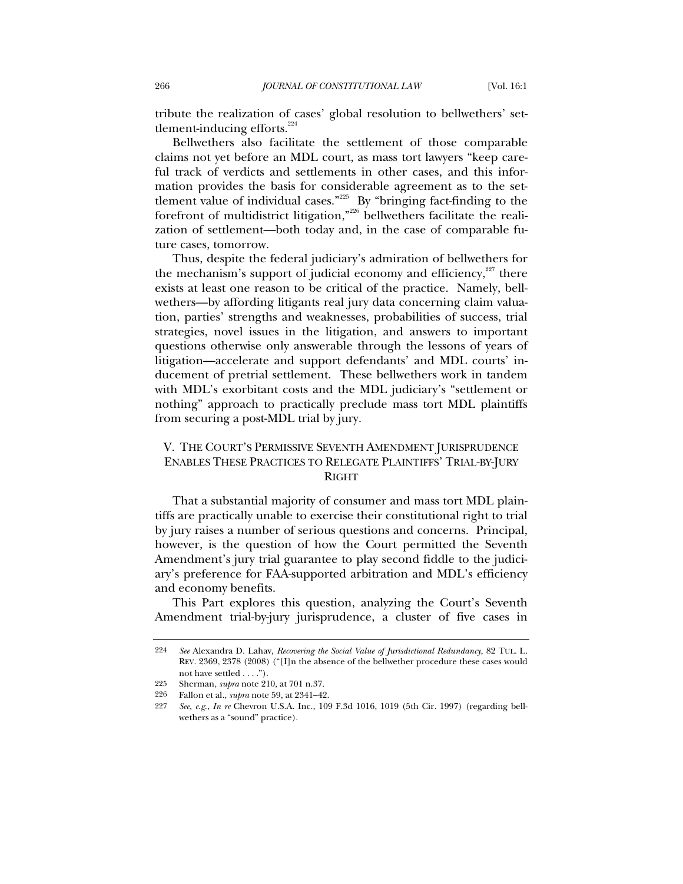tribute the realization of cases' global resolution to bellwethers' settlement-inducing efforts. $224$ 

Bellwethers also facilitate the settlement of those comparable claims not yet before an MDL court, as mass tort lawyers "keep careful track of verdicts and settlements in other cases, and this information provides the basis for considerable agreement as to the settlement value of individual cases."225 By "bringing fact-finding to the forefront of multidistrict litigation,"226 bellwethers facilitate the realization of settlement—both today and, in the case of comparable future cases, tomorrow.

Thus, despite the federal judiciary's admiration of bellwethers for the mechanism's support of judicial economy and efficiency, $227$  there exists at least one reason to be critical of the practice. Namely, bellwethers—by affording litigants real jury data concerning claim valuation, parties' strengths and weaknesses, probabilities of success, trial strategies, novel issues in the litigation, and answers to important questions otherwise only answerable through the lessons of years of litigation—accelerate and support defendants' and MDL courts' inducement of pretrial settlement. These bellwethers work in tandem with MDL's exorbitant costs and the MDL judiciary's "settlement or nothing" approach to practically preclude mass tort MDL plaintiffs from securing a post-MDL trial by jury.

# V. THE COURT'S PERMISSIVE SEVENTH AMENDMENT JURISPRUDENCE ENABLES THESE PRACTICES TO RELEGATE PLAINTIFFS' TRIAL-BY-JURY RIGHT

That a substantial majority of consumer and mass tort MDL plaintiffs are practically unable to exercise their constitutional right to trial by jury raises a number of serious questions and concerns. Principal, however, is the question of how the Court permitted the Seventh Amendment's jury trial guarantee to play second fiddle to the judiciary's preference for FAA-supported arbitration and MDL's efficiency and economy benefits.

This Part explores this question, analyzing the Court's Seventh Amendment trial-by-jury jurisprudence, a cluster of five cases in

<sup>224</sup> *See* Alexandra D. Lahav, *Recovering the Social Value of Jurisdictional Redundancy*, 82 TUL. L. REV. 2369, 2378 (2008) ("[I]n the absence of the bellwether procedure these cases would not have settled . . . .").

<sup>225</sup> Sherman, *supra* note 210, at 701 n.37.

<sup>226</sup> Fallon et al., *supra* note 59, at 2341–42.

<sup>227</sup> *See, e.g.*, *In re* Chevron U.S.A. Inc., 109 F.3d 1016, 1019 (5th Cir. 1997) (regarding bellwethers as a "sound" practice).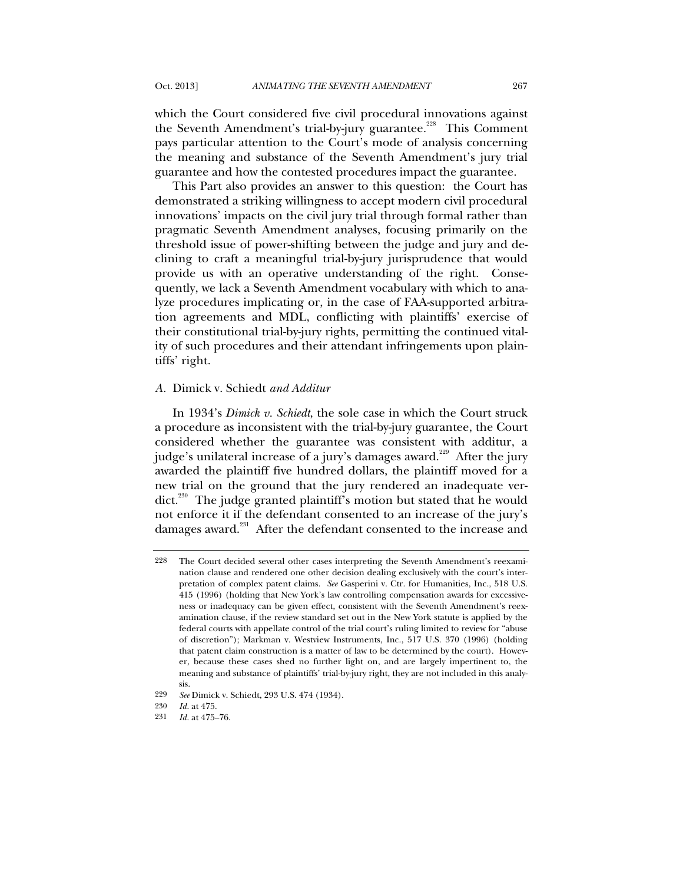which the Court considered five civil procedural innovations against the Seventh Amendment's trial-by-jury guarantee.<sup>228</sup> This Comment pays particular attention to the Court's mode of analysis concerning the meaning and substance of the Seventh Amendment's jury trial guarantee and how the contested procedures impact the guarantee.

This Part also provides an answer to this question: the Court has demonstrated a striking willingness to accept modern civil procedural innovations' impacts on the civil jury trial through formal rather than pragmatic Seventh Amendment analyses, focusing primarily on the threshold issue of power-shifting between the judge and jury and declining to craft a meaningful trial-by-jury jurisprudence that would provide us with an operative understanding of the right. Consequently, we lack a Seventh Amendment vocabulary with which to analyze procedures implicating or, in the case of FAA-supported arbitration agreements and MDL, conflicting with plaintiffs' exercise of their constitutional trial-by-jury rights, permitting the continued vitality of such procedures and their attendant infringements upon plaintiffs' right.

#### *A.* Dimick v. Schiedt *and Additur*

In 1934's *Dimick v. Schiedt*, the sole case in which the Court struck a procedure as inconsistent with the trial-by-jury guarantee, the Court considered whether the guarantee was consistent with additur, a judge's unilateral increase of a jury's damages award.<sup>229</sup> After the jury awarded the plaintiff five hundred dollars, the plaintiff moved for a new trial on the ground that the jury rendered an inadequate verdict.<sup>230</sup> The judge granted plaintiff's motion but stated that he would not enforce it if the defendant consented to an increase of the jury's damages award.<sup>231</sup> After the defendant consented to the increase and

<sup>228</sup> The Court decided several other cases interpreting the Seventh Amendment's reexamination clause and rendered one other decision dealing exclusively with the court's interpretation of complex patent claims. *See* Gasperini v. Ctr. for Humanities, Inc., 518 U.S. 415 (1996) (holding that New York's law controlling compensation awards for excessiveness or inadequacy can be given effect, consistent with the Seventh Amendment's reexamination clause, if the review standard set out in the New York statute is applied by the federal courts with appellate control of the trial court's ruling limited to review for "abuse of discretion"); Markman v. Westview Instruments, Inc., 517 U.S. 370 (1996) (holding that patent claim construction is a matter of law to be determined by the court). However, because these cases shed no further light on, and are largely impertinent to, the meaning and substance of plaintiffs' trial-by-jury right, they are not included in this analysis.

<sup>229</sup> *See* Dimick v. Schiedt, 293 U.S. 474 (1934).

<sup>230</sup> *Id.* at 475.

<sup>231</sup> *Id.* at 475–76.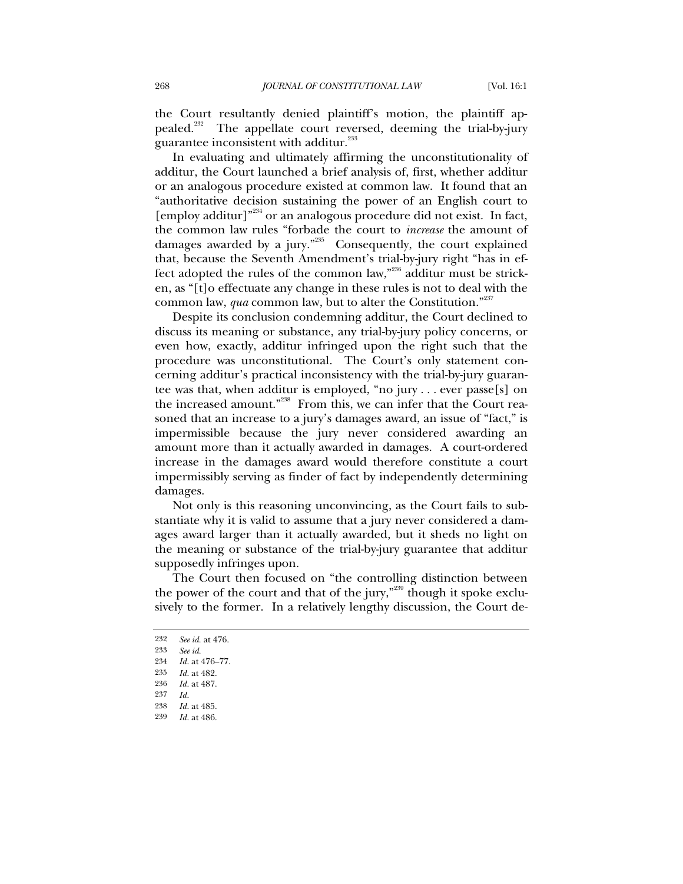the Court resultantly denied plaintiff's motion, the plaintiff appealed.<sup>232</sup> The appellate court reversed, deeming the trial-by-jury guarantee inconsistent with additur.<sup>233</sup>

In evaluating and ultimately affirming the unconstitutionality of additur, the Court launched a brief analysis of, first, whether additur or an analogous procedure existed at common law. It found that an "authoritative decision sustaining the power of an English court to [employ additur]"234 or an analogous procedure did not exist. In fact, the common law rules "forbade the court to *increase* the amount of damages awarded by a jury."235 Consequently, the court explained that, because the Seventh Amendment's trial-by-jury right "has in effect adopted the rules of the common law,"236 additur must be stricken, as "[t]o effectuate any change in these rules is not to deal with the common law, *qua* common law, but to alter the Constitution."<sup>237</sup>

Despite its conclusion condemning additur, the Court declined to discuss its meaning or substance, any trial-by-jury policy concerns, or even how, exactly, additur infringed upon the right such that the procedure was unconstitutional. The Court's only statement concerning additur's practical inconsistency with the trial-by-jury guarantee was that, when additur is employed, "no jury . . . ever passe[s] on the increased amount."<sup>238</sup> From this, we can infer that the Court reasoned that an increase to a jury's damages award, an issue of "fact," is impermissible because the jury never considered awarding an amount more than it actually awarded in damages. A court-ordered increase in the damages award would therefore constitute a court impermissibly serving as finder of fact by independently determining damages.

Not only is this reasoning unconvincing, as the Court fails to substantiate why it is valid to assume that a jury never considered a damages award larger than it actually awarded, but it sheds no light on the meaning or substance of the trial-by-jury guarantee that additur supposedly infringes upon.

The Court then focused on "the controlling distinction between the power of the court and that of the jury," $239$  though it spoke exclusively to the former. In a relatively lengthy discussion, the Court de-

<sup>232</sup> *See id.* at 476.

<sup>233</sup> *See id.*

<sup>234</sup> *Id.* at 476–77.

<sup>235</sup> *Id.* at 482.

<sup>236</sup> *Id.* at 487.

<sup>237</sup> *Id.*

<sup>238</sup> *Id.* at 485. 239 *Id.* at 486.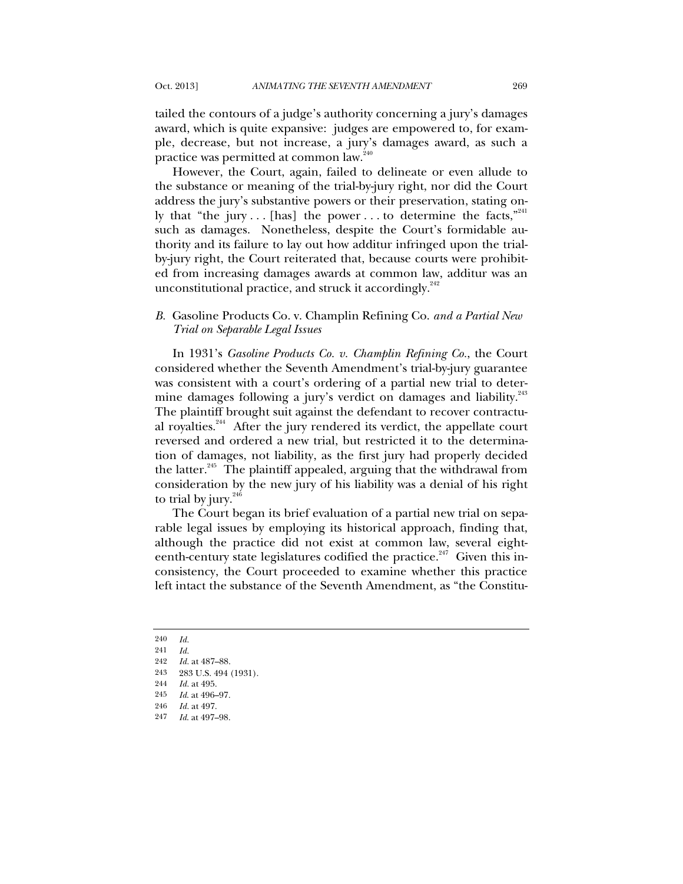tailed the contours of a judge's authority concerning a jury's damages award, which is quite expansive: judges are empowered to, for example, decrease, but not increase, a jury's damages award, as such a practice was permitted at common law.<sup>240</sup>

However, the Court, again, failed to delineate or even allude to the substance or meaning of the trial-by-jury right, nor did the Court address the jury's substantive powers or their preservation, stating only that "the jury... [has] the power... to determine the facts," such as damages. Nonetheless, despite the Court's formidable authority and its failure to lay out how additur infringed upon the trialby-jury right, the Court reiterated that, because courts were prohibited from increasing damages awards at common law, additur was an unconstitutional practice, and struck it accordingly. $242$ 

## *B.* Gasoline Products Co. v. Champlin Refining Co. *and a Partial New Trial on Separable Legal Issues*

In 1931's *Gasoline Products Co. v. Champlin Refining Co.*, the Court considered whether the Seventh Amendment's trial-by-jury guarantee was consistent with a court's ordering of a partial new trial to determine damages following a jury's verdict on damages and liability.<sup>243</sup> The plaintiff brought suit against the defendant to recover contractual royalties.<sup>244</sup> After the jury rendered its verdict, the appellate court reversed and ordered a new trial, but restricted it to the determination of damages, not liability, as the first jury had properly decided the latter. $245$  The plaintiff appealed, arguing that the withdrawal from consideration by the new jury of his liability was a denial of his right to trial by jury. $246$ 

The Court began its brief evaluation of a partial new trial on separable legal issues by employing its historical approach, finding that, although the practice did not exist at common law, several eighteenth-century state legislatures codified the practice. $247$  Given this inconsistency, the Court proceeded to examine whether this practice left intact the substance of the Seventh Amendment, as "the Constitu-

<sup>240</sup> *Id.*

<sup>241</sup> *Id.*

<sup>242</sup> *Id.* at 487–88.

<sup>243</sup> 283 U.S. 494 (1931).

<sup>244</sup> *Id.* at 495.

<sup>245</sup> *Id*. at 496–97.

<sup>246</sup> *Id.* at 497.

<sup>247</sup> *Id*. at 497–98.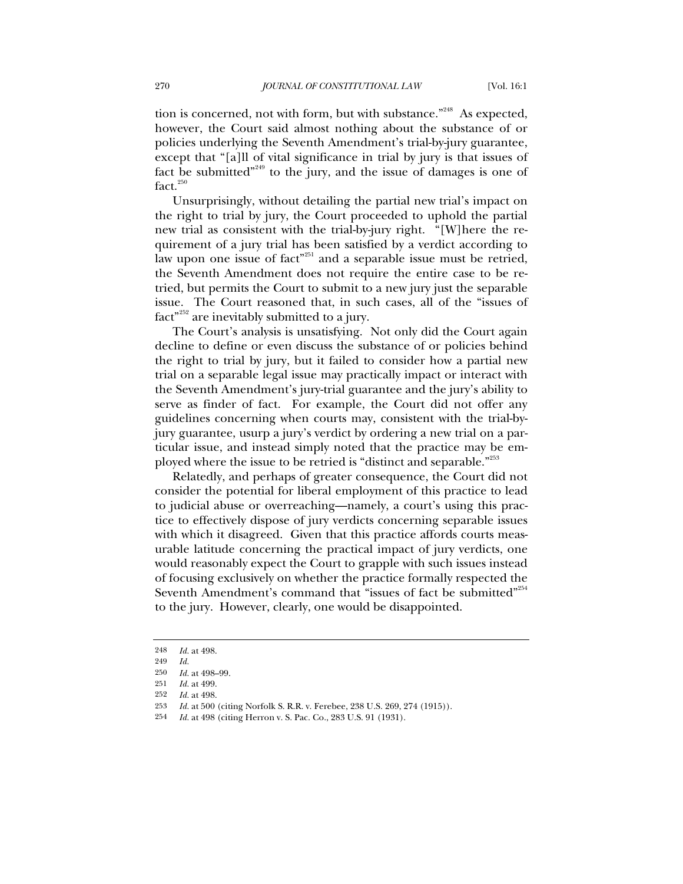tion is concerned, not with form, but with substance."<sup>248</sup> As expected, however, the Court said almost nothing about the substance of or policies underlying the Seventh Amendment's trial-by-jury guarantee, except that "[a]ll of vital significance in trial by jury is that issues of fact be submitted $^{249}$  to the jury, and the issue of damages is one of  $fact.<sup>250</sup>$ 

Unsurprisingly, without detailing the partial new trial's impact on the right to trial by jury, the Court proceeded to uphold the partial new trial as consistent with the trial-by-jury right. "[W]here the requirement of a jury trial has been satisfied by a verdict according to law upon one issue of fact"<sup>251</sup> and a separable issue must be retried, the Seventh Amendment does not require the entire case to be retried, but permits the Court to submit to a new jury just the separable issue. The Court reasoned that, in such cases, all of the "issues of  $fact^{9252}$  are inevitably submitted to a jury.

The Court's analysis is unsatisfying. Not only did the Court again decline to define or even discuss the substance of or policies behind the right to trial by jury, but it failed to consider how a partial new trial on a separable legal issue may practically impact or interact with the Seventh Amendment's jury-trial guarantee and the jury's ability to serve as finder of fact. For example, the Court did not offer any guidelines concerning when courts may, consistent with the trial-byjury guarantee, usurp a jury's verdict by ordering a new trial on a particular issue, and instead simply noted that the practice may be employed where the issue to be retried is "distinct and separable."<sup>253</sup>

Relatedly, and perhaps of greater consequence, the Court did not consider the potential for liberal employment of this practice to lead to judicial abuse or overreaching—namely, a court's using this practice to effectively dispose of jury verdicts concerning separable issues with which it disagreed. Given that this practice affords courts measurable latitude concerning the practical impact of jury verdicts, one would reasonably expect the Court to grapple with such issues instead of focusing exclusively on whether the practice formally respected the Seventh Amendment's command that "issues of fact be submitted"<sup>254</sup> to the jury. However, clearly, one would be disappointed.

<sup>248</sup> *Id.* at 498.

<sup>249</sup> *Id.*

<sup>250</sup> *Id.* at 498–99.

<sup>251</sup> *Id.* at 499.

<sup>252</sup> *Id.* at 498.

<sup>253</sup> *Id.* at 500 (citing Norfolk S. R.R. v. Ferebee, 238 U.S. 269, 274 (1915)).

<sup>254</sup> *Id.* at 498 (citing Herron v. S. Pac. Co., 283 U.S. 91 (1931).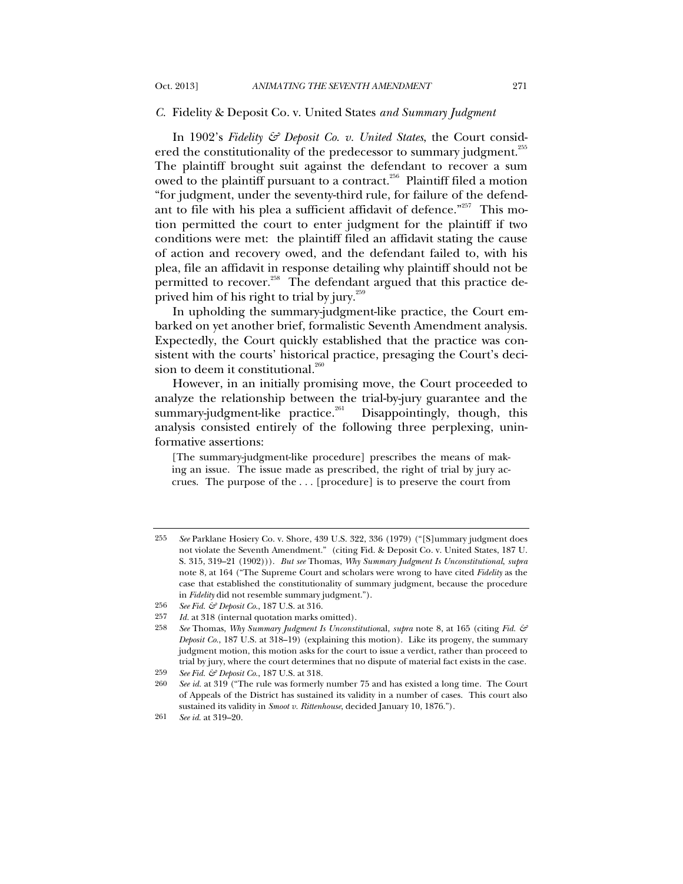### *C.* Fidelity & Deposit Co. v. United States *and Summary Judgment*

In 1902's *Fidelity & Deposit Co. v. United States*, the Court considered the constitutionality of the predecessor to summary judgment.<sup>255</sup> The plaintiff brought suit against the defendant to recover a sum owed to the plaintiff pursuant to a contract.<sup>256</sup> Plaintiff filed a motion "for judgment, under the seventy-third rule, for failure of the defendant to file with his plea a sufficient affidavit of defence."257 This motion permitted the court to enter judgment for the plaintiff if two conditions were met: the plaintiff filed an affidavit stating the cause of action and recovery owed, and the defendant failed to, with his plea, file an affidavit in response detailing why plaintiff should not be permitted to recover.<sup>258</sup> The defendant argued that this practice deprived him of his right to trial by jury.<sup>259</sup>

In upholding the summary-judgment-like practice, the Court embarked on yet another brief, formalistic Seventh Amendment analysis. Expectedly, the Court quickly established that the practice was consistent with the courts' historical practice, presaging the Court's decision to deem it constitutional. $^{260}$ 

However, in an initially promising move, the Court proceeded to analyze the relationship between the trial-by-jury guarantee and the summary-judgment-like practice.<sup>261</sup> Disappointingly, though, this analysis consisted entirely of the following three perplexing, uninformative assertions:

[The summary-judgment-like procedure] prescribes the means of making an issue. The issue made as prescribed, the right of trial by jury accrues. The purpose of the . . . [procedure] is to preserve the court from

259 *See Fid. & Deposit Co.*, 187 U.S. at 318.

<sup>255</sup> *See* Parklane Hosiery Co. v. Shore, 439 U.S. 322, 336 (1979) ("[S]ummary judgment does not violate the Seventh Amendment." (citing Fid. & Deposit Co. v. United States, 187 U. S. 315, 319–21 (1902))). *But see* Thomas, *Why Summary Judgment Is Unconstitutional*, *supra* note 8, at 164 ("The Supreme Court and scholars were wrong to have cited *Fidelity* as the case that established the constitutionality of summary judgment, because the procedure in *Fidelity* did not resemble summary judgment.").

<sup>256</sup> *See Fid. & Deposit Co.*, 187 U.S. at 316.

<sup>257</sup> *Id.* at 318 (internal quotation marks omitted).

<sup>258</sup> *See* Thomas, *Why Summary Judgment Is Unconstitution*al, *supra* note 8, at 165 (citing *Fid. & Deposit Co.*, 187 U.S. at 318–19) (explaining this motion). Like its progeny, the summary judgment motion, this motion asks for the court to issue a verdict, rather than proceed to trial by jury, where the court determines that no dispute of material fact exists in the case.

<sup>260</sup> *See id.* at 319 ("The rule was formerly number 75 and has existed a long time. The Court of Appeals of the District has sustained its validity in a number of cases. This court also sustained its validity in *Smoot v. Rittenhouse*, decided January 10, 1876.").

<sup>261</sup> *See id.* at 319–20.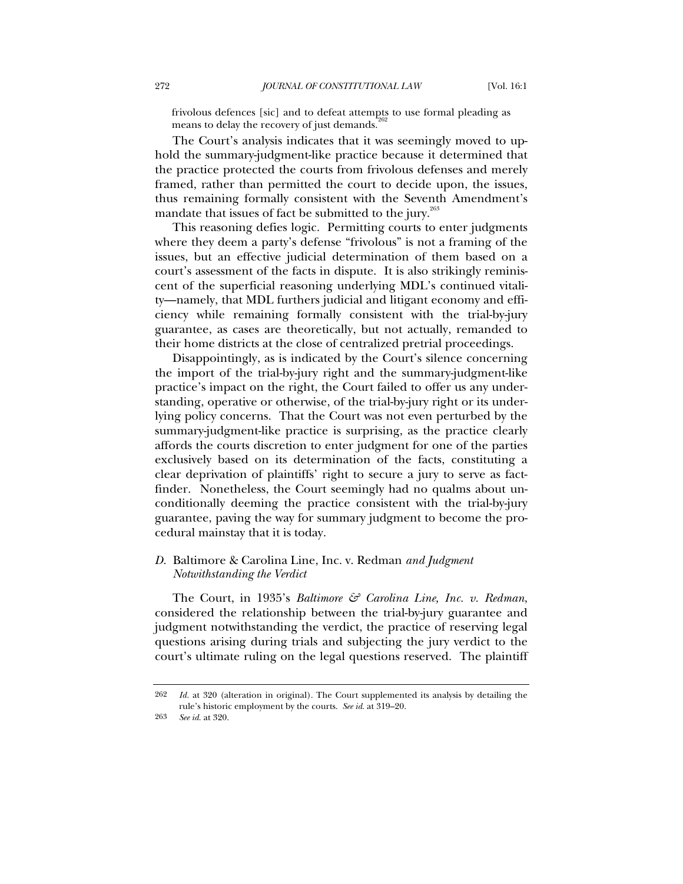frivolous defences [sic] and to defeat attempts to use formal pleading as means to delay the recovery of just demands.<sup>2</sup>

The Court's analysis indicates that it was seemingly moved to uphold the summary-judgment-like practice because it determined that the practice protected the courts from frivolous defenses and merely framed, rather than permitted the court to decide upon, the issues, thus remaining formally consistent with the Seventh Amendment's mandate that issues of fact be submitted to the jury. $263$ 

This reasoning defies logic. Permitting courts to enter judgments where they deem a party's defense "frivolous" is not a framing of the issues, but an effective judicial determination of them based on a court's assessment of the facts in dispute. It is also strikingly reminiscent of the superficial reasoning underlying MDL's continued vitality—namely, that MDL furthers judicial and litigant economy and efficiency while remaining formally consistent with the trial-by-jury guarantee, as cases are theoretically, but not actually, remanded to their home districts at the close of centralized pretrial proceedings.

Disappointingly, as is indicated by the Court's silence concerning the import of the trial-by-jury right and the summary-judgment-like practice's impact on the right, the Court failed to offer us any understanding, operative or otherwise, of the trial-by-jury right or its underlying policy concerns. That the Court was not even perturbed by the summary-judgment-like practice is surprising, as the practice clearly affords the courts discretion to enter judgment for one of the parties exclusively based on its determination of the facts, constituting a clear deprivation of plaintiffs' right to secure a jury to serve as factfinder. Nonetheless, the Court seemingly had no qualms about unconditionally deeming the practice consistent with the trial-by-jury guarantee, paving the way for summary judgment to become the procedural mainstay that it is today.

# *D.* Baltimore & Carolina Line, Inc. v. Redman *and Judgment Notwithstanding the Verdict*

The Court, in 1935's *Baltimore & Carolina Line, Inc. v. Redman*, considered the relationship between the trial-by-jury guarantee and judgment notwithstanding the verdict, the practice of reserving legal questions arising during trials and subjecting the jury verdict to the court's ultimate ruling on the legal questions reserved. The plaintiff

<sup>262</sup> *Id.* at 320 (alteration in original). The Court supplemented its analysis by detailing the rule's historic employment by the courts. *See id.* at 319–20.

<sup>263</sup> *See id.* at 320.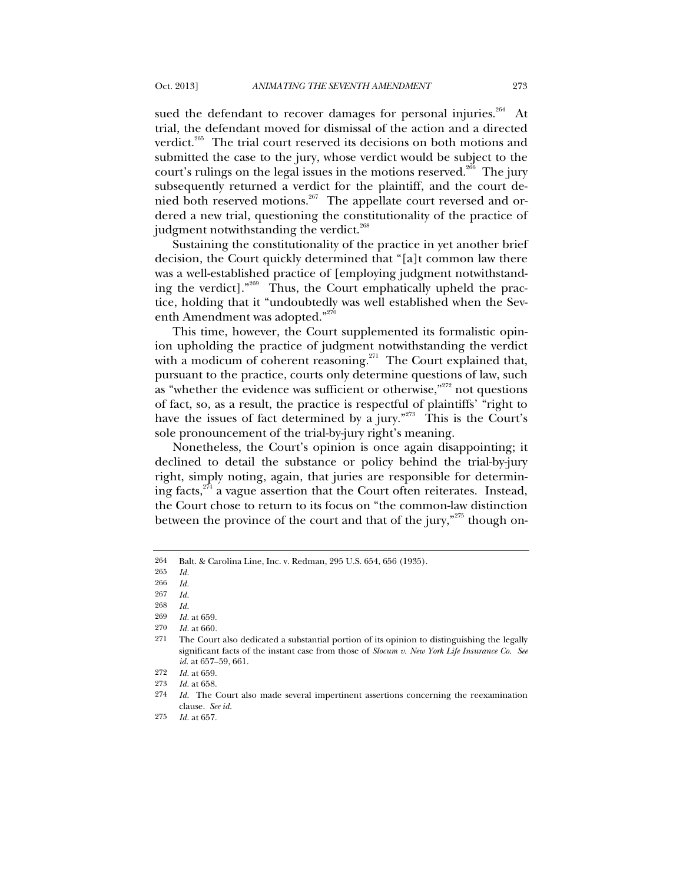sued the defendant to recover damages for personal injuries.<sup>264</sup> At trial, the defendant moved for dismissal of the action and a directed verdict.<sup>265</sup> The trial court reserved its decisions on both motions and submitted the case to the jury, whose verdict would be subject to the court's rulings on the legal issues in the motions reserved. $266$  The jury subsequently returned a verdict for the plaintiff, and the court denied both reserved motions.<sup>267</sup> The appellate court reversed and ordered a new trial, questioning the constitutionality of the practice of judgment notwithstanding the verdict.<sup>268</sup>

Sustaining the constitutionality of the practice in yet another brief decision, the Court quickly determined that "[a]t common law there was a well-established practice of [employing judgment notwithstanding the verdict]."269 Thus, the Court emphatically upheld the practice, holding that it "undoubtedly was well established when the Seventh Amendment was adopted."<sup>270</sup>

This time, however, the Court supplemented its formalistic opinion upholding the practice of judgment notwithstanding the verdict with a modicum of coherent reasoning.<sup>271</sup> The Court explained that, pursuant to the practice, courts only determine questions of law, such as "whether the evidence was sufficient or otherwise, $^{272}$  not questions of fact, so, as a result, the practice is respectful of plaintiffs' "right to have the issues of fact determined by a jury."<sup>273</sup> This is the Court's sole pronouncement of the trial-by-jury right's meaning.

Nonetheless, the Court's opinion is once again disappointing; it declined to detail the substance or policy behind the trial-by-jury right, simply noting, again, that juries are responsible for determining facts, $2^{74}$  a vague assertion that the Court often reiterates. Instead, the Court chose to return to its focus on "the common-law distinction between the province of the court and that of the jury," $275$  though on-

<sup>264</sup> Balt. & Carolina Line, Inc. v. Redman, 295 U.S. 654, 656 (1935).

<sup>265</sup> *Id.*

<sup>266</sup> *Id.*

<sup>267</sup> *Id.*

<sup>268</sup> *Id.*

<sup>269</sup> *Id.* at 659.

<sup>270</sup> *Id.* at 660*.*

<sup>271</sup> The Court also dedicated a substantial portion of its opinion to distinguishing the legally significant facts of the instant case from those of *Slocum v. New York Life Insurance Co. See id.* at 657–59, 661.

<sup>272</sup> *Id.* at 659.

<sup>273</sup> *Id.* at 658.

<sup>274</sup> *Id.* The Court also made several impertinent assertions concerning the reexamination clause. *See id.*

<sup>275</sup> *Id.* at 657.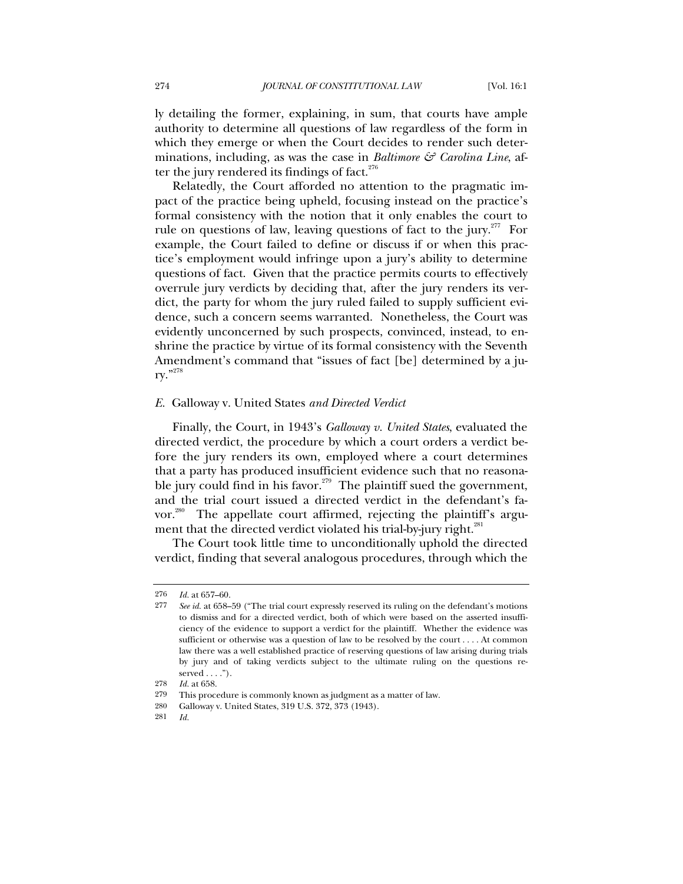ly detailing the former, explaining, in sum, that courts have ample authority to determine all questions of law regardless of the form in which they emerge or when the Court decides to render such determinations, including, as was the case in *Baltimore & Carolina Line*, after the jury rendered its findings of fact. $276$ 

Relatedly, the Court afforded no attention to the pragmatic impact of the practice being upheld, focusing instead on the practice's formal consistency with the notion that it only enables the court to rule on questions of law, leaving questions of fact to the jury.<sup>277</sup> For example, the Court failed to define or discuss if or when this practice's employment would infringe upon a jury's ability to determine questions of fact. Given that the practice permits courts to effectively overrule jury verdicts by deciding that, after the jury renders its verdict, the party for whom the jury ruled failed to supply sufficient evidence, such a concern seems warranted. Nonetheless, the Court was evidently unconcerned by such prospects, convinced, instead, to enshrine the practice by virtue of its formal consistency with the Seventh Amendment's command that "issues of fact [be] determined by a jury."278

### *E.* Galloway v. United States *and Directed Verdict*

Finally, the Court, in 1943's *Galloway v. United States*, evaluated the directed verdict, the procedure by which a court orders a verdict before the jury renders its own, employed where a court determines that a party has produced insufficient evidence such that no reasonable jury could find in his favor.<sup> $279$ </sup> The plaintiff sued the government, and the trial court issued a directed verdict in the defendant's favor.<sup>280</sup> The appellate court affirmed, rejecting the plaintiff's argument that the directed verdict violated his trial-by-jury right.<sup>281</sup>

The Court took little time to unconditionally uphold the directed verdict, finding that several analogous procedures, through which the

<sup>276</sup> *Id.* at 657–60.

<sup>277</sup> *See id.* at 658–59 ("The trial court expressly reserved its ruling on the defendant's motions to dismiss and for a directed verdict, both of which were based on the asserted insufficiency of the evidence to support a verdict for the plaintiff. Whether the evidence was sufficient or otherwise was a question of law to be resolved by the court . . . . At common law there was a well established practice of reserving questions of law arising during trials by jury and of taking verdicts subject to the ultimate ruling on the questions reserved  $\dots$ .").

<sup>278</sup> *Id.* at 658.

<sup>279</sup> This procedure is commonly known as judgment as a matter of law.

<sup>280</sup> Galloway v. United States, 319 U.S. 372, 373 (1943).

<sup>281</sup> *Id.*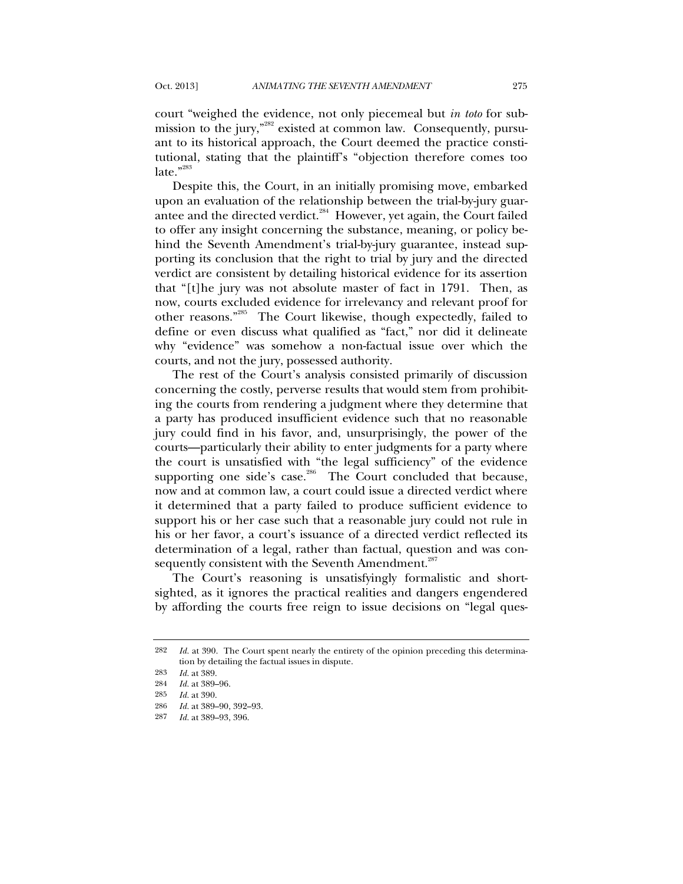court "weighed the evidence, not only piecemeal but *in toto* for submission to the jury,"<sup>282</sup> existed at common law. Consequently, pursuant to its historical approach, the Court deemed the practice constitutional, stating that the plaintiff's "objection therefore comes too  $late."$ 

Despite this, the Court, in an initially promising move, embarked upon an evaluation of the relationship between the trial-by-jury guarantee and the directed verdict. $^{284}$  However, yet again, the Court failed to offer any insight concerning the substance, meaning, or policy behind the Seventh Amendment's trial-by-jury guarantee, instead supporting its conclusion that the right to trial by jury and the directed verdict are consistent by detailing historical evidence for its assertion that "[t]he jury was not absolute master of fact in 1791. Then, as now, courts excluded evidence for irrelevancy and relevant proof for other reasons."285 The Court likewise, though expectedly, failed to define or even discuss what qualified as "fact," nor did it delineate why "evidence" was somehow a non-factual issue over which the courts, and not the jury, possessed authority.

The rest of the Court's analysis consisted primarily of discussion concerning the costly, perverse results that would stem from prohibiting the courts from rendering a judgment where they determine that a party has produced insufficient evidence such that no reasonable jury could find in his favor, and, unsurprisingly, the power of the courts—particularly their ability to enter judgments for a party where the court is unsatisfied with "the legal sufficiency" of the evidence supporting one side's case.<sup>286</sup> The Court concluded that because, now and at common law, a court could issue a directed verdict where it determined that a party failed to produce sufficient evidence to support his or her case such that a reasonable jury could not rule in his or her favor, a court's issuance of a directed verdict reflected its determination of a legal, rather than factual, question and was consequently consistent with the Seventh Amendment.<sup>287</sup>

The Court's reasoning is unsatisfyingly formalistic and shortsighted, as it ignores the practical realities and dangers engendered by affording the courts free reign to issue decisions on "legal ques-

<sup>282</sup> *Id.* at 390. The Court spent nearly the entirety of the opinion preceding this determination by detailing the factual issues in dispute.

<sup>283</sup> *Id.* at 389.

<sup>284</sup> *Id.* at 389–96.

<sup>285</sup> *Id.* at 390.

<sup>286</sup> *Id.* at 389–90, 392–93.

<sup>287</sup> *Id.* at 389–93, 396.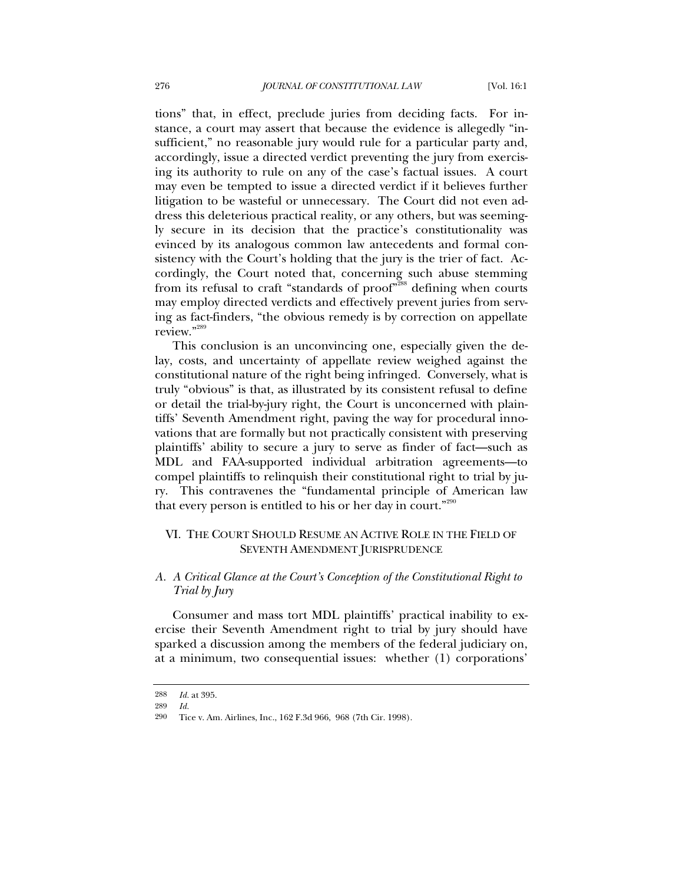tions" that, in effect, preclude juries from deciding facts. For instance, a court may assert that because the evidence is allegedly "insufficient," no reasonable jury would rule for a particular party and, accordingly, issue a directed verdict preventing the jury from exercising its authority to rule on any of the case's factual issues. A court may even be tempted to issue a directed verdict if it believes further litigation to be wasteful or unnecessary. The Court did not even address this deleterious practical reality, or any others, but was seemingly secure in its decision that the practice's constitutionality was evinced by its analogous common law antecedents and formal consistency with the Court's holding that the jury is the trier of fact. Accordingly, the Court noted that, concerning such abuse stemming from its refusal to craft "standards of proof"<sup>288</sup> defining when courts may employ directed verdicts and effectively prevent juries from serving as fact-finders, "the obvious remedy is by correction on appellate review."289

This conclusion is an unconvincing one, especially given the delay, costs, and uncertainty of appellate review weighed against the constitutional nature of the right being infringed. Conversely, what is truly "obvious" is that, as illustrated by its consistent refusal to define or detail the trial-by-jury right, the Court is unconcerned with plaintiffs' Seventh Amendment right, paving the way for procedural innovations that are formally but not practically consistent with preserving plaintiffs' ability to secure a jury to serve as finder of fact—such as MDL and FAA-supported individual arbitration agreements—to compel plaintiffs to relinquish their constitutional right to trial by jury. This contravenes the "fundamental principle of American law that every person is entitled to his or her day in court."290

## VI. THE COURT SHOULD RESUME AN ACTIVE ROLE IN THE FIELD OF SEVENTH AMENDMENT JURISPRUDENCE

## *A. A Critical Glance at the Court's Conception of the Constitutional Right to Trial by Jury*

Consumer and mass tort MDL plaintiffs' practical inability to exercise their Seventh Amendment right to trial by jury should have sparked a discussion among the members of the federal judiciary on, at a minimum, two consequential issues: whether (1) corporations'

<sup>288</sup> *Id.* at 395.

<sup>289</sup> *Id.*

<sup>290</sup> Tice v. Am. Airlines, Inc., 162 F.3d 966, 968 (7th Cir. 1998).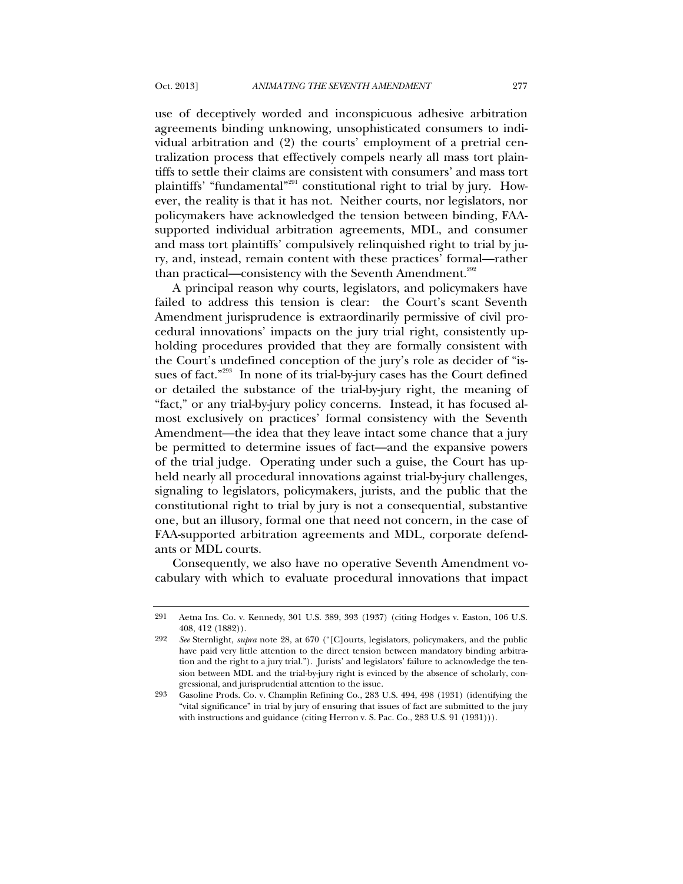use of deceptively worded and inconspicuous adhesive arbitration agreements binding unknowing, unsophisticated consumers to individual arbitration and (2) the courts' employment of a pretrial centralization process that effectively compels nearly all mass tort plaintiffs to settle their claims are consistent with consumers' and mass tort plaintiffs' "fundamental"<sup>291</sup> constitutional right to trial by jury. However, the reality is that it has not. Neither courts, nor legislators, nor policymakers have acknowledged the tension between binding, FAAsupported individual arbitration agreements, MDL, and consumer and mass tort plaintiffs' compulsively relinquished right to trial by jury, and, instead, remain content with these practices' formal—rather than practical—consistency with the Seventh Amendment.<sup>292</sup>

A principal reason why courts, legislators, and policymakers have failed to address this tension is clear: the Court's scant Seventh Amendment jurisprudence is extraordinarily permissive of civil procedural innovations' impacts on the jury trial right, consistently upholding procedures provided that they are formally consistent with the Court's undefined conception of the jury's role as decider of "issues of fact."<sup>293</sup> In none of its trial-by-jury cases has the Court defined or detailed the substance of the trial-by-jury right, the meaning of "fact," or any trial-by-jury policy concerns. Instead, it has focused almost exclusively on practices' formal consistency with the Seventh Amendment—the idea that they leave intact some chance that a jury be permitted to determine issues of fact—and the expansive powers of the trial judge. Operating under such a guise, the Court has upheld nearly all procedural innovations against trial-by-jury challenges, signaling to legislators, policymakers, jurists, and the public that the constitutional right to trial by jury is not a consequential, substantive one, but an illusory, formal one that need not concern, in the case of FAA-supported arbitration agreements and MDL, corporate defendants or MDL courts.

Consequently, we also have no operative Seventh Amendment vocabulary with which to evaluate procedural innovations that impact

<sup>291</sup> Aetna Ins. Co. v. Kennedy, 301 U.S. 389, 393 (1937) (citing Hodges v. Easton, 106 U.S. 408, 412 (1882)).

<sup>292</sup> *See* Sternlight, *supra* note 28, at 670 ("[C]ourts, legislators, policymakers, and the public have paid very little attention to the direct tension between mandatory binding arbitration and the right to a jury trial."). Jurists' and legislators' failure to acknowledge the tension between MDL and the trial-by-jury right is evinced by the absence of scholarly, congressional, and jurisprudential attention to the issue.

<sup>293</sup> Gasoline Prods. Co. v. Champlin Refining Co., 283 U.S. 494, 498 (1931) (identifying the "vital significance" in trial by jury of ensuring that issues of fact are submitted to the jury with instructions and guidance (citing Herron v. S. Pac. Co., 283 U.S. 91 (1931))).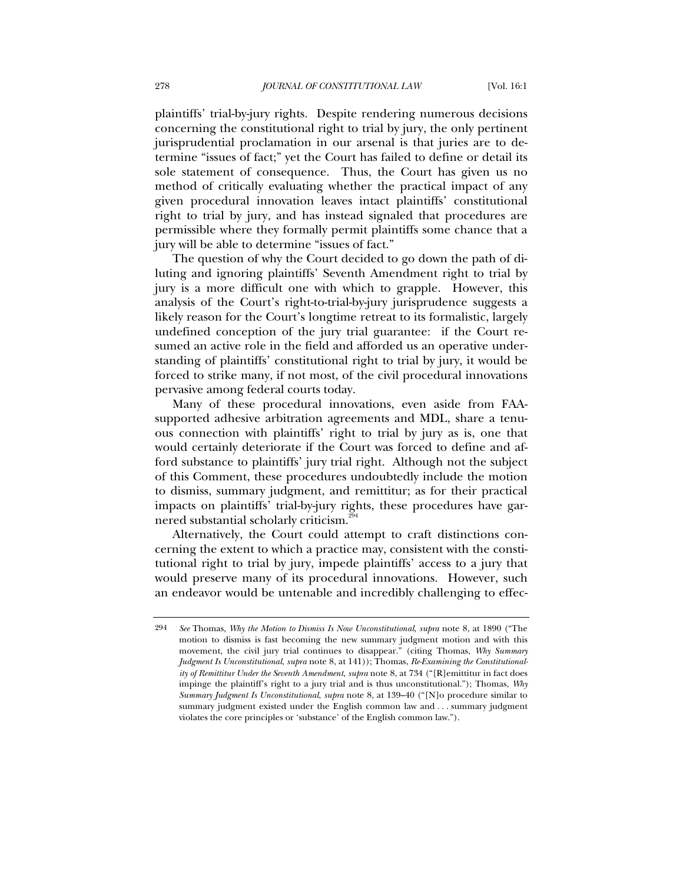plaintiffs' trial-by-jury rights. Despite rendering numerous decisions concerning the constitutional right to trial by jury, the only pertinent jurisprudential proclamation in our arsenal is that juries are to determine "issues of fact;" yet the Court has failed to define or detail its sole statement of consequence. Thus, the Court has given us no method of critically evaluating whether the practical impact of any given procedural innovation leaves intact plaintiffs' constitutional right to trial by jury, and has instead signaled that procedures are permissible where they formally permit plaintiffs some chance that a jury will be able to determine "issues of fact."

The question of why the Court decided to go down the path of diluting and ignoring plaintiffs' Seventh Amendment right to trial by jury is a more difficult one with which to grapple. However, this analysis of the Court's right-to-trial-by-jury jurisprudence suggests a likely reason for the Court's longtime retreat to its formalistic, largely undefined conception of the jury trial guarantee: if the Court resumed an active role in the field and afforded us an operative understanding of plaintiffs' constitutional right to trial by jury, it would be forced to strike many, if not most, of the civil procedural innovations pervasive among federal courts today.

Many of these procedural innovations, even aside from FAAsupported adhesive arbitration agreements and MDL, share a tenuous connection with plaintiffs' right to trial by jury as is, one that would certainly deteriorate if the Court was forced to define and afford substance to plaintiffs' jury trial right. Although not the subject of this Comment, these procedures undoubtedly include the motion to dismiss, summary judgment, and remittitur; as for their practical impacts on plaintiffs' trial-by-jury rights, these procedures have garnered substantial scholarly criticism.<sup>294</sup>

Alternatively, the Court could attempt to craft distinctions concerning the extent to which a practice may, consistent with the constitutional right to trial by jury, impede plaintiffs' access to a jury that would preserve many of its procedural innovations. However, such an endeavor would be untenable and incredibly challenging to effec-

<sup>294</sup> *See* Thomas, *Why the Motion to Dismiss Is Now Unconstitutional*, *supra* note 8, at 1890 ("The motion to dismiss is fast becoming the new summary judgment motion and with this movement, the civil jury trial continues to disappear." (citing Thomas, *Why Summary Judgment Is Unconstitutional*, *supra* note 8, at 141)); Thomas, *Re-Examining the Constitutionality of Remittitur Under the Seventh Amendment*, *supra* note 8, at 734 ("[R]emittitur in fact does impinge the plaintiff's right to a jury trial and is thus unconstitutional."); Thomas, *Why Summary Judgment Is Unconstitutional*, *supra* note 8, at 139–40 ("[N]o procedure similar to summary judgment existed under the English common law and . . . summary judgment violates the core principles or 'substance' of the English common law.").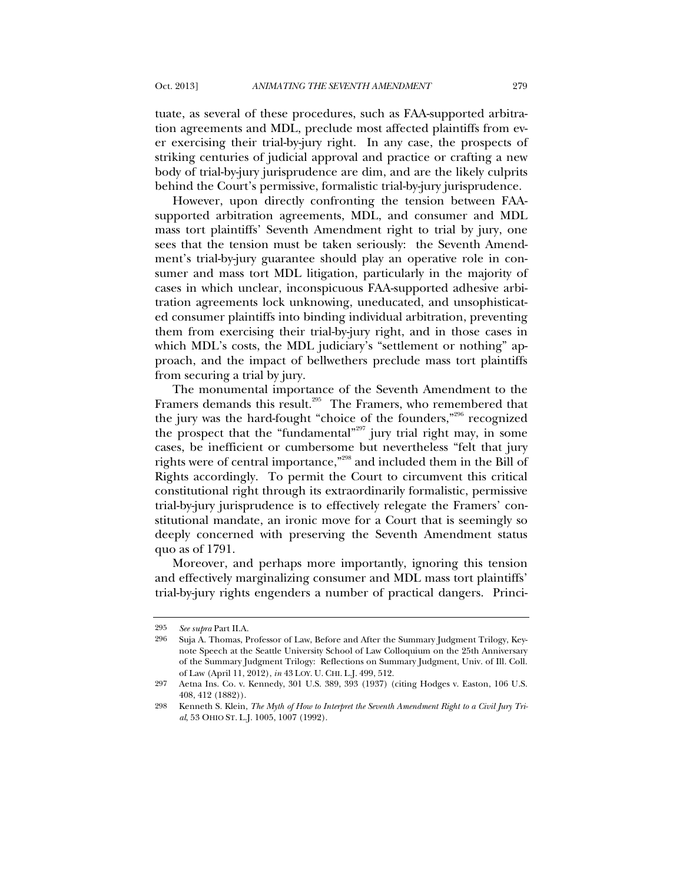tuate, as several of these procedures, such as FAA-supported arbitration agreements and MDL, preclude most affected plaintiffs from ever exercising their trial-by-jury right. In any case, the prospects of striking centuries of judicial approval and practice or crafting a new body of trial-by-jury jurisprudence are dim, and are the likely culprits behind the Court's permissive, formalistic trial-by-jury jurisprudence.

However, upon directly confronting the tension between FAAsupported arbitration agreements, MDL, and consumer and MDL mass tort plaintiffs' Seventh Amendment right to trial by jury, one sees that the tension must be taken seriously: the Seventh Amendment's trial-by-jury guarantee should play an operative role in consumer and mass tort MDL litigation, particularly in the majority of cases in which unclear, inconspicuous FAA-supported adhesive arbitration agreements lock unknowing, uneducated, and unsophisticated consumer plaintiffs into binding individual arbitration, preventing them from exercising their trial-by-jury right, and in those cases in which MDL's costs, the MDL judiciary's "settlement or nothing" approach, and the impact of bellwethers preclude mass tort plaintiffs from securing a trial by jury.

The monumental importance of the Seventh Amendment to the Framers demands this result.<sup>295</sup> The Framers, who remembered that the jury was the hard-fought "choice of the founders,"296 recognized the prospect that the "fundamental"<sup>297</sup> jury trial right may, in some cases, be inefficient or cumbersome but nevertheless "felt that jury rights were of central importance,"298 and included them in the Bill of Rights accordingly. To permit the Court to circumvent this critical constitutional right through its extraordinarily formalistic, permissive trial-by-jury jurisprudence is to effectively relegate the Framers' constitutional mandate, an ironic move for a Court that is seemingly so deeply concerned with preserving the Seventh Amendment status quo as of 1791.

Moreover, and perhaps more importantly, ignoring this tension and effectively marginalizing consumer and MDL mass tort plaintiffs' trial-by-jury rights engenders a number of practical dangers. Princi-

<sup>295</sup> *See supra* Part II.A.

<sup>296</sup> Suja A. Thomas, Professor of Law, Before and After the Summary Judgment Trilogy, Keynote Speech at the Seattle University School of Law Colloquium on the 25th Anniversary of the Summary Judgment Trilogy: Reflections on Summary Judgment, Univ. of Ill. Coll. of Law (April 11, 2012), *in* 43 LOY. U. CHI. L.J. 499, 512.

<sup>297</sup> Aetna Ins. Co. v. Kennedy, 301 U.S. 389, 393 (1937) (citing Hodges v. Easton, 106 U.S. 408, 412 (1882)).

<sup>298</sup> Kenneth S. Klein, *The Myth of How to Interpret the Seventh Amendment Right to a Civil Jury Trial*, 53 OHIO ST. L.J. 1005, 1007 (1992).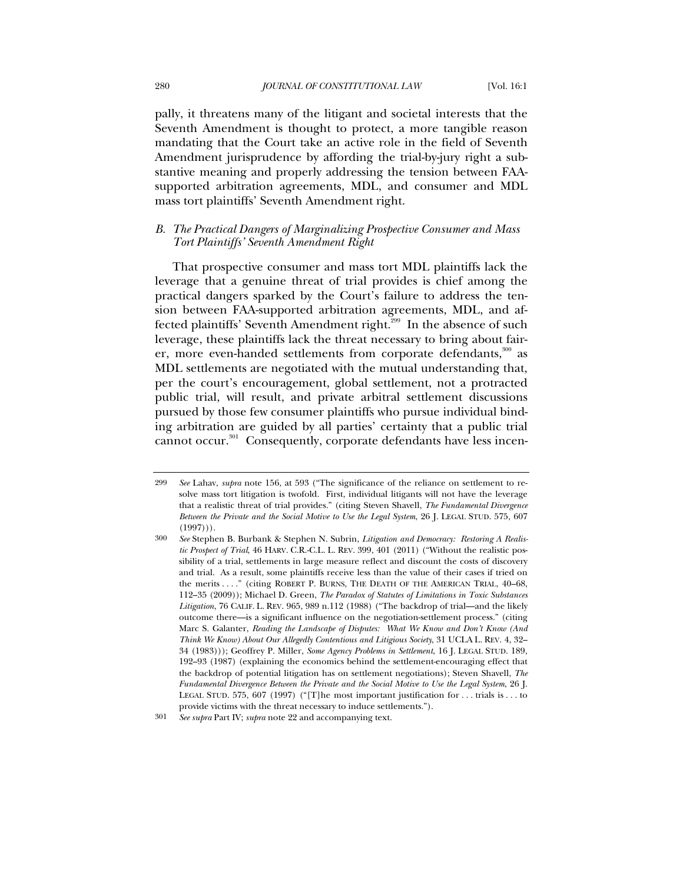pally, it threatens many of the litigant and societal interests that the Seventh Amendment is thought to protect, a more tangible reason mandating that the Court take an active role in the field of Seventh Amendment jurisprudence by affording the trial-by-jury right a substantive meaning and properly addressing the tension between FAAsupported arbitration agreements, MDL, and consumer and MDL mass tort plaintiffs' Seventh Amendment right.

## *B. The Practical Dangers of Marginalizing Prospective Consumer and Mass Tort Plaintiffs' Seventh Amendment Right*

That prospective consumer and mass tort MDL plaintiffs lack the leverage that a genuine threat of trial provides is chief among the practical dangers sparked by the Court's failure to address the tension between FAA-supported arbitration agreements, MDL, and affected plaintiffs' Seventh Amendment right.299 In the absence of such leverage, these plaintiffs lack the threat necessary to bring about fairer, more even-handed settlements from corporate defendants,<sup>300</sup> as MDL settlements are negotiated with the mutual understanding that, per the court's encouragement, global settlement, not a protracted public trial, will result, and private arbitral settlement discussions pursued by those few consumer plaintiffs who pursue individual binding arbitration are guided by all parties' certainty that a public trial cannot occur.<sup>301</sup> Consequently, corporate defendants have less incen-

<sup>299</sup> *See* Lahav, *supra* note 156, at 593 ("The significance of the reliance on settlement to resolve mass tort litigation is twofold. First, individual litigants will not have the leverage that a realistic threat of trial provides." (citing Steven Shavell, *The Fundamental Divergence Between the Private and the Social Motive to Use the Legal System*, 26 J. LEGAL STUD. 575, 607  $(1997))$ .

<sup>300</sup> *See* Stephen B. Burbank & Stephen N. Subrin, *Litigation and Democracy: Restoring A Realistic Prospect of Trial*, 46 HARV. C.R.-C.L. L. REV. 399, 401 (2011) ("Without the realistic possibility of a trial, settlements in large measure reflect and discount the costs of discovery and trial. As a result, some plaintiffs receive less than the value of their cases if tried on the merits . . . ." (citing ROBERT P. BURNS, THE DEATH OF THE AMERICAN TRIAL, 40–68, 112–35 (2009)); Michael D. Green, *The Paradox of Statutes of Limitations in Toxic Substances Litigation*, 76 CALIF. L. REV. 965, 989 n.112 (1988) ("The backdrop of trial—and the likely outcome there—is a significant influence on the negotiation-settlement process." (citing Marc S. Galanter, *Reading the Landscape of Disputes: What We Know and Don't Know (And Think We Know) About Our Allegedly Contentious and Litigious Society*, 31 UCLA L. REV. 4, 32– 34 (1983))); Geoffrey P. Miller, *Some Agency Problems in Settlement*, 16 J. LEGAL STUD. 189, 192–93 (1987) (explaining the economics behind the settlement-encouraging effect that the backdrop of potential litigation has on settlement negotiations); Steven Shavell, *The Fundamental Divergence Between the Private and the Social Motive to Use the Legal System*, 26 J. LEGAL STUD. 575, 607 (1997) ("[T]he most important justification for . . . trials is . . . to provide victims with the threat necessary to induce settlements.").

<sup>301</sup> *See supra* Part IV; *supra* note 22 and accompanying text.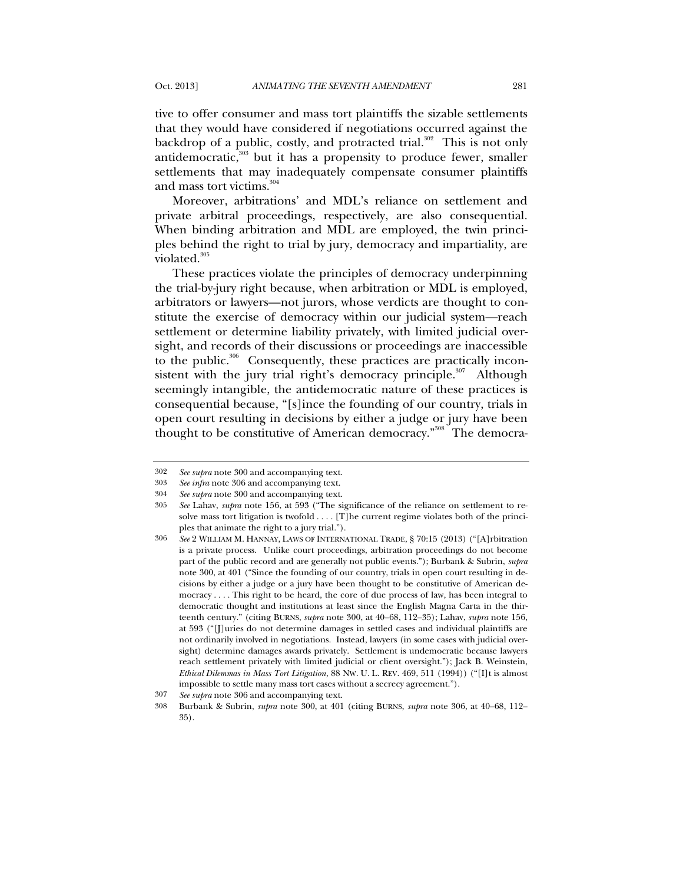tive to offer consumer and mass tort plaintiffs the sizable settlements that they would have considered if negotiations occurred against the backdrop of a public, costly, and protracted trial.<sup>302</sup> This is not only antidemocratic,<sup>303</sup> but it has a propensity to produce fewer, smaller settlements that may inadequately compensate consumer plaintiffs and mass tort victims. $304$ 

Moreover, arbitrations' and MDL's reliance on settlement and private arbitral proceedings, respectively, are also consequential. When binding arbitration and MDL are employed, the twin principles behind the right to trial by jury, democracy and impartiality, are violated.<sup>305</sup>

These practices violate the principles of democracy underpinning the trial-by-jury right because, when arbitration or MDL is employed, arbitrators or lawyers—not jurors, whose verdicts are thought to constitute the exercise of democracy within our judicial system—reach settlement or determine liability privately, with limited judicial oversight, and records of their discussions or proceedings are inaccessible to the public.<sup>306</sup> Consequently, these practices are practically inconsistent with the jury trial right's democracy principle. $307$  Although seemingly intangible, the antidemocratic nature of these practices is consequential because, "[s]ince the founding of our country, trials in open court resulting in decisions by either a judge or jury have been thought to be constitutive of American democracy."<sup>308</sup> The democra-

<sup>302</sup> *See supra* note 300 and accompanying text.

<sup>303</sup> *See infra* note 306 and accompanying text.

<sup>304</sup> *See supra* note 300 and accompanying text.

<sup>305</sup> *See* Lahav, *supra* note 156, at 593 ("The significance of the reliance on settlement to resolve mass tort litigation is twofold . . . . [T]he current regime violates both of the principles that animate the right to a jury trial.").

<sup>306</sup> *See* 2 WILLIAM M. HANNAY, LAWS OF INTERNATIONAL TRADE, § 70:15 (2013) ("[A]rbitration is a private process. Unlike court proceedings, arbitration proceedings do not become part of the public record and are generally not public events."); Burbank & Subrin, *supra* note 300, at 401 ("Since the founding of our country, trials in open court resulting in decisions by either a judge or a jury have been thought to be constitutive of American democracy . . . . This right to be heard, the core of due process of law, has been integral to democratic thought and institutions at least since the English Magna Carta in the thirteenth century." (citing BURNS, *supra* note 300, at 40–68, 112–35); Lahav, *supra* note 156, at 593 ("[J]uries do not determine damages in settled cases and individual plaintiffs are not ordinarily involved in negotiations. Instead, lawyers (in some cases with judicial oversight) determine damages awards privately. Settlement is undemocratic because lawyers reach settlement privately with limited judicial or client oversight."); Jack B. Weinstein, *Ethical Dilemmas in Mass Tort Litigation*, 88 NW. U. L. REV. 469, 511 (1994)) ("[I]t is almost impossible to settle many mass tort cases without a secrecy agreement.").

<sup>307</sup> *See supra* note 306 and accompanying text.

<sup>308</sup> Burbank & Subrin, *supra* note 300, at 401 (citing BURNS, *supra* note 306, at 40–68, 112– 35).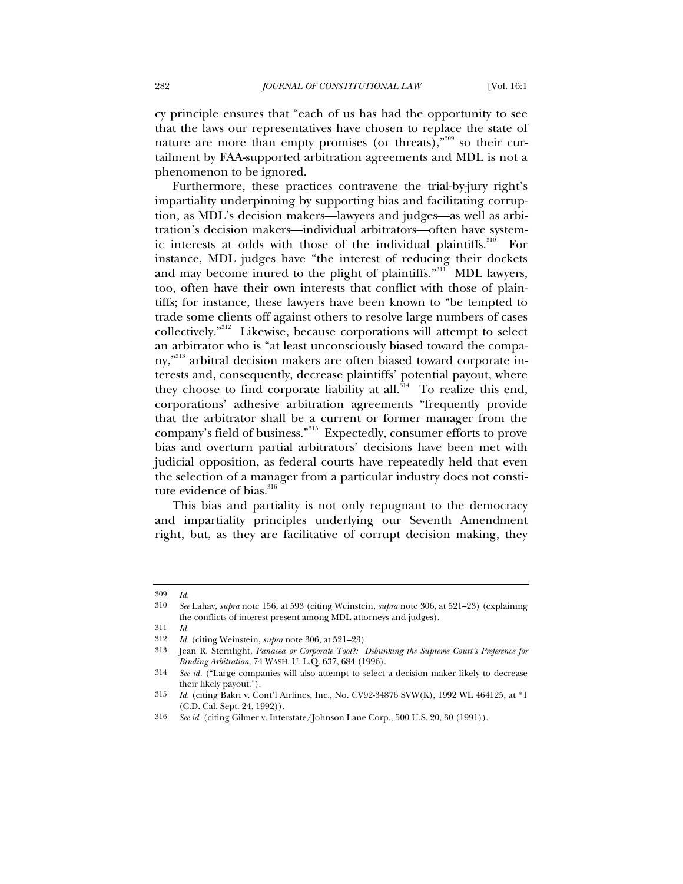cy principle ensures that "each of us has had the opportunity to see that the laws our representatives have chosen to replace the state of nature are more than empty promises (or threats)," $309$  so their curtailment by FAA-supported arbitration agreements and MDL is not a phenomenon to be ignored.

Furthermore, these practices contravene the trial-by-jury right's impartiality underpinning by supporting bias and facilitating corruption, as MDL's decision makers—lawyers and judges—as well as arbitration's decision makers—individual arbitrators—often have systemic interests at odds with those of the individual plaintiffs.<sup>310</sup> For instance, MDL judges have "the interest of reducing their dockets and may become inured to the plight of plaintiffs."<sup>311</sup> MDL lawyers, too, often have their own interests that conflict with those of plaintiffs; for instance, these lawyers have been known to "be tempted to trade some clients off against others to resolve large numbers of cases collectively."312 Likewise, because corporations will attempt to select an arbitrator who is "at least unconsciously biased toward the company,"313 arbitral decision makers are often biased toward corporate interests and, consequently, decrease plaintiffs' potential payout, where they choose to find corporate liability at all.<sup>314</sup> To realize this end, corporations' adhesive arbitration agreements "frequently provide that the arbitrator shall be a current or former manager from the company's field of business."<sup>315</sup> Expectedly, consumer efforts to prove bias and overturn partial arbitrators' decisions have been met with judicial opposition, as federal courts have repeatedly held that even the selection of a manager from a particular industry does not constitute evidence of bias.<sup>316</sup>

This bias and partiality is not only repugnant to the democracy and impartiality principles underlying our Seventh Amendment right, but, as they are facilitative of corrupt decision making, they

<sup>309</sup> *Id.*

<sup>310</sup> *See* Lahav, *supra* note 156, at 593 (citing Weinstein, *supra* note 306, at 521–23) (explaining the conflicts of interest present among MDL attorneys and judges).

<sup>311</sup> *Id.*

<sup>312</sup> *Id.* (citing Weinstein, *supra* note 306, at 521–23).

<sup>313</sup> Jean R. Sternlight, *Panacea or Corporate Tool?: Debunking the Supreme Court's Preference for Binding Arbitration*, 74 WASH. U. L.Q. 637, 684 (1996).

<sup>314</sup> *See id.* ("Large companies will also attempt to select a decision maker likely to decrease their likely payout.").

<sup>315</sup> *Id.* (citing Bakri v. Cont'l Airlines, Inc., No. CV92-34876 SVW(K), 1992 WL 464125, at \*1 (C.D. Cal. Sept. 24, 1992)).

<sup>316</sup> *See id.* (citing Gilmer v. Interstate/Johnson Lane Corp., 500 U.S. 20, 30 (1991)).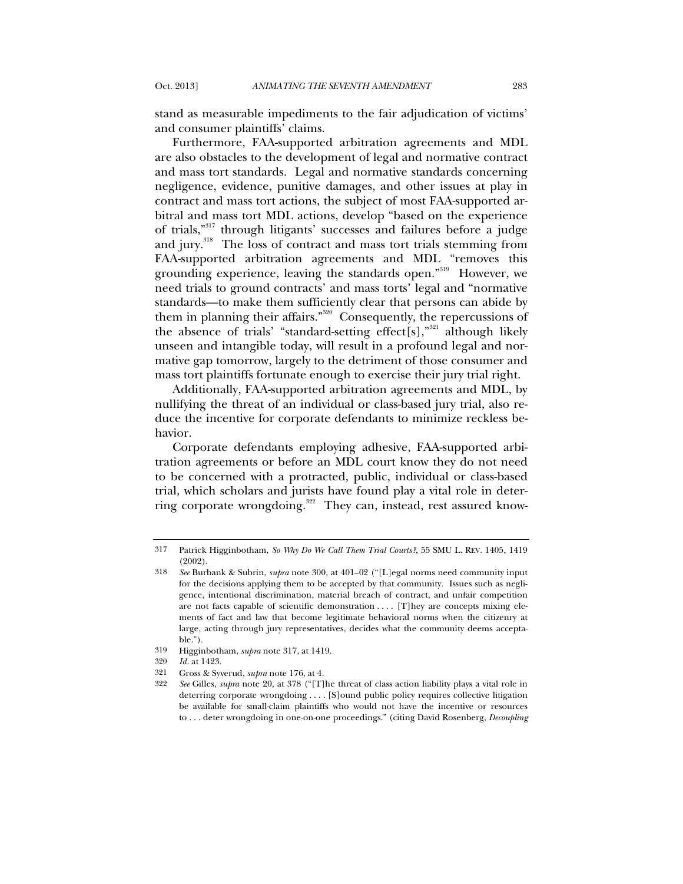stand as measurable impediments to the fair adjudication of victims' and consumer plaintiffs' claims.

Furthermore, FAA-supported arbitration agreements and MDL are also obstacles to the development of legal and normative contract and mass tort standards. Legal and normative standards concerning negligence, evidence, punitive damages, and other issues at play in contract and mass tort actions, the subject of most FAA-supported arbitral and mass tort MDL actions, develop "based on the experience of trials,"317 through litigants' successes and failures before a judge and jury.<sup>318</sup> The loss of contract and mass tort trials stemming from FAA-supported arbitration agreements and MDL "removes this grounding experience, leaving the standards open."319 However, we need trials to ground contracts' and mass torts' legal and "normative standards—to make them sufficiently clear that persons can abide by them in planning their affairs."320 Consequently, the repercussions of the absence of trials' "standard-setting effect[s]," $321$  although likely unseen and intangible today, will result in a profound legal and normative gap tomorrow, largely to the detriment of those consumer and mass tort plaintiffs fortunate enough to exercise their jury trial right.

Additionally, FAA-supported arbitration agreements and MDL, by nullifying the threat of an individual or class-based jury trial, also reduce the incentive for corporate defendants to minimize reckless behavior.

Corporate defendants employing adhesive, FAA-supported arbitration agreements or before an MDL court know they do not need to be concerned with a protracted, public, individual or class-based trial, which scholars and jurists have found play a vital role in deterring corporate wrongdoing.<sup>322</sup> They can, instead, rest assured know-

<sup>317</sup> Patrick Higginbotham, *So Why Do We Call Them Trial Courts?*, 55 SMU L. REV. 1405, 1419 (2002).

<sup>318</sup> *See* Burbank & Subrin, *supra* note 300, at 401–02 ("[L]egal norms need community input for the decisions applying them to be accepted by that community. Issues such as negligence, intentional discrimination, material breach of contract, and unfair competition are not facts capable of scientific demonstration . . . . [T]hey are concepts mixing elements of fact and law that become legitimate behavioral norms when the citizenry at large, acting through jury representatives, decides what the community deems acceptable.").

<sup>319</sup> Higginbotham, *supra* note 317, at 1419.

<sup>320</sup> *Id.* at 1423.

<sup>321</sup> Gross & Syverud, *supra* note 176, at 4.

<sup>322</sup> *See* Gilles, *supra* note 20, at 378 ("[T]he threat of class action liability plays a vital role in deterring corporate wrongdoing . . . . [S]ound public policy requires collective litigation be available for small-claim plaintiffs who would not have the incentive or resources to . . . deter wrongdoing in one-on-one proceedings." (citing David Rosenberg, *Decoupling*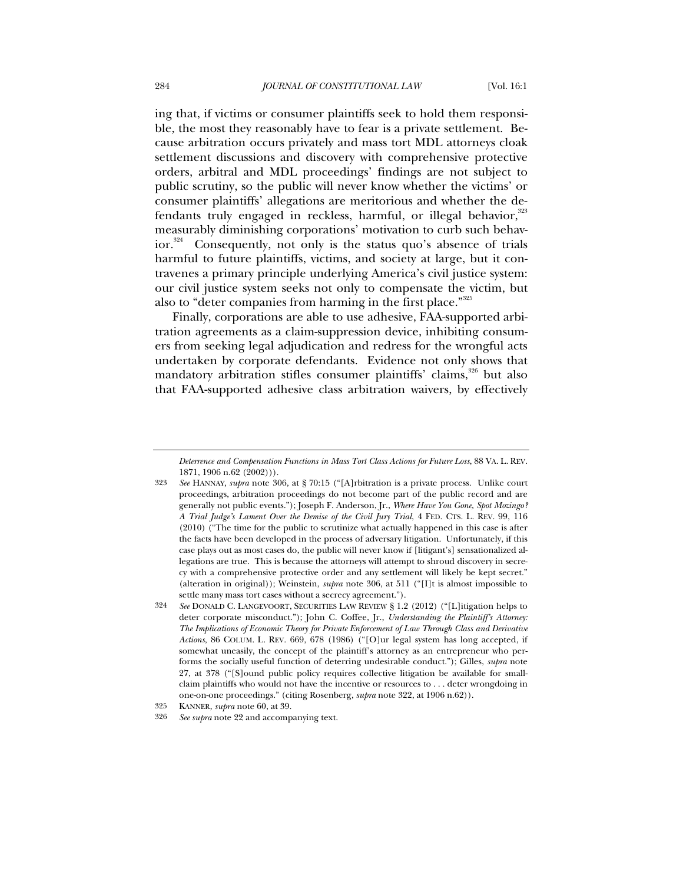ing that, if victims or consumer plaintiffs seek to hold them responsible, the most they reasonably have to fear is a private settlement. Because arbitration occurs privately and mass tort MDL attorneys cloak settlement discussions and discovery with comprehensive protective orders, arbitral and MDL proceedings' findings are not subject to public scrutiny, so the public will never know whether the victims' or consumer plaintiffs' allegations are meritorious and whether the defendants truly engaged in reckless, harmful, or illegal behavior,<sup>323</sup> measurably diminishing corporations' motivation to curb such behavior.<sup>324</sup> Consequently, not only is the status quo's absence of trials harmful to future plaintiffs, victims, and society at large, but it contravenes a primary principle underlying America's civil justice system: our civil justice system seeks not only to compensate the victim, but also to "deter companies from harming in the first place."<sup>325</sup>

Finally, corporations are able to use adhesive, FAA-supported arbitration agreements as a claim-suppression device, inhibiting consumers from seeking legal adjudication and redress for the wrongful acts undertaken by corporate defendants. Evidence not only shows that mandatory arbitration stifles consumer plaintiffs' claims,<sup>326</sup> but also that FAA-supported adhesive class arbitration waivers, by effectively

*Deterrence and Compensation Functions in Mass Tort Class Actions for Future Loss*, 88 VA. L. REV. 1871, 1906 n.62 (2002))).

<sup>323</sup> *See* HANNAY, *supra* note 306, at § 70:15 ("[A]rbitration is a private process. Unlike court proceedings, arbitration proceedings do not become part of the public record and are generally not public events."); Joseph F. Anderson, Jr., *Where Have You Gone, Spot Mozingo? A Trial Judge's Lament Over the Demise of the Civil Jury Trial*, 4 FED. CTS. L. REV. 99, 116 (2010) ("The time for the public to scrutinize what actually happened in this case is after the facts have been developed in the process of adversary litigation. Unfortunately, if this case plays out as most cases do, the public will never know if [litigant's] sensationalized allegations are true. This is because the attorneys will attempt to shroud discovery in secrecy with a comprehensive protective order and any settlement will likely be kept secret." (alteration in original)); Weinstein, *supra* note 306, at 511 ("[I]t is almost impossible to settle many mass tort cases without a secrecy agreement.").

<sup>324</sup> *See* DONALD C. LANGEVOORT, SECURITIES LAW REVIEW § 1.2 (2012) ("[L]itigation helps to deter corporate misconduct."); John C. Coffee, Jr., *Understanding the Plaintiff's Attorney: The Implications of Economic Theory for Private Enforcement of Law Through Class and Derivative Actions*, 86 COLUM. L. REV. 669, 678 (1986) ("[O]ur legal system has long accepted, if somewhat uneasily, the concept of the plaintiff's attorney as an entrepreneur who performs the socially useful function of deterring undesirable conduct."); Gilles, *supra* note 27, at 378 ("[S]ound public policy requires collective litigation be available for smallclaim plaintiffs who would not have the incentive or resources to . . . deter wrongdoing in one-on-one proceedings." (citing Rosenberg, *supra* note 322, at 1906 n.62)).

<sup>325</sup> KANNER, *supra* note 60, at 39.

<sup>326</sup> *See supra* note 22 and accompanying text.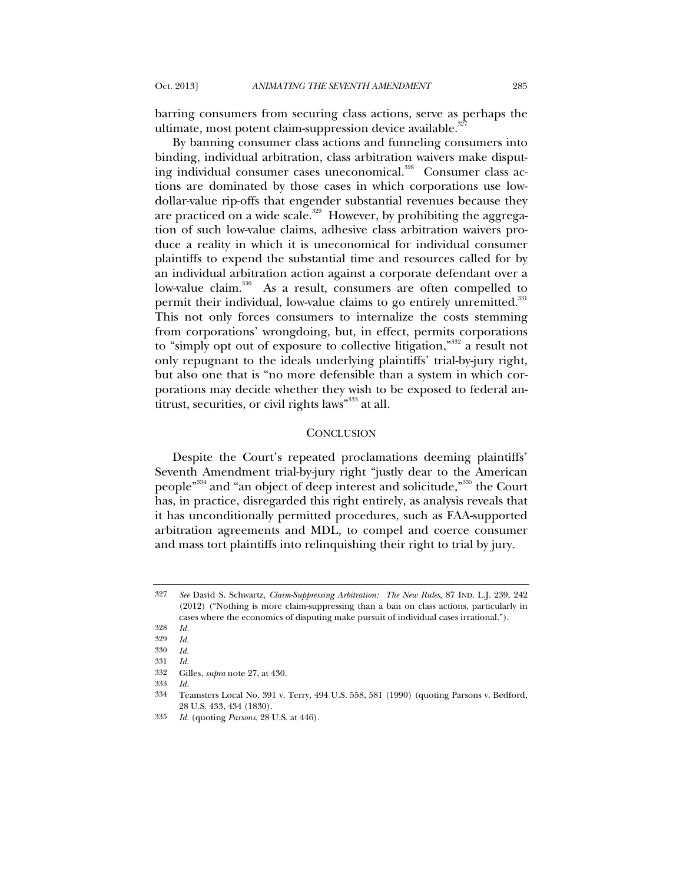barring consumers from securing class actions, serve as perhaps the ultimate, most potent claim-suppression device available.<sup>32</sup>

By banning consumer class actions and funneling consumers into binding, individual arbitration, class arbitration waivers make disputing individual consumer cases uneconomical.<sup>328</sup> Consumer class actions are dominated by those cases in which corporations use lowdollar-value rip-offs that engender substantial revenues because they are practiced on a wide scale. $^{329}$  However, by prohibiting the aggregation of such low-value claims, adhesive class arbitration waivers produce a reality in which it is uneconomical for individual consumer plaintiffs to expend the substantial time and resources called for by an individual arbitration action against a corporate defendant over a low-value claim.<sup>330</sup> As a result, consumers are often compelled to permit their individual, low-value claims to go entirely unremitted.<sup>331</sup> This not only forces consumers to internalize the costs stemming from corporations' wrongdoing, but, in effect, permits corporations to "simply opt out of exposure to collective litigation,"<sup>332</sup> a result not only repugnant to the ideals underlying plaintiffs' trial-by-jury right, but also one that is "no more defensible than a system in which corporations may decide whether they wish to be exposed to federal antitrust, securities, or civil rights laws"<sup>333</sup> at all.

#### **CONCLUSION**

Despite the Court's repeated proclamations deeming plaintiffs' Seventh Amendment trial-by-jury right "justly dear to the American people<sup>"334</sup> and "an object of deep interest and solicitude,"<sup>335</sup> the Court has, in practice, disregarded this right entirely, as analysis reveals that it has unconditionally permitted procedures, such as FAA-supported arbitration agreements and MDL, to compel and coerce consumer and mass tort plaintiffs into relinquishing their right to trial by jury.

<sup>327</sup> *See* David S. Schwartz, *Claim-Suppressing Arbitration: The New Rules*, 87 IND. L.J. 239, 242 (2012) ("Nothing is more claim-suppressing than a ban on class actions, particularly in cases where the economics of disputing make pursuit of individual cases irrational.").

<sup>328</sup> *Id.*

<sup>329</sup> *Id.*

<sup>330</sup> *Id.*

<sup>331</sup> *Id.*

<sup>332</sup> Gilles, *supra* note 27, at 430.

<sup>333</sup> *Id.*

<sup>334</sup> Teamsters Local No. 391 v. Terry, 494 U.S. 558, 581 (1990) (quoting Parsons v. Bedford, 28 U.S. 433, 434 (1830).

<sup>335</sup> *Id.* (quoting *Parsons*, 28 U.S. at 446).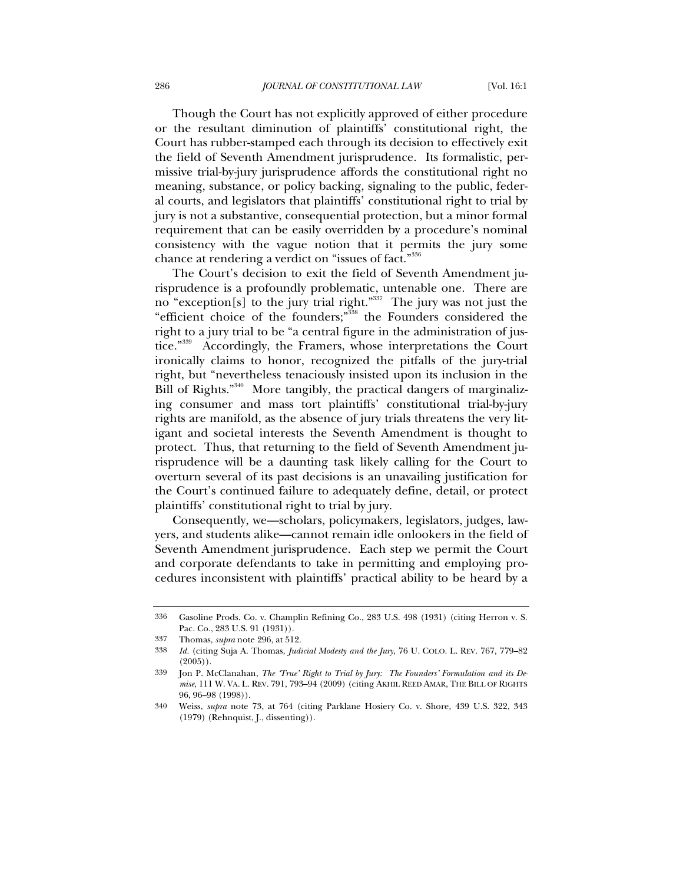Though the Court has not explicitly approved of either procedure or the resultant diminution of plaintiffs' constitutional right, the Court has rubber-stamped each through its decision to effectively exit the field of Seventh Amendment jurisprudence. Its formalistic, permissive trial-by-jury jurisprudence affords the constitutional right no meaning, substance, or policy backing, signaling to the public, federal courts, and legislators that plaintiffs' constitutional right to trial by jury is not a substantive, consequential protection, but a minor formal requirement that can be easily overridden by a procedure's nominal consistency with the vague notion that it permits the jury some chance at rendering a verdict on "issues of fact."<sup>336</sup>

The Court's decision to exit the field of Seventh Amendment jurisprudence is a profoundly problematic, untenable one. There are no "exception[s] to the jury trial right."<sup>337</sup> The jury was not just the "efficient choice of the founders;"338 the Founders considered the right to a jury trial to be "a central figure in the administration of justice."<sup>339</sup> Accordingly, the Framers, whose interpretations the Court ironically claims to honor, recognized the pitfalls of the jury-trial right, but "nevertheless tenaciously insisted upon its inclusion in the Bill of Rights."<sup>340</sup> More tangibly, the practical dangers of marginalizing consumer and mass tort plaintiffs' constitutional trial-by-jury rights are manifold, as the absence of jury trials threatens the very litigant and societal interests the Seventh Amendment is thought to protect. Thus, that returning to the field of Seventh Amendment jurisprudence will be a daunting task likely calling for the Court to overturn several of its past decisions is an unavailing justification for the Court's continued failure to adequately define, detail, or protect plaintiffs' constitutional right to trial by jury.

Consequently, we—scholars, policymakers, legislators, judges, lawyers, and students alike—cannot remain idle onlookers in the field of Seventh Amendment jurisprudence. Each step we permit the Court and corporate defendants to take in permitting and employing procedures inconsistent with plaintiffs' practical ability to be heard by a

<sup>336</sup> Gasoline Prods. Co. v. Champlin Refining Co., 283 U.S. 498 (1931) (citing Herron v. S. Pac. Co., 283 U.S. 91 (1931)).

<sup>337</sup> Thomas, *supra* note 296, at 512.

<sup>338</sup> *Id.* (citing Suja A. Thomas, *Judicial Modesty and the Jury*, 76 U. COLO. L. REV. 767, 779–82  $(2005)$ .

<sup>339</sup> Jon P. McClanahan, *The 'True' Right to Trial by Jury: The Founders' Formulation and its Demise*, 111 W. VA. L. REV. 791, 793–94 (2009) (citing AKHIL REED AMAR, THE BILL OF RIGHTS 96, 96–98 (1998)).

<sup>340</sup> Weiss, *supra* note 73, at 764 (citing Parklane Hosiery Co. v. Shore, 439 U.S. 322, 343 (1979) (Rehnquist, J., dissenting)).